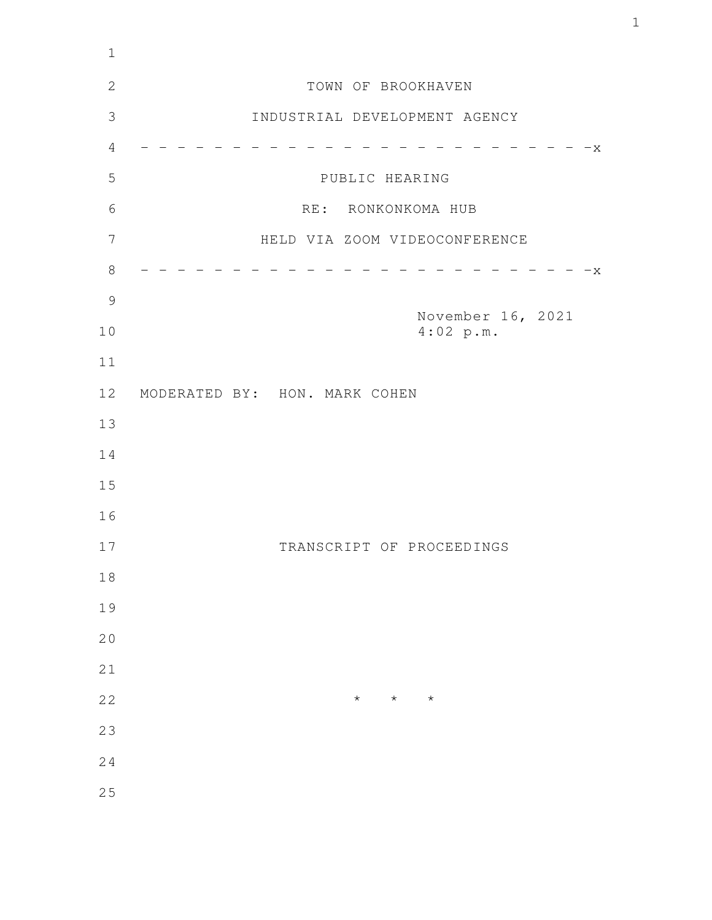| $1\,$          |                                |
|----------------|--------------------------------|
| $\overline{2}$ | TOWN OF BROOKHAVEN             |
| 3              | INDUSTRIAL DEVELOPMENT AGENCY  |
| $\overline{4}$ | $- - - x$                      |
| 5              | PUBLIC HEARING                 |
| 6              | RE: RONKONKOMA HUB             |
| $\overline{7}$ | HELD VIA ZOOM VIDEOCONFERENCE  |
| $8\,$          | $-x$                           |
| $\mathcal{G}$  |                                |
| 10             | November 16, 2021<br>4:02 p.m. |
| 11             |                                |
| 12             | MODERATED BY: HON. MARK COHEN  |
| 13             |                                |
| 14             |                                |
| 15             |                                |
| 16             |                                |
| 17             | TRANSCRIPT OF PROCEEDINGS      |
| $1\,8$         |                                |
| 19             |                                |
| 20             |                                |
| 21             |                                |
| 22             | $\star$<br>$\star$<br>$\star$  |
| 23             |                                |
| 24             |                                |
| 25             |                                |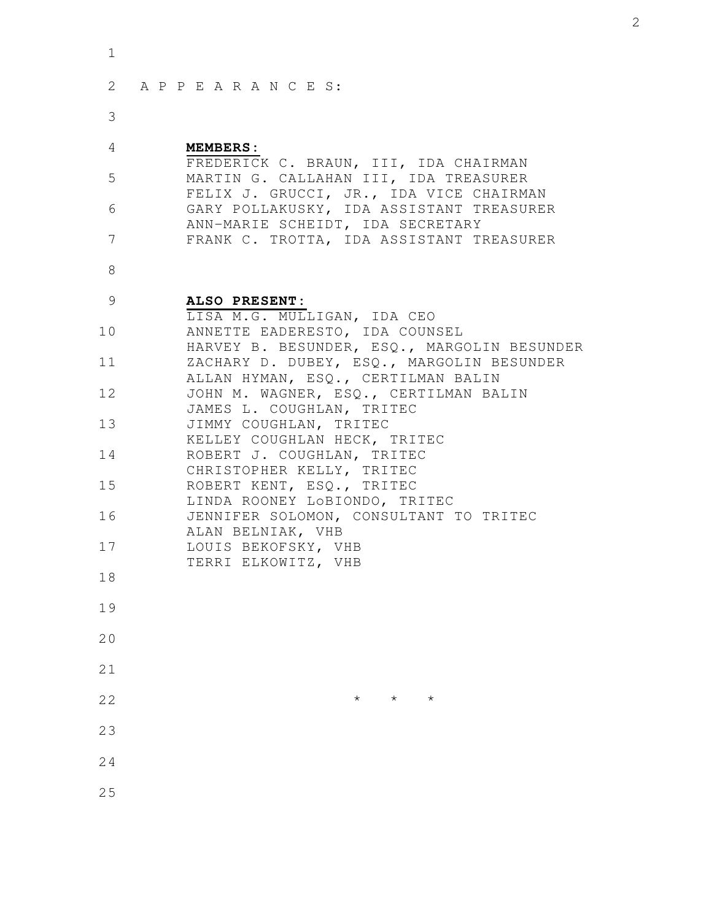| ۰.  |
|-----|
| . . |

| 2 APPEARANCES: |  |  |  |  |  |  |
|----------------|--|--|--|--|--|--|
|                |  |  |  |  |  |  |

3

## **MEMBERS:** 4

|                | FREDERICK C. BRAUN, III, IDA CHAIRMAN    |
|----------------|------------------------------------------|
| 5              | MARTIN G. CALLAHAN III, IDA TREASURER    |
|                | FELIX J. GRUCCI, JR., IDA VICE CHAIRMAN  |
| 6              | GARY POLLAKUSKY, IDA ASSISTANT TREASURER |
|                | ANN-MARIE SCHEIDT, IDA SECRETARY         |
| $\overline{7}$ | FRANK C. TROTTA, IDA ASSISTANT TREASURER |

8

## **ALSO PRESENT:** LISA M.G. MULLIGAN, IDA CEO ANNETTE EADERESTO, IDA COUNSEL HARVEY B. BESUNDER, ESQ., MARGOLIN BESUNDER ZACHARY D. DUBEY, ESQ., MARGOLIN BESUNDER ALLAN HYMAN, ESQ., CERTILMAN BALIN JOHN M. WAGNER, ESQ., CERTILMAN BALIN JAMES L. COUGHLAN, TRITEC JIMMY COUGHLAN, TRITEC KELLEY COUGHLAN HECK, TRITEC ROBERT J. COUGHLAN, TRITEC CHRISTOPHER KELLY, TRITEC ROBERT KENT, ESQ., TRITEC LINDA ROONEY LoBIONDO, TRITEC JENNIFER SOLOMON, CONSULTANT TO TRITEC ALAN BELNIAK, VHB LOUIS BEKOFSKY, VHB TERRI ELKOWITZ, VHB 9 10 11 12 13 14 15 16 17 18

- 19
- 20
- 21
- $\star$   $\star$   $\star$ 22
- 23
- 24
- 25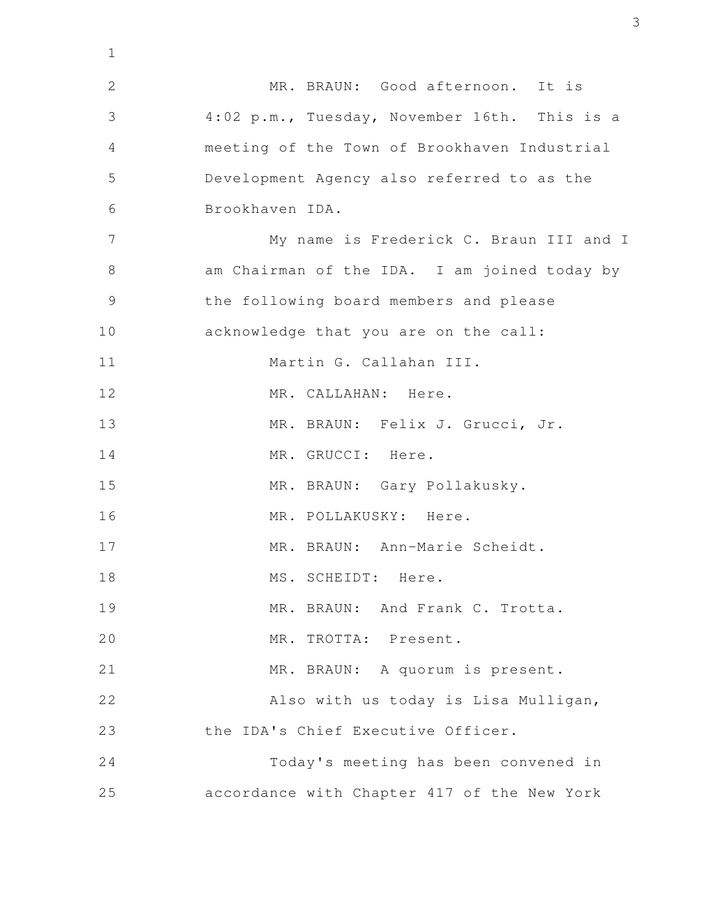MR. BRAUN: Good afternoon. It is 4:02 p.m., Tuesday, November 16th. This is a meeting of the Town of Brookhaven Industrial Development Agency also referred to as the Brookhaven IDA. My name is Frederick C. Braun III and I am Chairman of the IDA. I am joined today by the following board members and please acknowledge that you are on the call: Martin G. Callahan III. MR. CALLAHAN: Here. MR. BRAUN: Felix J. Grucci, Jr. MR. GRUCCI: Here. MR. BRAUN: Gary Pollakusky. MR. POLLAKUSKY: Here. MR. BRAUN: Ann-Marie Scheidt. MS. SCHEIDT: Here. MR. BRAUN: And Frank C. Trotta. MR. TROTTA: Present. MR. BRAUN: A quorum is present. Also with us today is Lisa Mulligan, the IDA's Chief Executive Officer. Today's meeting has been convened in accordance with Chapter 417 of the New York 1 2 3 4 5 6 7 8 9 10 11 12 13 14 15 16 17 18 19 20 21 22 23 24 25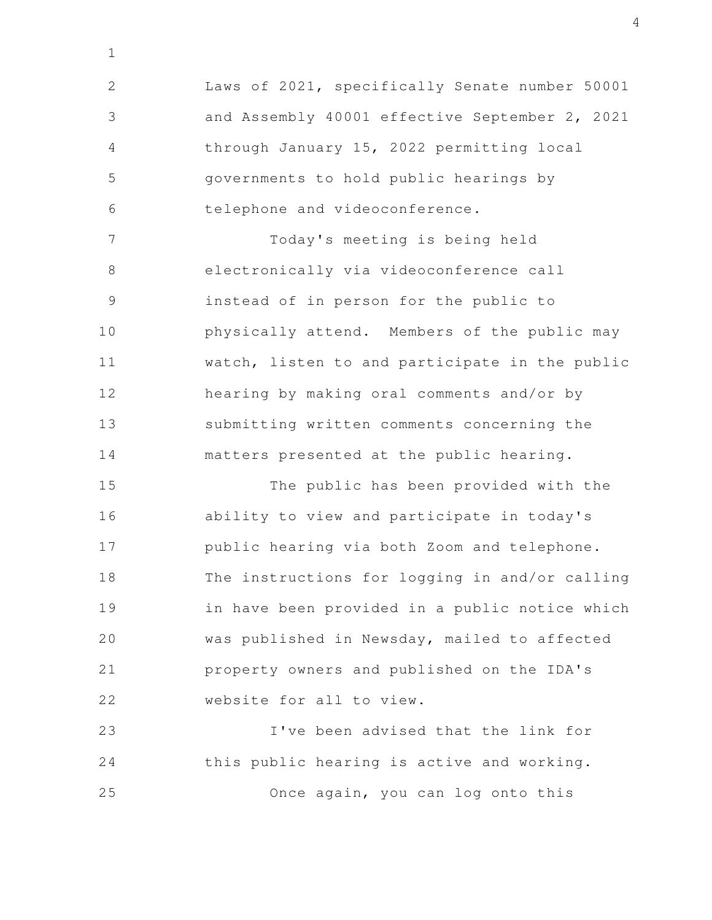Laws of 2021, specifically Senate number 50001 and Assembly 40001 effective September 2, 2021 through January 15, 2022 permitting local governments to hold public hearings by telephone and videoconference. 2 3 4 5 6

1

Today's meeting is being held electronically via videoconference call instead of in person for the public to physically attend. Members of the public may watch, listen to and participate in the public hearing by making oral comments and/or by submitting written comments concerning the matters presented at the public hearing. 7 8 9 10 11 12 13 14

The public has been provided with the ability to view and participate in today's public hearing via both Zoom and telephone. The instructions for logging in and/or calling in have been provided in a public notice which was published in Newsday, mailed to affected property owners and published on the IDA's website for all to view. 15 16 17 18 19 20 21 22

I've been advised that the link for this public hearing is active and working. Once again, you can log onto this 23 24 25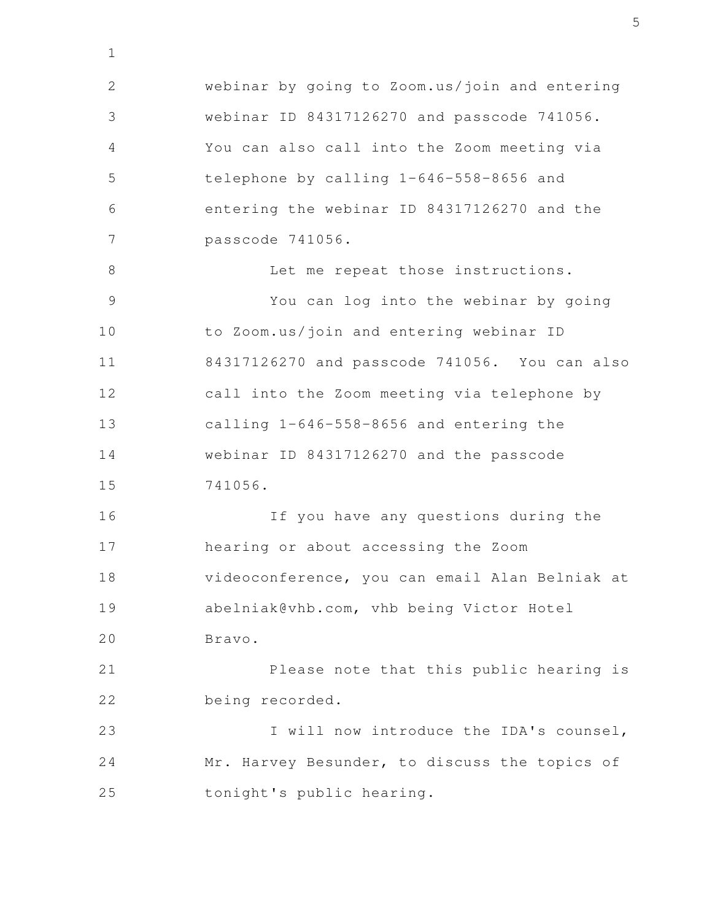webinar by going to Zoom.us/join and entering webinar ID 84317126270 and passcode 741056. You can also call into the Zoom meeting via telephone by calling 1-646-558-8656 and entering the webinar ID 84317126270 and the passcode 741056. Let me repeat those instructions. You can log into the webinar by going to Zoom.us/join and entering webinar ID 84317126270 and passcode 741056. You can also call into the Zoom meeting via telephone by calling 1-646-558-8656 and entering the webinar ID 84317126270 and the passcode 741056. If you have any questions during the hearing or about accessing the Zoom videoconference, you can email Alan Belniak at abelniak@vhb.com, vhb being Victor Hotel Bravo. Please note that this public hearing is being recorded. I will now introduce the IDA's counsel, 2 3 4 5 6 7 8 9 10 11 12 13 14 15 16 17 18 19 20 21 22 23

1

Mr. Harvey Besunder, to discuss the topics of tonight's public hearing. 24 25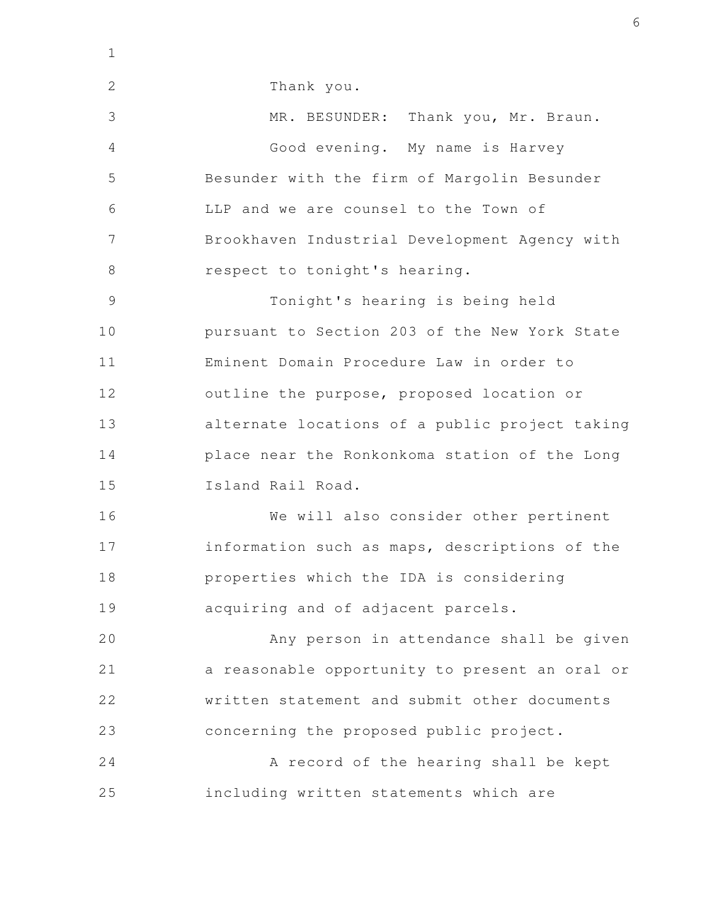Thank you. MR. BESUNDER: Thank you, Mr. Braun. Good evening. My name is Harvey Besunder with the firm of Margolin Besunder LLP and we are counsel to the Town of Brookhaven Industrial Development Agency with respect to tonight's hearing. Tonight's hearing is being held pursuant to Section 203 of the New York State Eminent Domain Procedure Law in order to outline the purpose, proposed location or alternate locations of a public project taking place near the Ronkonkoma station of the Long Island Rail Road. We will also consider other pertinent information such as maps, descriptions of the properties which the IDA is considering acquiring and of adjacent parcels. Any person in attendance shall be given a reasonable opportunity to present an oral or written statement and submit other documents concerning the proposed public project. A record of the hearing shall be kept including written statements which are 1 2 3 4 5 6 7 8 9 10 11 12 13 14 15 16 17 18 19 20 21 22 23 24 25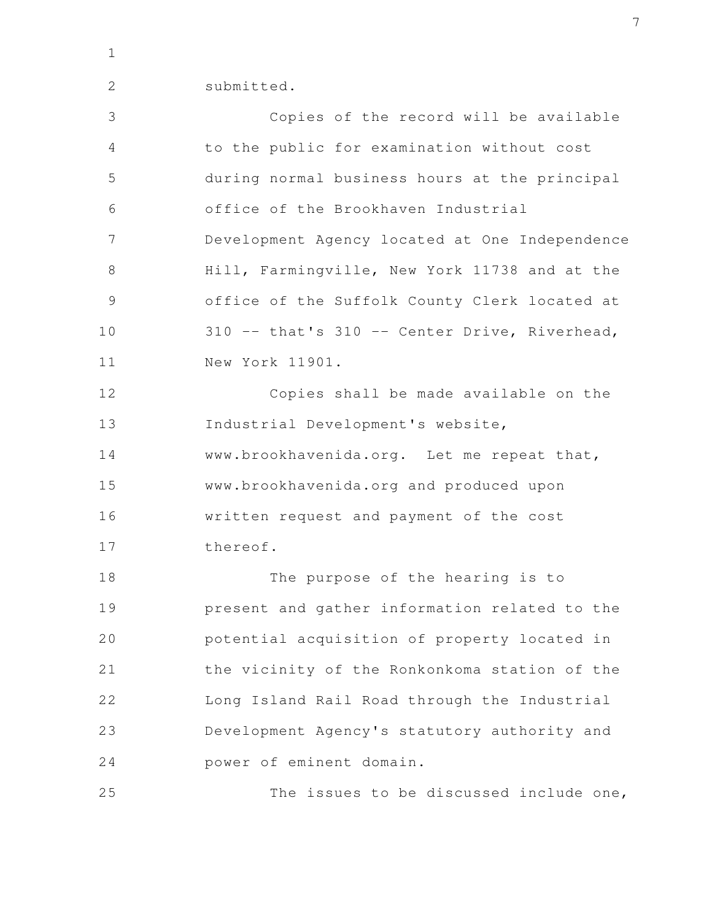1

2

submitted.

Copies of the record will be available to the public for examination without cost during normal business hours at the principal office of the Brookhaven Industrial Development Agency located at One Independence Hill, Farmingville, New York 11738 and at the office of the Suffolk County Clerk located at 310 -- that's 310 -- Center Drive, Riverhead, New York 11901. Copies shall be made available on the Industrial Development's website, www.brookhavenida.org. Let me repeat that, www.brookhavenida.org and produced upon written request and payment of the cost thereof. The purpose of the hearing is to present and gather information related to the potential acquisition of property located in the vicinity of the Ronkonkoma station of the Long Island Rail Road through the Industrial Development Agency's statutory authority and power of eminent domain. 3 4 5 6 7 8 9 10 11 12 13 14 15 16 17 18 19 20 21 22 23 24

The issues to be discussed include one, 25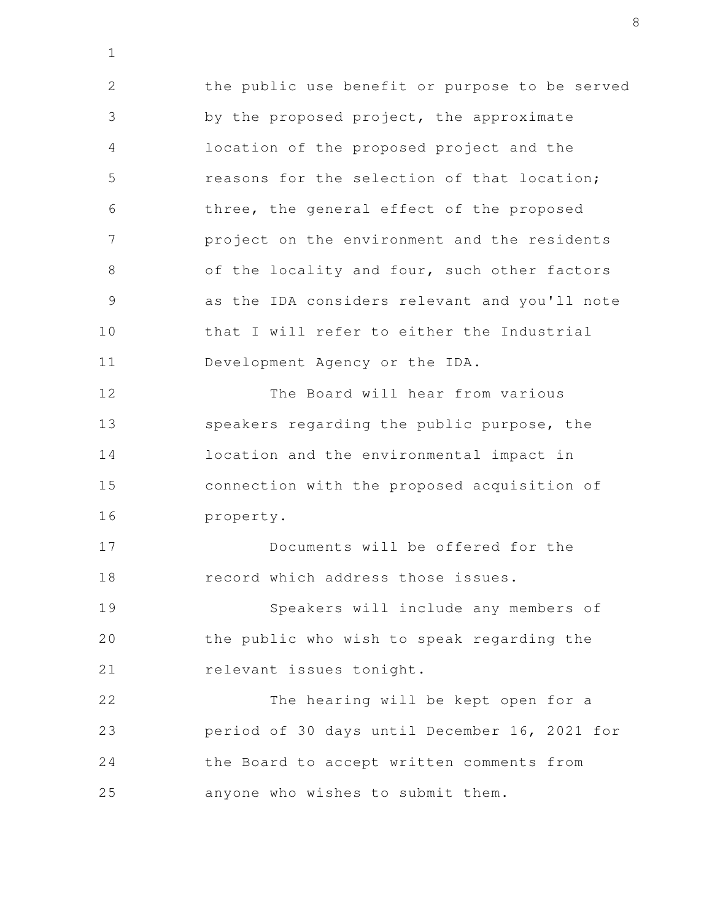the public use benefit or purpose to be served by the proposed project, the approximate location of the proposed project and the reasons for the selection of that location; three, the general effect of the proposed project on the environment and the residents of the locality and four, such other factors as the IDA considers relevant and you'll note that I will refer to either the Industrial Development Agency or the IDA. The Board will hear from various speakers regarding the public purpose, the location and the environmental impact in connection with the proposed acquisition of property. Documents will be offered for the record which address those issues. Speakers will include any members of the public who wish to speak regarding the relevant issues tonight. The hearing will be kept open for a period of 30 days until December 16, 2021 for the Board to accept written comments from anyone who wishes to submit them. 2 3 4 5 6 7 8 9 10 11 12 13 14 15 16 17 18 19 20 21 22 23 24 25

1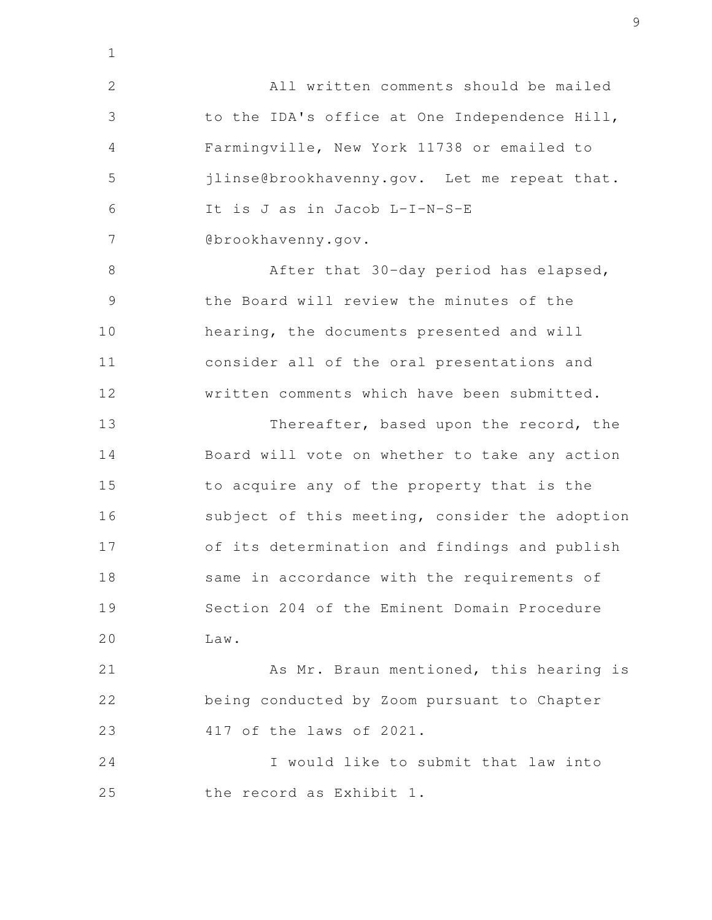All written comments should be mailed to the IDA's office at One Independence Hill, Farmingville, New York 11738 or emailed to jlinse@brookhavenny.gov. Let me repeat that. It is J as in Jacob L-I-N-S-E @brookhavenny.gov. After that 30-day period has elapsed, the Board will review the minutes of the hearing, the documents presented and will consider all of the oral presentations and written comments which have been submitted. Thereafter, based upon the record, the Board will vote on whether to take any action to acquire any of the property that is the subject of this meeting, consider the adoption of its determination and findings and publish same in accordance with the requirements of Section 204 of the Eminent Domain Procedure Law. As Mr. Braun mentioned, this hearing is being conducted by Zoom pursuant to Chapter 417 of the laws of 2021. I would like to submit that law into the record as Exhibit 1. 2 3 4 5 6 7 8 9 10 11 12 13 14 15 16 17 18 19 20 21 22 23 24 25

1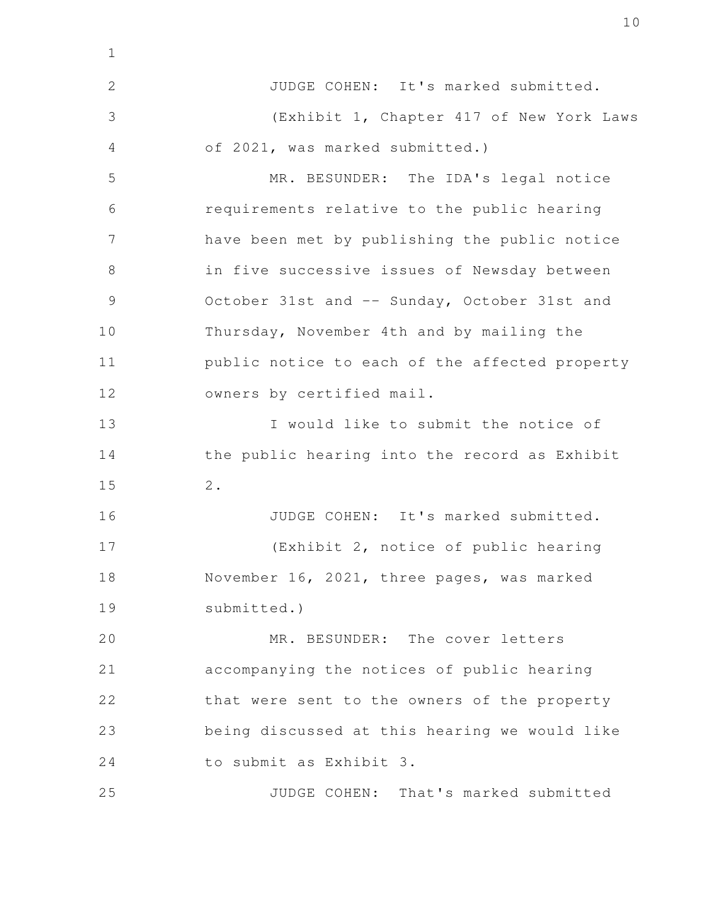JUDGE COHEN: It's marked submitted. (Exhibit 1, Chapter 417 of New York Laws of 2021, was marked submitted.) MR. BESUNDER: The IDA's legal notice requirements relative to the public hearing have been met by publishing the public notice in five successive issues of Newsday between October 31st and -- Sunday, October 31st and Thursday, November 4th and by mailing the public notice to each of the affected property owners by certified mail. I would like to submit the notice of the public hearing into the record as Exhibit 2. 1 2 3 4 5 6 7 8 9 10 11 12 13 14 15

JUDGE COHEN: It's marked submitted. (Exhibit 2, notice of public hearing November 16, 2021, three pages, was marked submitted.) 16 17 18 19

MR. BESUNDER: The cover letters accompanying the notices of public hearing that were sent to the owners of the property being discussed at this hearing we would like to submit as Exhibit 3. 20 21 22 23 24

JUDGE COHEN: That's marked submitted 25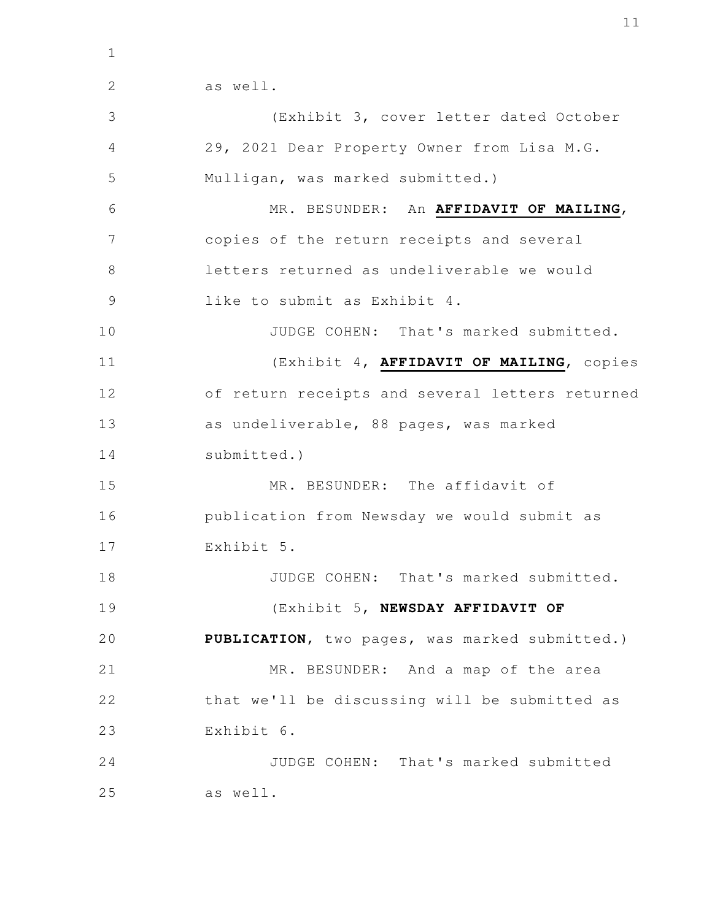1

as well.

(Exhibit 3, cover letter dated October 29, 2021 Dear Property Owner from Lisa M.G. Mulligan, was marked submitted.) MR. BESUNDER: An **AFFIDAVIT OF MAILING**, copies of the return receipts and several letters returned as undeliverable we would like to submit as Exhibit 4. JUDGE COHEN: That's marked submitted. (Exhibit 4, **AFFIDAVIT OF MAILING**, copies of return receipts and several letters returned as undeliverable, 88 pages, was marked submitted.) MR. BESUNDER: The affidavit of publication from Newsday we would submit as Exhibit 5. JUDGE COHEN: That's marked submitted. (Exhibit 5, **NEWSDAY AFFIDAVIT OF PUBLICATION**, two pages, was marked submitted.) MR. BESUNDER: And a map of the area that we'll be discussing will be submitted as Exhibit 6. JUDGE COHEN: That's marked submitted as well. 2 3 4 5 6 7 8 9 10 11 12 13 14 15 16 17 18 19 20 21 22 23 24 25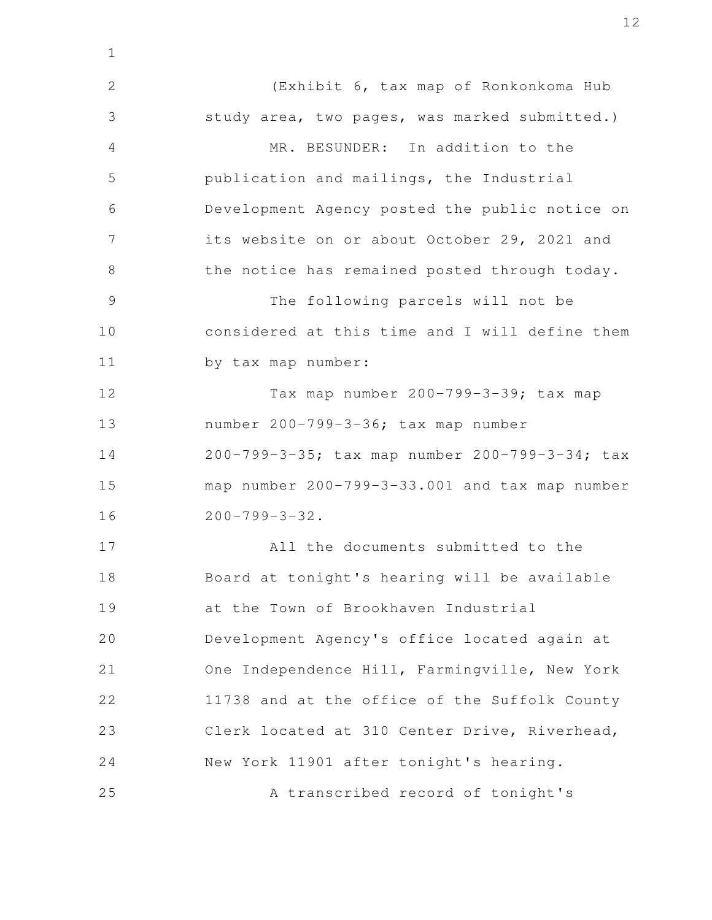(Exhibit 6, tax map of Ronkonkoma Hub study area, two pages, was marked submitted.) MR. BESUNDER: In addition to the publication and mailings, the Industrial Development Agency posted the public notice on its website on or about October 29, 2021 and the notice has remained posted through today. The following parcels will not be considered at this time and I will define them by tax map number: Tax map number 200-799-3-39; tax map number 200-799-3-36; tax map number 200-799-3-35; tax map number 200-799-3-34; tax map number 200-799-3-33.001 and tax map number  $200 - 799 - 3 - 32$ . All the documents submitted to the Board at tonight's hearing will be available at the Town of Brookhaven Industrial Development Agency's office located again at One Independence Hill, Farmingville, New York 11738 and at the office of the Suffolk County Clerk located at 310 Center Drive, Riverhead, New York 11901 after tonight's hearing. A transcribed record of tonight's 2 3 4 5 6 7 8 9 10 11 12 13 14 15 16 17 18 19 20 21 22 23 24 25

1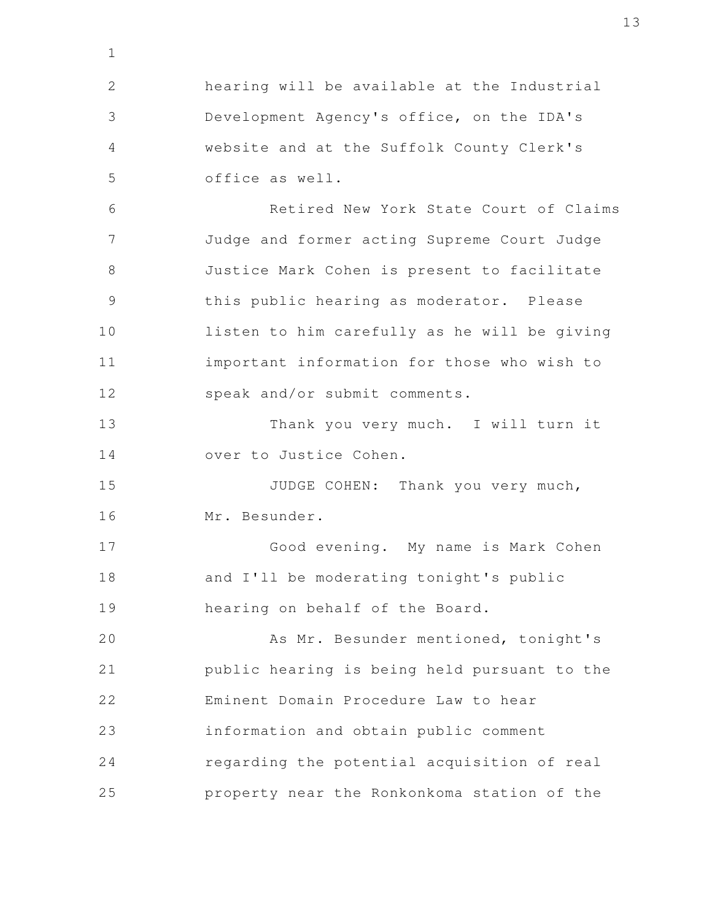hearing will be available at the Industrial Development Agency's office, on the IDA's website and at the Suffolk County Clerk's office as well. Retired New York State Court of Claims Judge and former acting Supreme Court Judge Justice Mark Cohen is present to facilitate this public hearing as moderator. Please listen to him carefully as he will be giving important information for those who wish to speak and/or submit comments. Thank you very much. I will turn it over to Justice Cohen. JUDGE COHEN: Thank you very much, Mr. Besunder. Good evening. My name is Mark Cohen and I'll be moderating tonight's public hearing on behalf of the Board. As Mr. Besunder mentioned, tonight's public hearing is being held pursuant to the Eminent Domain Procedure Law to hear information and obtain public comment regarding the potential acquisition of real property near the Ronkonkoma station of the 1 2 3 4 5 6 7 8 9 10 11 12 13 14 15 16 17 18 19 20 21 22 23 24 25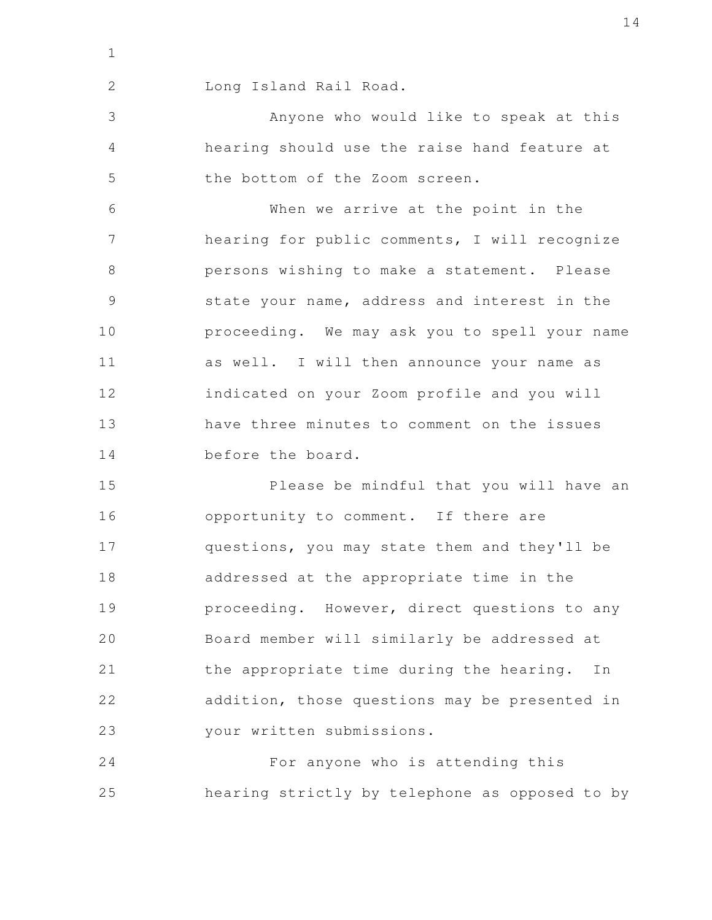1

2

Long Island Rail Road.

Anyone who would like to speak at this hearing should use the raise hand feature at the bottom of the Zoom screen. 3 4 5

When we arrive at the point in the hearing for public comments, I will recognize persons wishing to make a statement. Please state your name, address and interest in the proceeding. We may ask you to spell your name as well. I will then announce your name as indicated on your Zoom profile and you will have three minutes to comment on the issues before the board. 6 7 8 9 10 11 12 13 14

Please be mindful that you will have an opportunity to comment. If there are questions, you may state them and they'll be addressed at the appropriate time in the proceeding. However, direct questions to any Board member will similarly be addressed at the appropriate time during the hearing. In addition, those questions may be presented in your written submissions. 15 16 17 18 19 20 21 22 23

For anyone who is attending this hearing strictly by telephone as opposed to by 24 25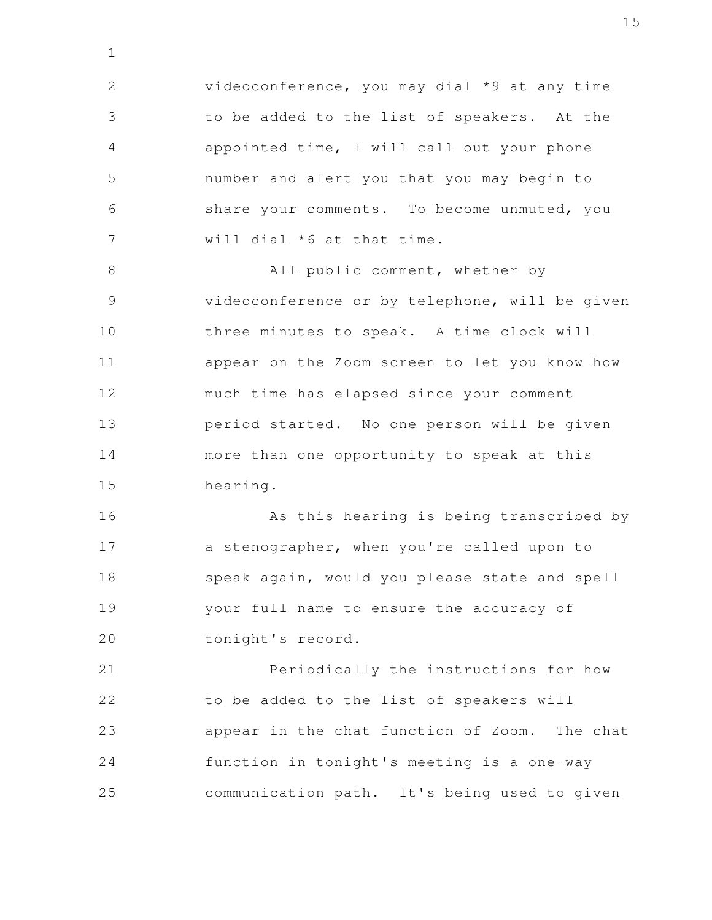videoconference, you may dial \*9 at any time to be added to the list of speakers. At the appointed time, I will call out your phone number and alert you that you may begin to share your comments. To become unmuted, you will dial \*6 at that time. 2 3 4 5 6 7

1

All public comment, whether by videoconference or by telephone, will be given three minutes to speak. A time clock will appear on the Zoom screen to let you know how much time has elapsed since your comment period started. No one person will be given more than one opportunity to speak at this hearing. 8 9 10 11 12 13 14 15

As this hearing is being transcribed by a stenographer, when you're called upon to speak again, would you please state and spell your full name to ensure the accuracy of tonight's record. 16 17 18 19 20

Periodically the instructions for how to be added to the list of speakers will appear in the chat function of Zoom. The chat function in tonight's meeting is a one-way communication path. It's being used to given 21 22 23 24 25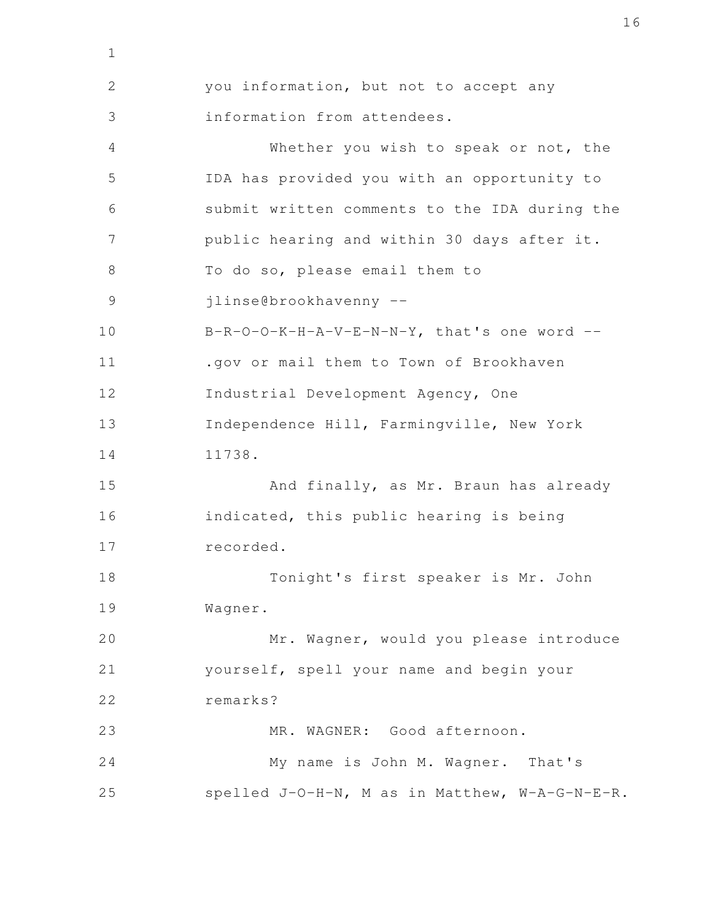you information, but not to accept any information from attendees. Whether you wish to speak or not, the IDA has provided you with an opportunity to submit written comments to the IDA during the public hearing and within 30 days after it. To do so, please email them to jlinse@brookhavenny -- B-R-O-O-K-H-A-V-E-N-N-Y, that's one word -- .gov or mail them to Town of Brookhaven Industrial Development Agency, One Independence Hill, Farmingville, New York 11738. And finally, as Mr. Braun has already indicated, this public hearing is being recorded. Tonight's first speaker is Mr. John Wagner. Mr. Wagner, would you please introduce yourself, spell your name and begin your remarks? MR. WAGNER: Good afternoon. My name is John M. Wagner. That's spelled J-O-H-N, M as in Matthew, W-A-G-N-E-R. 2 3 4 5 6 7 8 9 10 11 12 13 14 15 16 17 18 19 20 21 22 23 24 25

1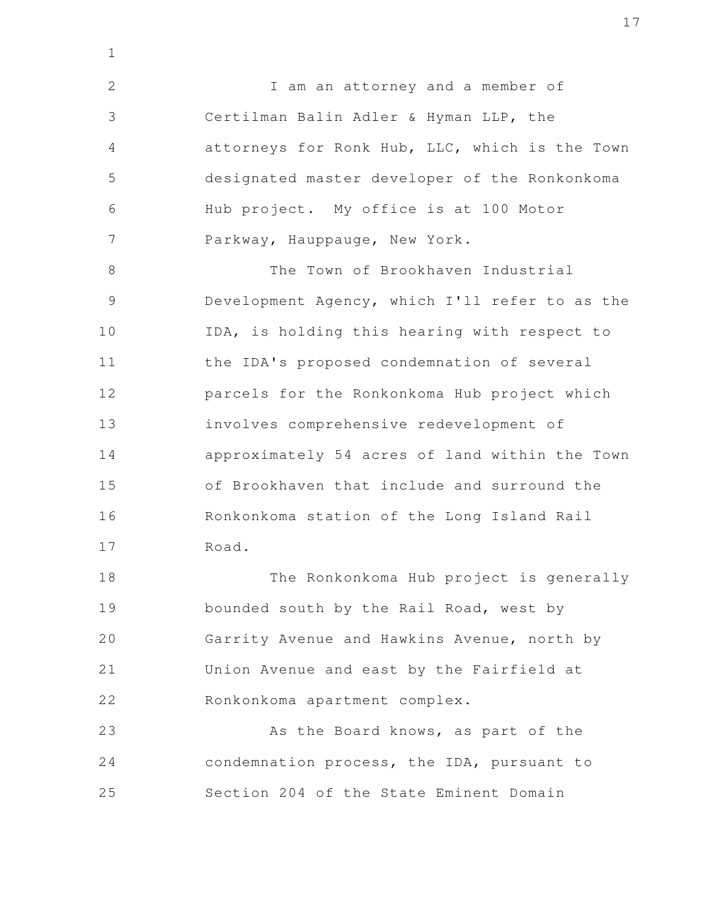I am an attorney and a member of Certilman Balin Adler & Hyman LLP, the attorneys for Ronk Hub, LLC, which is the Town designated master developer of the Ronkonkoma Hub project. My office is at 100 Motor Parkway, Hauppauge, New York. 2 3 4 5 6 7

1

The Town of Brookhaven Industrial Development Agency, which I'll refer to as the IDA, is holding this hearing with respect to the IDA's proposed condemnation of several parcels for the Ronkonkoma Hub project which involves comprehensive redevelopment of approximately 54 acres of land within the Town of Brookhaven that include and surround the Ronkonkoma station of the Long Island Rail Road. 8 9 10 11 12 13 14 15 16 17

The Ronkonkoma Hub project is generally bounded south by the Rail Road, west by Garrity Avenue and Hawkins Avenue, north by Union Avenue and east by the Fairfield at Ronkonkoma apartment complex. 18 19 20 21 22

As the Board knows, as part of the condemnation process, the IDA, pursuant to Section 204 of the State Eminent Domain 23 24 25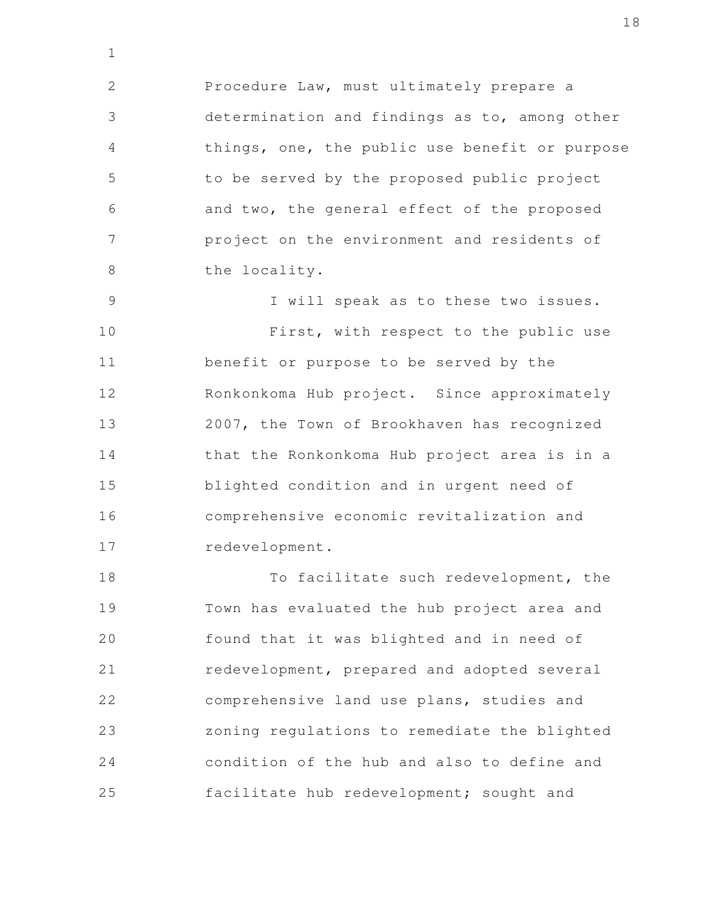Procedure Law, must ultimately prepare a determination and findings as to, among other things, one, the public use benefit or purpose to be served by the proposed public project and two, the general effect of the proposed project on the environment and residents of the locality. 2 3 4 5 6 7 8

1

I will speak as to these two issues. First, with respect to the public use benefit or purpose to be served by the Ronkonkoma Hub project. Since approximately 2007, the Town of Brookhaven has recognized that the Ronkonkoma Hub project area is in a blighted condition and in urgent need of comprehensive economic revitalization and redevelopment. 9 10 11 12 13 14 15 16 17

To facilitate such redevelopment, the Town has evaluated the hub project area and found that it was blighted and in need of redevelopment, prepared and adopted several comprehensive land use plans, studies and zoning regulations to remediate the blighted condition of the hub and also to define and facilitate hub redevelopment; sought and 18 19 20 21 22 23 24 25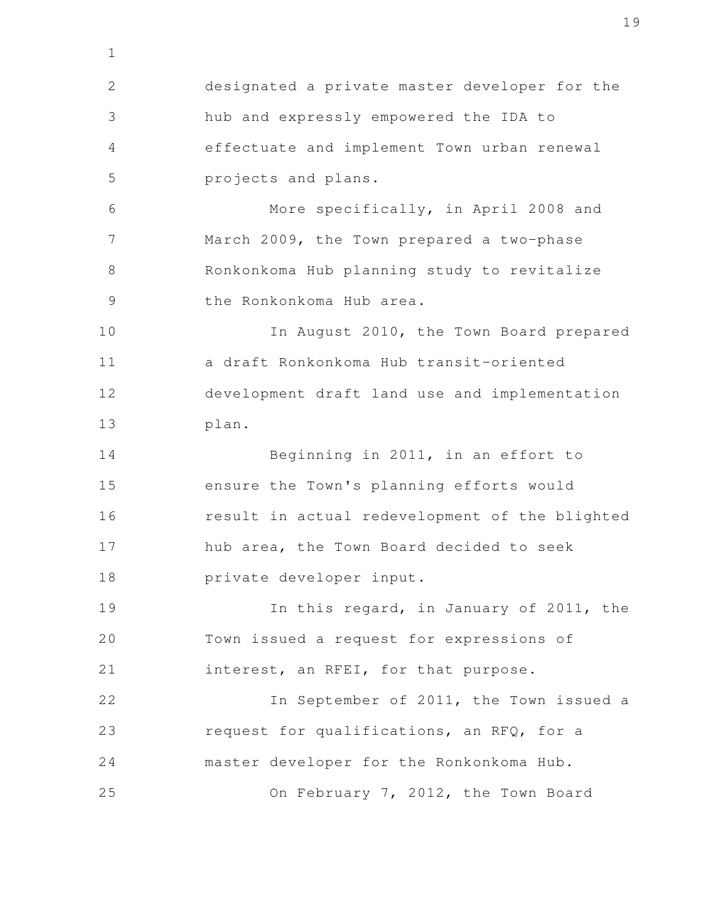designated a private master developer for the hub and expressly empowered the IDA to effectuate and implement Town urban renewal projects and plans. More specifically, in April 2008 and March 2009, the Town prepared a two-phase Ronkonkoma Hub planning study to revitalize the Ronkonkoma Hub area. In August 2010, the Town Board prepared a draft Ronkonkoma Hub transit-oriented development draft land use and implementation plan. Beginning in 2011, in an effort to ensure the Town's planning efforts would result in actual redevelopment of the blighted hub area, the Town Board decided to seek private developer input. In this regard, in January of 2011, the Town issued a request for expressions of interest, an RFEI, for that purpose. In September of 2011, the Town issued a request for qualifications, an RFQ, for a master developer for the Ronkonkoma Hub. On February 7, 2012, the Town Board 2 3 4 5 6 7 8 9 10 11 12 13 14 15 16 17 18 19 20 21 22 23 24 25

1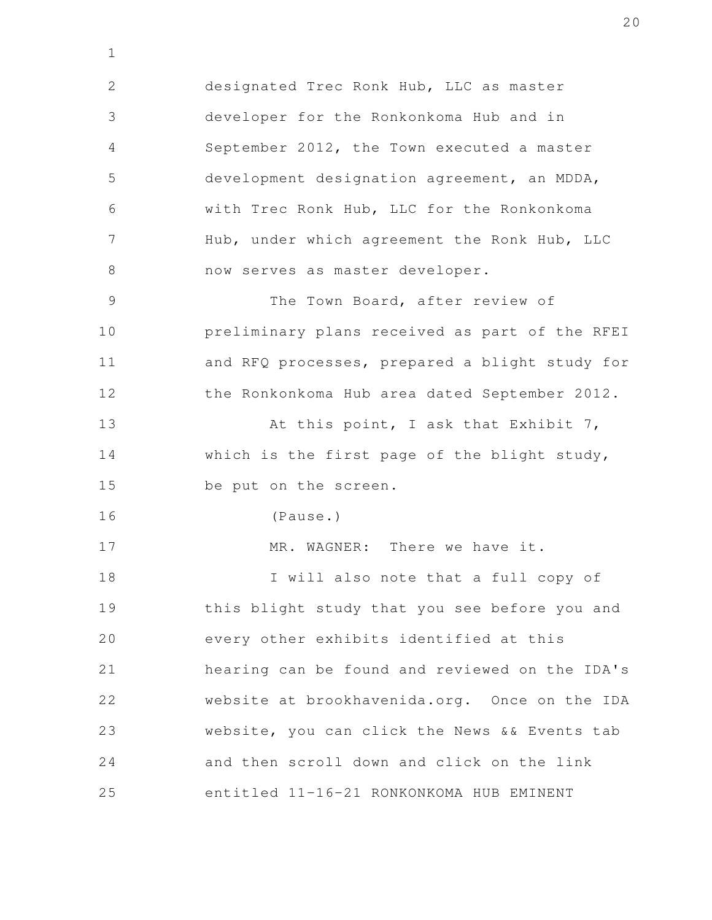designated Trec Ronk Hub, LLC as master developer for the Ronkonkoma Hub and in September 2012, the Town executed a master development designation agreement, an MDDA, with Trec Ronk Hub, LLC for the Ronkonkoma Hub, under which agreement the Ronk Hub, LLC now serves as master developer. The Town Board, after review of preliminary plans received as part of the RFEI and RFQ processes, prepared a blight study for the Ronkonkoma Hub area dated September 2012. At this point, I ask that Exhibit 7, which is the first page of the blight study, be put on the screen. (Pause.) MR. WAGNER: There we have it. I will also note that a full copy of this blight study that you see before you and every other exhibits identified at this hearing can be found and reviewed on the IDA's website at brookhavenida.org. Once on the IDA website, you can click the News && Events tab and then scroll down and click on the link 2 3 4 5 6 7 8 9 10 11 12 13 14 15 16 17 18 19 20 21 22 23 24

1

entitled 11-16-21 RONKONKOMA HUB EMINENT 25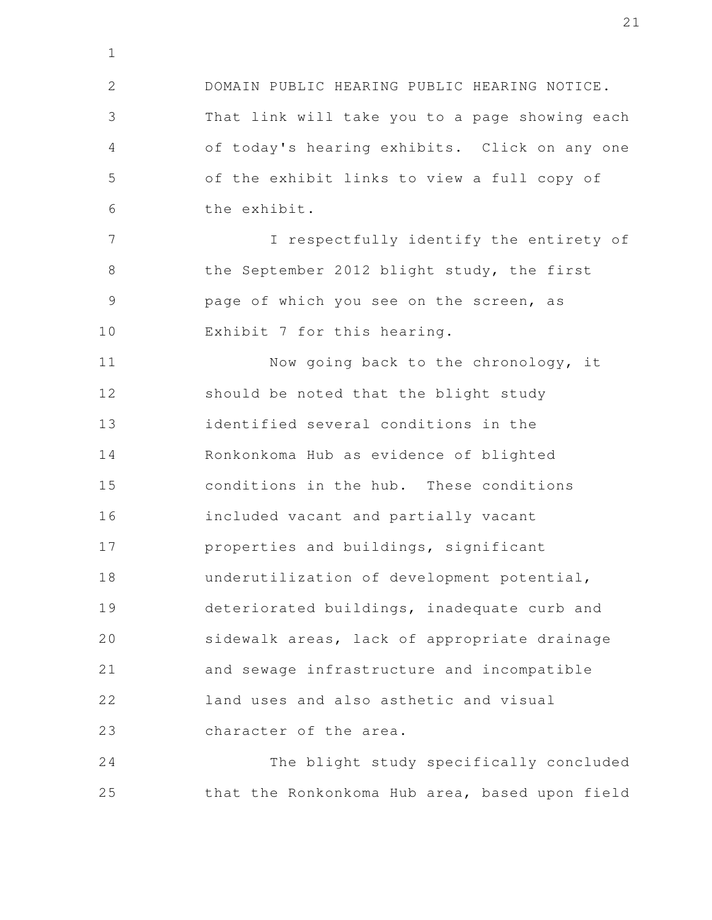DOMAIN PUBLIC HEARING PUBLIC HEARING NOTICE. That link will take you to a page showing each of today's hearing exhibits. Click on any one of the exhibit links to view a full copy of the exhibit. I respectfully identify the entirety of the September 2012 blight study, the first page of which you see on the screen, as Exhibit 7 for this hearing. Now going back to the chronology, it should be noted that the blight study identified several conditions in the Ronkonkoma Hub as evidence of blighted conditions in the hub. These conditions included vacant and partially vacant properties and buildings, significant underutilization of development potential, deteriorated buildings, inadequate curb and sidewalk areas, lack of appropriate drainage and sewage infrastructure and incompatible land uses and also asthetic and visual 2 3 4 5 6 7 8 9 10 11 12 13 14 15 16 17 18 19 20 21 22

character of the area. 23

1

The blight study specifically concluded that the Ronkonkoma Hub area, based upon field 24 25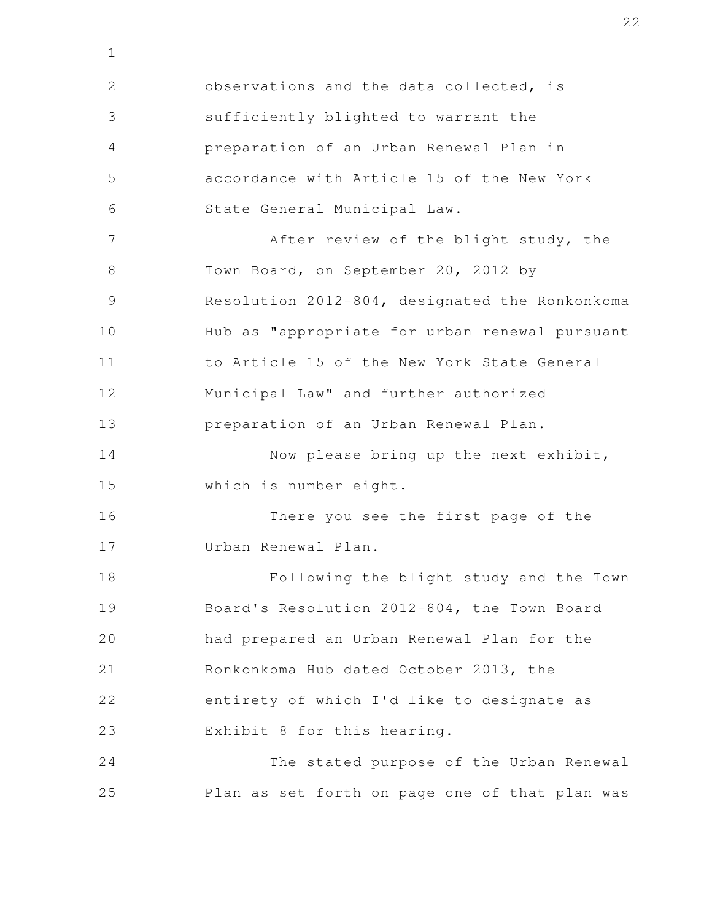observations and the data collected, is sufficiently blighted to warrant the preparation of an Urban Renewal Plan in accordance with Article 15 of the New York State General Municipal Law. After review of the blight study, the Town Board, on September 20, 2012 by Resolution 2012-804, designated the Ronkonkoma Hub as "appropriate for urban renewal pursuant to Article 15 of the New York State General Municipal Law" and further authorized preparation of an Urban Renewal Plan. Now please bring up the next exhibit, which is number eight. There you see the first page of the Urban Renewal Plan. Following the blight study and the Town Board's Resolution 2012-804, the Town Board had prepared an Urban Renewal Plan for the Ronkonkoma Hub dated October 2013, the entirety of which I'd like to designate as Exhibit 8 for this hearing. The stated purpose of the Urban Renewal Plan as set forth on page one of that plan was 2 3 4 5 6 7 8 9 10 11 12 13 14 15 16 17 18 19 20 21 22 23 24 25

1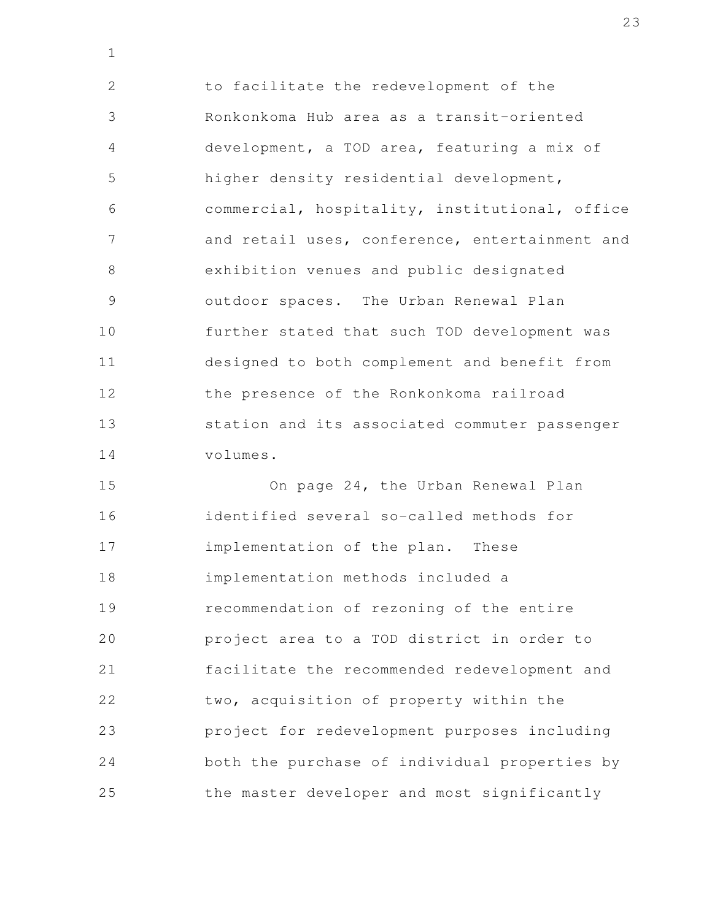to facilitate the redevelopment of the Ronkonkoma Hub area as a transit-oriented development, a TOD area, featuring a mix of higher density residential development, commercial, hospitality, institutional, office and retail uses, conference, entertainment and exhibition venues and public designated outdoor spaces. The Urban Renewal Plan further stated that such TOD development was designed to both complement and benefit from the presence of the Ronkonkoma railroad station and its associated commuter passenger volumes. 2 3 4 5 6 7 8 9 10 11 12 13 14

1

On page 24, the Urban Renewal Plan identified several so-called methods for implementation of the plan. These implementation methods included a recommendation of rezoning of the entire project area to a TOD district in order to facilitate the recommended redevelopment and two, acquisition of property within the project for redevelopment purposes including both the purchase of individual properties by the master developer and most significantly 15 16 17 18 19 20 21 22 23 24 25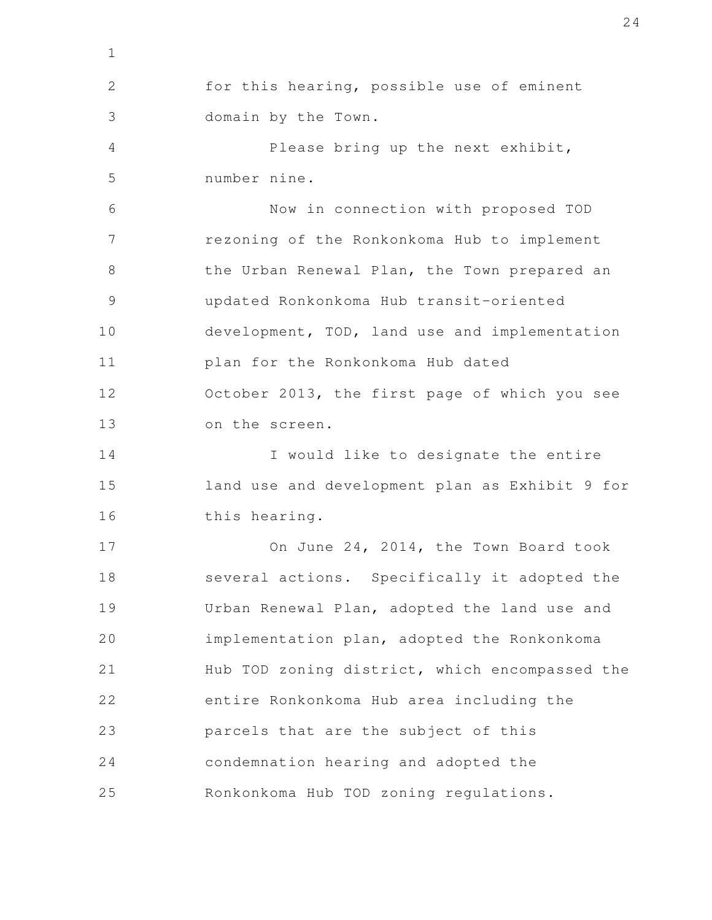for this hearing, possible use of eminent domain by the Town. Please bring up the next exhibit, number nine. Now in connection with proposed TOD rezoning of the Ronkonkoma Hub to implement the Urban Renewal Plan, the Town prepared an updated Ronkonkoma Hub transit-oriented development, TOD, land use and implementation plan for the Ronkonkoma Hub dated October 2013, the first page of which you see on the screen. I would like to designate the entire land use and development plan as Exhibit 9 for this hearing. On June 24, 2014, the Town Board took several actions. Specifically it adopted the Urban Renewal Plan, adopted the land use and implementation plan, adopted the Ronkonkoma Hub TOD zoning district, which encompassed the entire Ronkonkoma Hub area including the parcels that are the subject of this condemnation hearing and adopted the Ronkonkoma Hub TOD zoning regulations. 1 2 3 4 5 6 7 8 9 10 11 12 13 14 15 16 17 18 19 20 21 22 23 24 25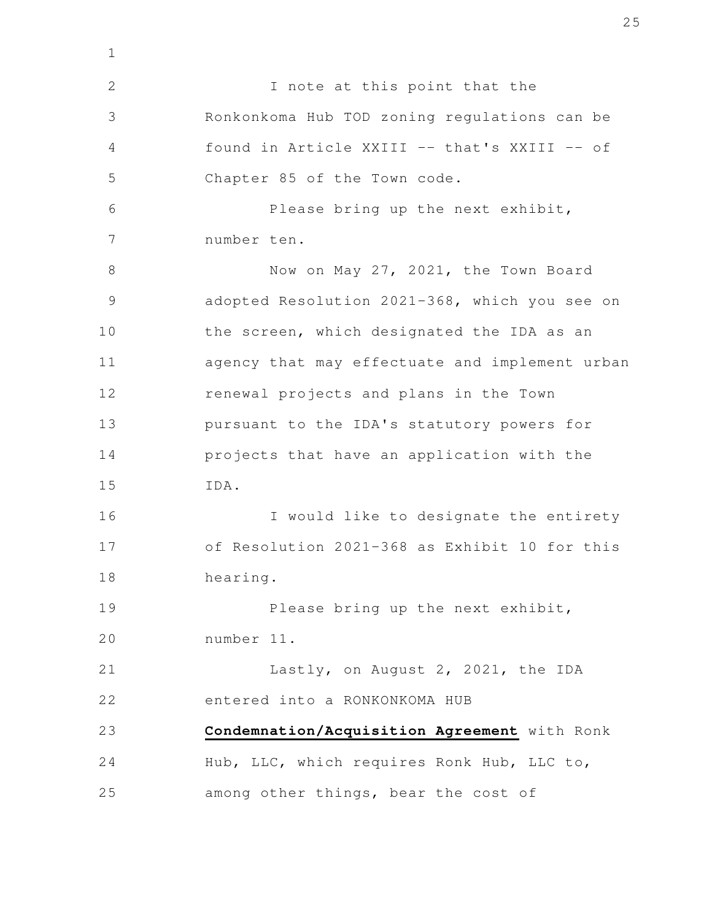I note at this point that the Ronkonkoma Hub TOD zoning regulations can be found in Article XXIII -- that's XXIII -- of Chapter 85 of the Town code. Please bring up the next exhibit, number ten. Now on May 27, 2021, the Town Board adopted Resolution 2021-368, which you see on the screen, which designated the IDA as an agency that may effectuate and implement urban renewal projects and plans in the Town pursuant to the IDA's statutory powers for projects that have an application with the IDA. I would like to designate the entirety of Resolution 2021-368 as Exhibit 10 for this hearing. Please bring up the next exhibit, number 11. Lastly, on August 2, 2021, the IDA entered into a RONKONKOMA HUB **Condemnation/Acquisition Agreement** with Ronk Hub, LLC, which requires Ronk Hub, LLC to, among other things, bear the cost of 2 3 4 5 6 7 8 9 10 11 12 13 14 15 16 17 18 19 20 21 22 23 24 25

1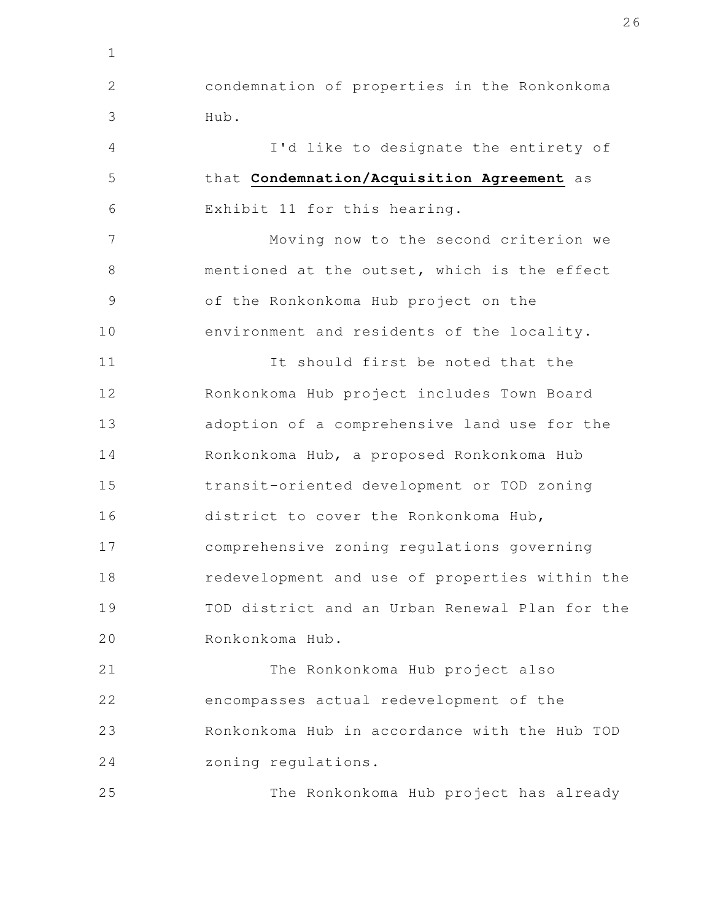condemnation of properties in the Ronkonkoma Hub. 2 3

1

25

I'd like to designate the entirety of that **Condemnation/Acquisition Agreement** as Exhibit 11 for this hearing. 4 5 6

Moving now to the second criterion we mentioned at the outset, which is the effect of the Ronkonkoma Hub project on the environment and residents of the locality. 7 8 9 10

It should first be noted that the Ronkonkoma Hub project includes Town Board adoption of a comprehensive land use for the Ronkonkoma Hub, a proposed Ronkonkoma Hub transit-oriented development or TOD zoning district to cover the Ronkonkoma Hub, comprehensive zoning regulations governing redevelopment and use of properties within the TOD district and an Urban Renewal Plan for the Ronkonkoma Hub. 11 12 13 14 15 16 17 18 19 20

The Ronkonkoma Hub project also encompasses actual redevelopment of the Ronkonkoma Hub in accordance with the Hub TOD zoning regulations. 21 22 23 24

The Ronkonkoma Hub project has already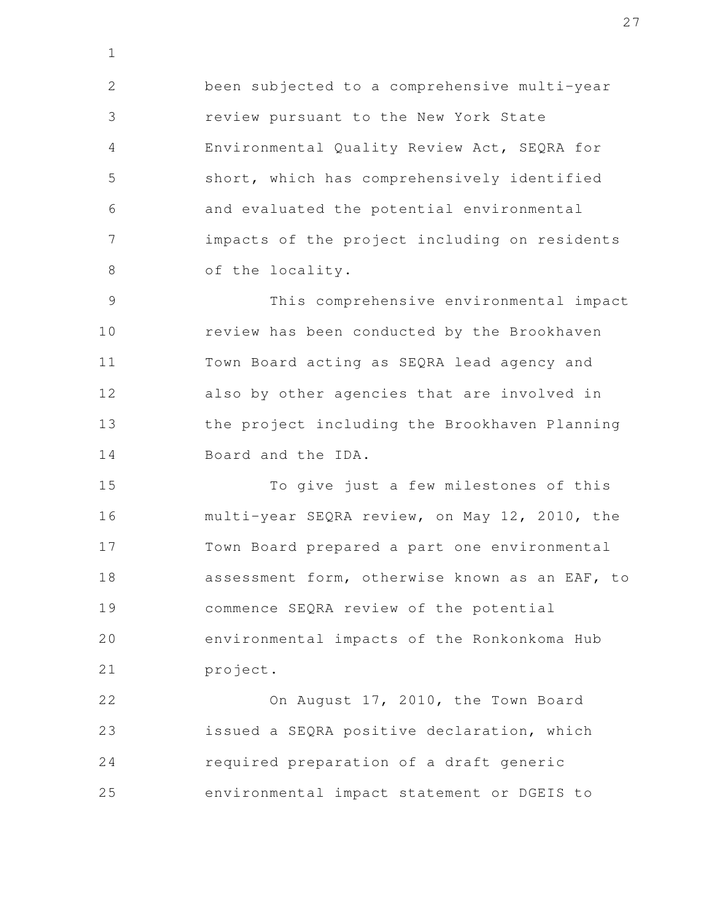been subjected to a comprehensive multi-year review pursuant to the New York State Environmental Quality Review Act, SEQRA for short, which has comprehensively identified and evaluated the potential environmental impacts of the project including on residents of the locality. 2 3 4 5 6 7 8

1

This comprehensive environmental impact review has been conducted by the Brookhaven Town Board acting as SEQRA lead agency and also by other agencies that are involved in the project including the Brookhaven Planning Board and the IDA. 9 10 11 12 13 14

To give just a few milestones of this multi-year SEQRA review, on May 12, 2010, the Town Board prepared a part one environmental assessment form, otherwise known as an EAF, to commence SEQRA review of the potential environmental impacts of the Ronkonkoma Hub project. 15 16 17 18 19 20 21

On August 17, 2010, the Town Board issued a SEQRA positive declaration, which required preparation of a draft generic environmental impact statement or DGEIS to 22 23 24 25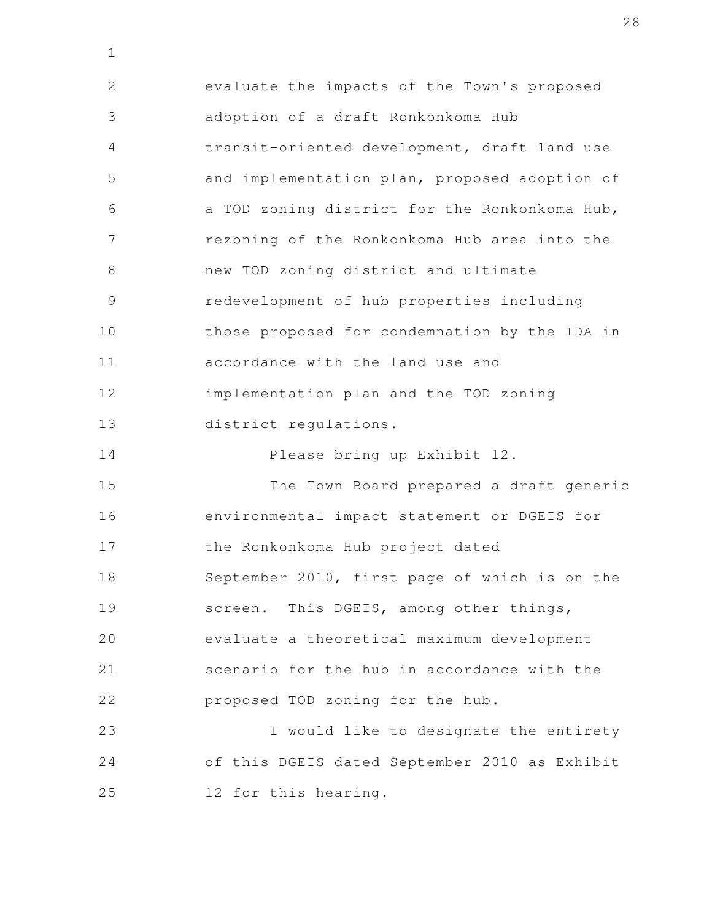evaluate the impacts of the Town's proposed adoption of a draft Ronkonkoma Hub transit-oriented development, draft land use and implementation plan, proposed adoption of a TOD zoning district for the Ronkonkoma Hub, rezoning of the Ronkonkoma Hub area into the new TOD zoning district and ultimate redevelopment of hub properties including those proposed for condemnation by the IDA in accordance with the land use and implementation plan and the TOD zoning district regulations. Please bring up Exhibit 12. The Town Board prepared a draft generic environmental impact statement or DGEIS for the Ronkonkoma Hub project dated September 2010, first page of which is on the screen. This DGEIS, among other things, evaluate a theoretical maximum development scenario for the hub in accordance with the 2 3 4 5 6 7 8 9 10 11 12 13 14 15 16 17 18 19 20 21

1

proposed TOD zoning for the hub. 22

I would like to designate the entirety of this DGEIS dated September 2010 as Exhibit 12 for this hearing. 23 24 25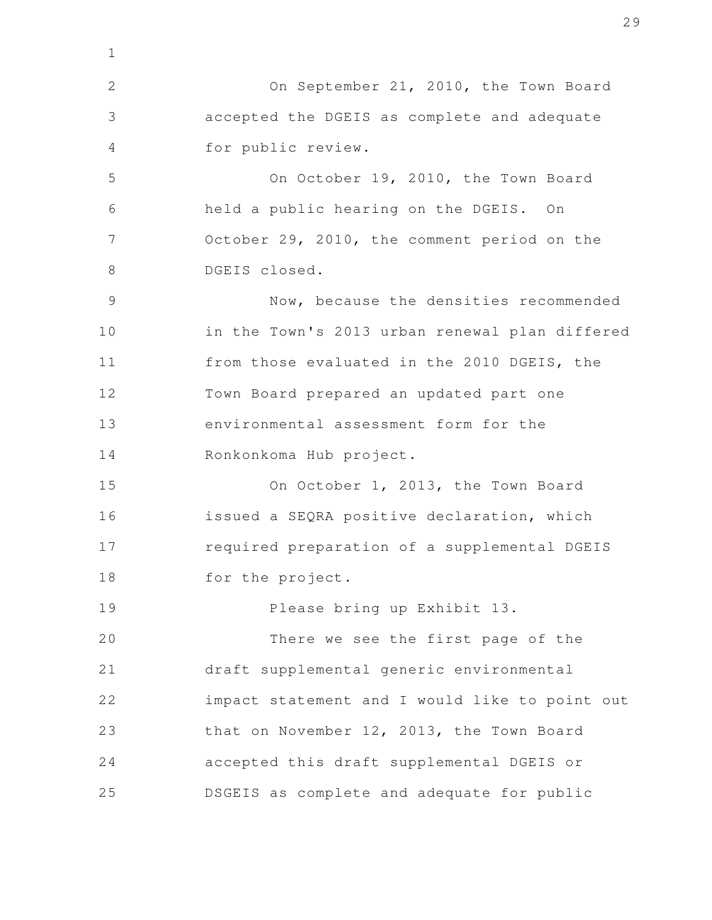On September 21, 2010, the Town Board accepted the DGEIS as complete and adequate for public review. On October 19, 2010, the Town Board held a public hearing on the DGEIS. On October 29, 2010, the comment period on the DGEIS closed. Now, because the densities recommended in the Town's 2013 urban renewal plan differed from those evaluated in the 2010 DGEIS, the Town Board prepared an updated part one environmental assessment form for the Ronkonkoma Hub project. On October 1, 2013, the Town Board issued a SEQRA positive declaration, which required preparation of a supplemental DGEIS for the project. Please bring up Exhibit 13. There we see the first page of the draft supplemental generic environmental impact statement and I would like to point out that on November 12, 2013, the Town Board accepted this draft supplemental DGEIS or DSGEIS as complete and adequate for public 2 3 4 5 6 7 8 9 10 11 12 13 14 15 16 17 18 19 20 21 22 23 24 25

1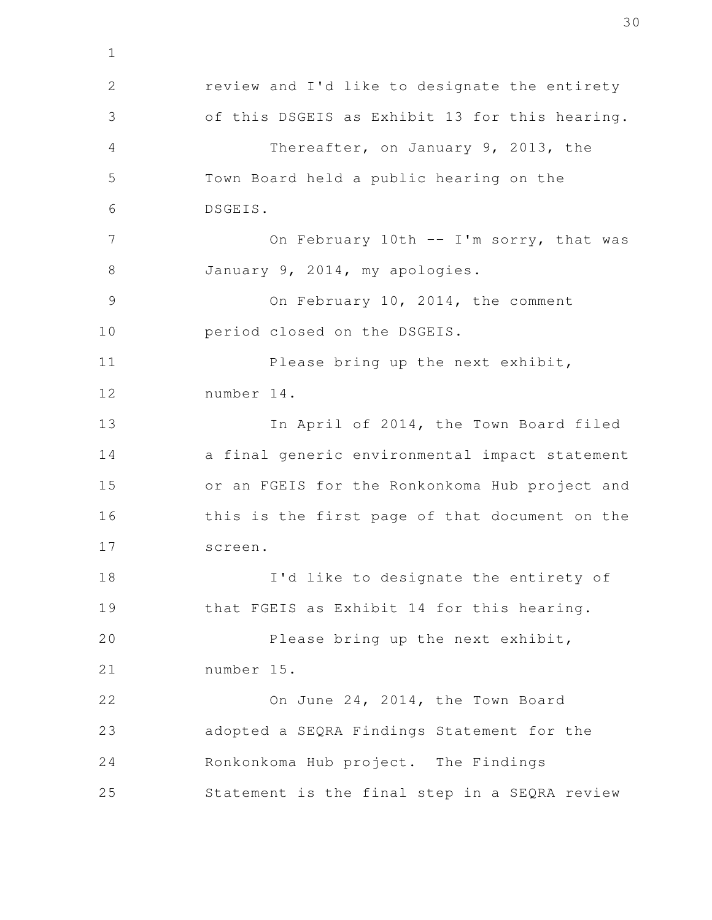review and I'd like to designate the entirety of this DSGEIS as Exhibit 13 for this hearing. Thereafter, on January 9, 2013, the Town Board held a public hearing on the DSGEIS. On February 10th -- I'm sorry, that was January 9, 2014, my apologies. On February 10, 2014, the comment period closed on the DSGEIS. Please bring up the next exhibit, number 14. In April of 2014, the Town Board filed a final generic environmental impact statement or an FGEIS for the Ronkonkoma Hub project and this is the first page of that document on the screen. I'd like to designate the entirety of that FGEIS as Exhibit 14 for this hearing. Please bring up the next exhibit, number 15. On June 24, 2014, the Town Board adopted a SEQRA Findings Statement for the Ronkonkoma Hub project. The Findings Statement is the final step in a SEQRA review 2 3 4 5 6 7 8 9 10 11 12 13 14 15 16 17 18 19 20 21 22 23 24 25

1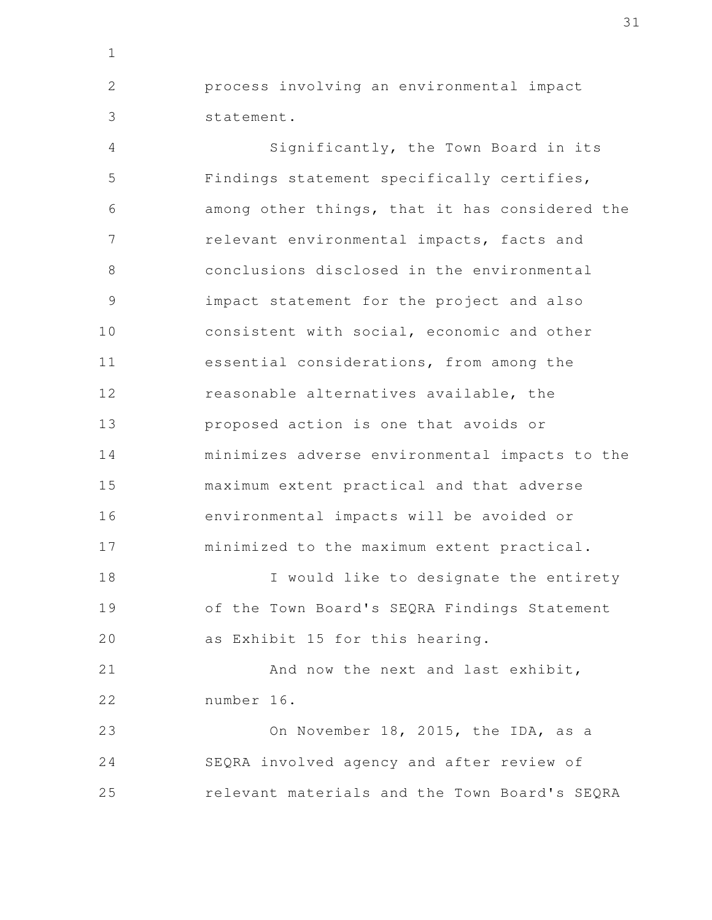process involving an environmental impact statement.

1

2

3

Significantly, the Town Board in its Findings statement specifically certifies, among other things, that it has considered the relevant environmental impacts, facts and conclusions disclosed in the environmental impact statement for the project and also consistent with social, economic and other essential considerations, from among the reasonable alternatives available, the proposed action is one that avoids or minimizes adverse environmental impacts to the maximum extent practical and that adverse environmental impacts will be avoided or minimized to the maximum extent practical. 4 5 6 7 8 9 10 11 12 13 14 15 16 17

I would like to designate the entirety of the Town Board's SEQRA Findings Statement as Exhibit 15 for this hearing. 18 19 20

And now the next and last exhibit, number 16. 21 22

On November 18, 2015, the IDA, as a SEQRA involved agency and after review of relevant materials and the Town Board's SEQRA 23 24 25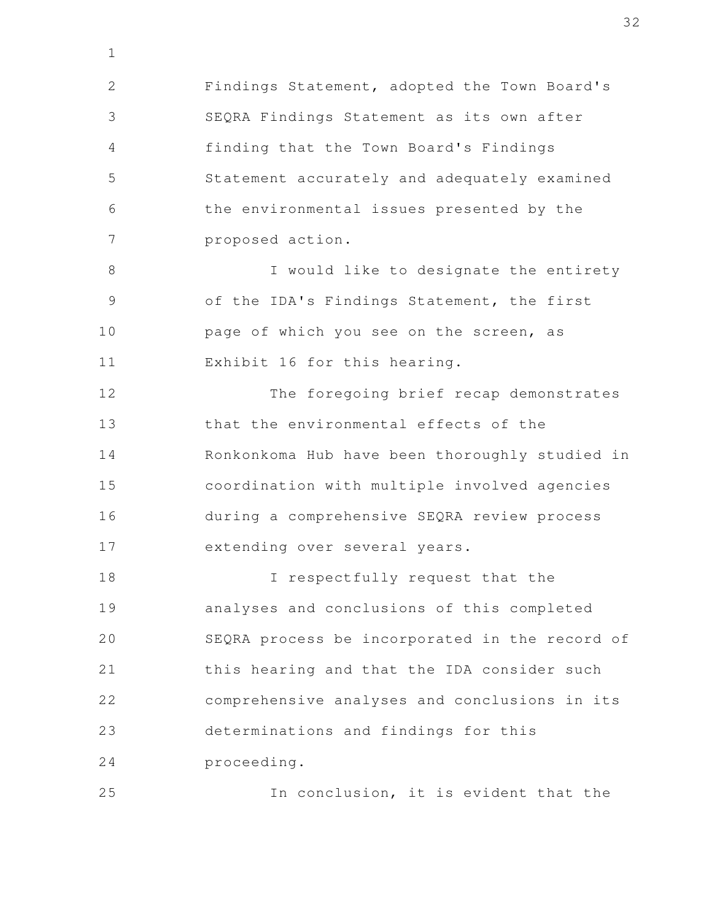Findings Statement, adopted the Town Board's SEQRA Findings Statement as its own after finding that the Town Board's Findings Statement accurately and adequately examined the environmental issues presented by the proposed action. 2 3 4 5 6 7

1

I would like to designate the entirety of the IDA's Findings Statement, the first page of which you see on the screen, as Exhibit 16 for this hearing. 8 9 10 11

The foregoing brief recap demonstrates that the environmental effects of the Ronkonkoma Hub have been thoroughly studied in coordination with multiple involved agencies during a comprehensive SEQRA review process extending over several years. 12 13 14 15 16 17

I respectfully request that the analyses and conclusions of this completed SEQRA process be incorporated in the record of this hearing and that the IDA consider such comprehensive analyses and conclusions in its determinations and findings for this proceeding. 18 19 20 21 22 23 24

In conclusion, it is evident that the 25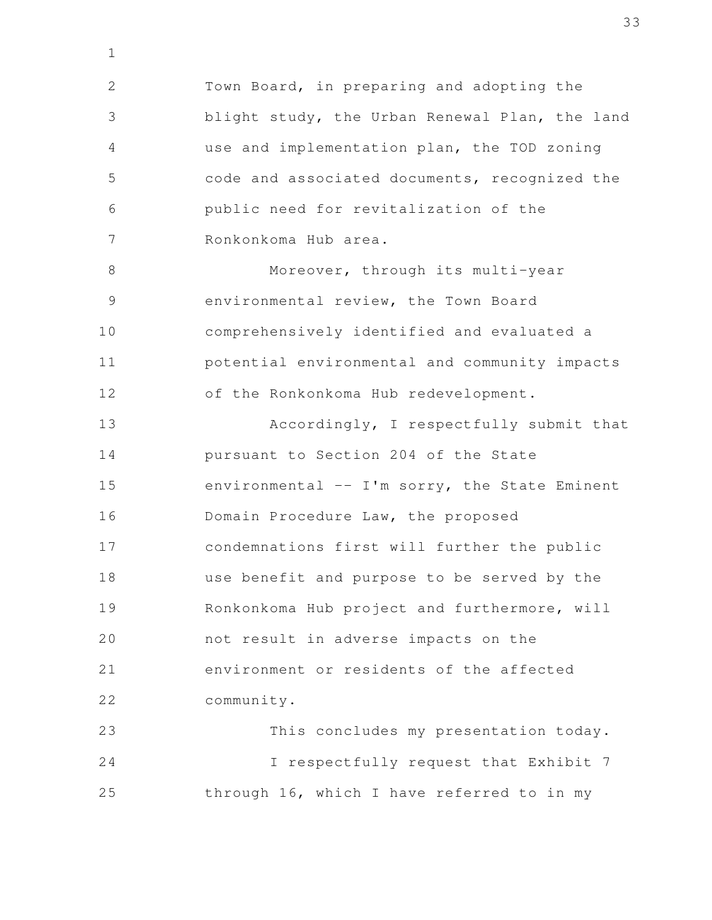Town Board, in preparing and adopting the blight study, the Urban Renewal Plan, the land use and implementation plan, the TOD zoning code and associated documents, recognized the public need for revitalization of the Ronkonkoma Hub area. Moreover, through its multi-year environmental review, the Town Board comprehensively identified and evaluated a potential environmental and community impacts of the Ronkonkoma Hub redevelopment. Accordingly, I respectfully submit that pursuant to Section 204 of the State environmental  $--$  I'm sorry, the State Eminent Domain Procedure Law, the proposed condemnations first will further the public use benefit and purpose to be served by the Ronkonkoma Hub project and furthermore, will not result in adverse impacts on the environment or residents of the affected community. This concludes my presentation today. I respectfully request that Exhibit 7 2 3 4 5 6 7 8 9 10 11 12 13 14 15 16 17 18 19 20 21 22 23 24

through 16, which I have referred to in my

25

1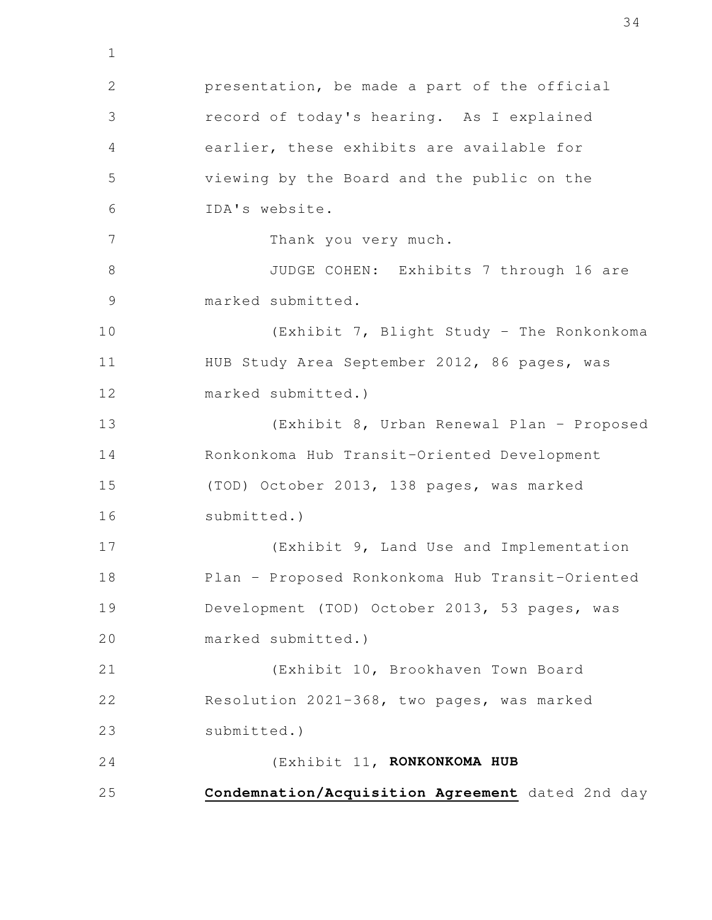presentation, be made a part of the official record of today's hearing. As I explained earlier, these exhibits are available for viewing by the Board and the public on the IDA's website. Thank you very much. JUDGE COHEN: Exhibits 7 through 16 are marked submitted. (Exhibit 7, Blight Study - The Ronkonkoma HUB Study Area September 2012, 86 pages, was marked submitted.) (Exhibit 8, Urban Renewal Plan - Proposed Ronkonkoma Hub Transit-Oriented Development (TOD) October 2013, 138 pages, was marked submitted.) (Exhibit 9, Land Use and Implementation Plan - Proposed Ronkonkoma Hub Transit-Oriented Development (TOD) October 2013, 53 pages, was marked submitted.) (Exhibit 10, Brookhaven Town Board Resolution 2021-368, two pages, was marked submitted.) (Exhibit 11, **RONKONKOMA HUB Condemnation/Acquisition Agreement** dated 2nd day 1 2 3 4 5 6 7 8 9 10 11 12 13 14 15 16 17 18 19 20 21 22 23 24 25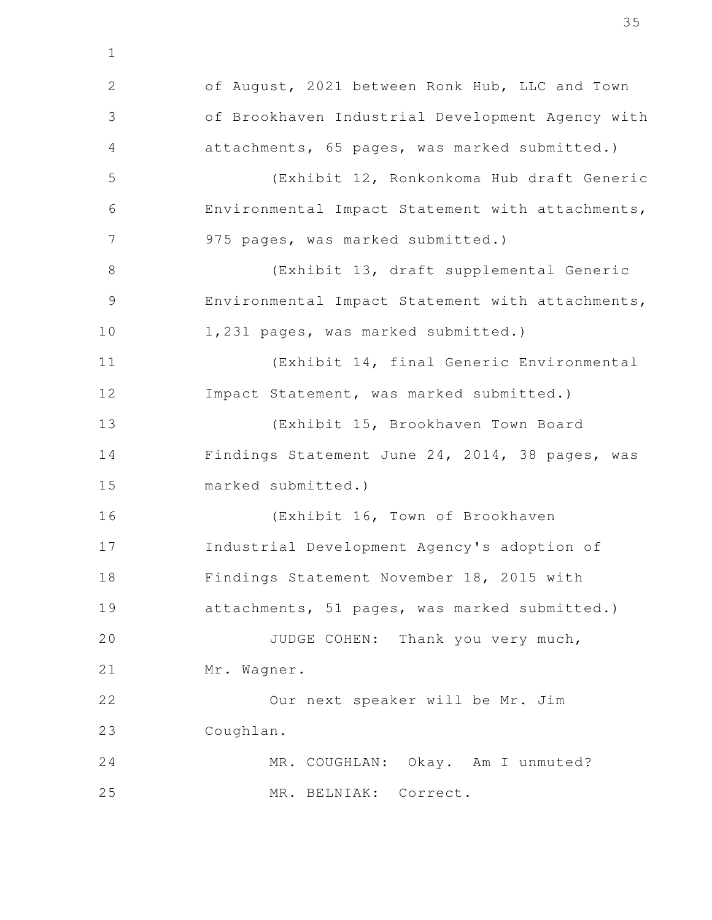of August, 2021 between Ronk Hub, LLC and Town of Brookhaven Industrial Development Agency with attachments, 65 pages, was marked submitted.) (Exhibit 12, Ronkonkoma Hub draft Generic Environmental Impact Statement with attachments, 975 pages, was marked submitted.) (Exhibit 13, draft supplemental Generic Environmental Impact Statement with attachments, 1,231 pages, was marked submitted.) (Exhibit 14, final Generic Environmental Impact Statement, was marked submitted.) (Exhibit 15, Brookhaven Town Board Findings Statement June 24, 2014, 38 pages, was marked submitted.) (Exhibit 16, Town of Brookhaven Industrial Development Agency's adoption of Findings Statement November 18, 2015 with attachments, 51 pages, was marked submitted.) JUDGE COHEN: Thank you very much, Mr. Wagner. Our next speaker will be Mr. Jim Coughlan. MR. COUGHLAN: Okay. Am I unmuted? MR. BELNIAK: Correct. 1 2 3 4 5 6 7 8 9 10 11 12 13 14 15 16 17 18 19 20 21 22 23 24 25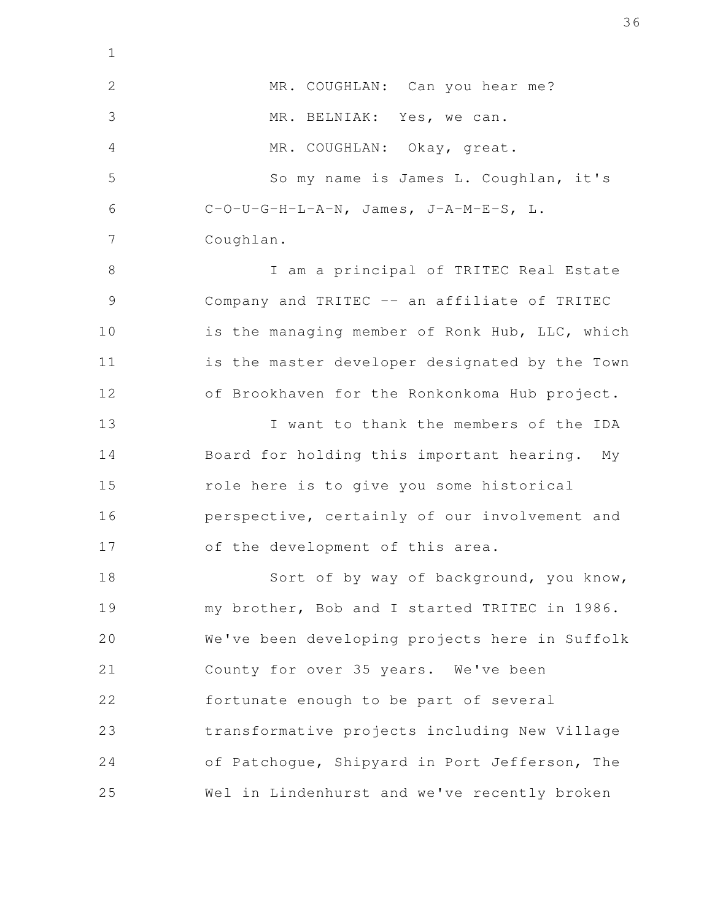MR. COUGHLAN: Can you hear me? MR. BELNIAK: Yes, we can. MR. COUGHLAN: Okay, great. So my name is James L. Coughlan, it's C-O-U-G-H-L-A-N, James, J-A-M-E-S, L. Coughlan. I am a principal of TRITEC Real Estate Company and TRITEC -- an affiliate of TRITEC is the managing member of Ronk Hub, LLC, which is the master developer designated by the Town of Brookhaven for the Ronkonkoma Hub project. I want to thank the members of the IDA Board for holding this important hearing. My role here is to give you some historical perspective, certainly of our involvement and of the development of this area. Sort of by way of background, you know, my brother, Bob and I started TRITEC in 1986. We've been developing projects here in Suffolk County for over 35 years. We've been fortunate enough to be part of several transformative projects including New Village of Patchogue, Shipyard in Port Jefferson, The Wel in Lindenhurst and we've recently broken 2 3 4 5 6 7 8 9 10 11 12 13 14 15 16 17 18 19 20 21 22 23 24 25

1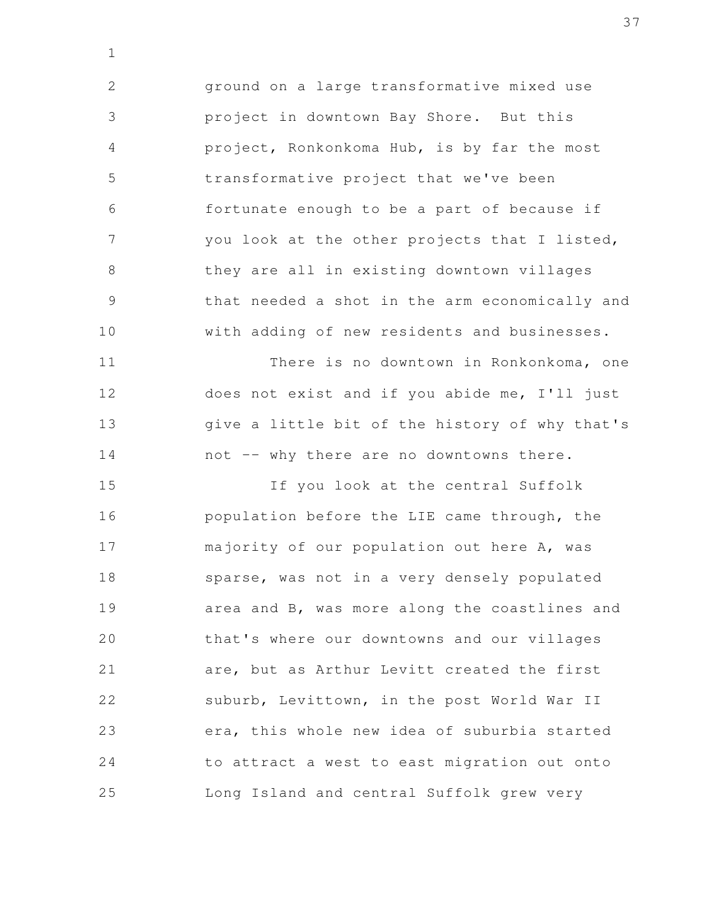ground on a large transformative mixed use project in downtown Bay Shore. But this project, Ronkonkoma Hub, is by far the most transformative project that we've been fortunate enough to be a part of because if you look at the other projects that I listed, they are all in existing downtown villages that needed a shot in the arm economically and with adding of new residents and businesses. 2 3 4 5 6 7 8 9 10

1

There is no downtown in Ronkonkoma, one does not exist and if you abide me, I'll just give a little bit of the history of why that's not -- why there are no downtowns there. 11 12 13 14

If you look at the central Suffolk population before the LIE came through, the majority of our population out here A, was sparse, was not in a very densely populated area and B, was more along the coastlines and that's where our downtowns and our villages are, but as Arthur Levitt created the first suburb, Levittown, in the post World War II era, this whole new idea of suburbia started to attract a west to east migration out onto Long Island and central Suffolk grew very 15 16 17 18 19 20 21 22 23 24 25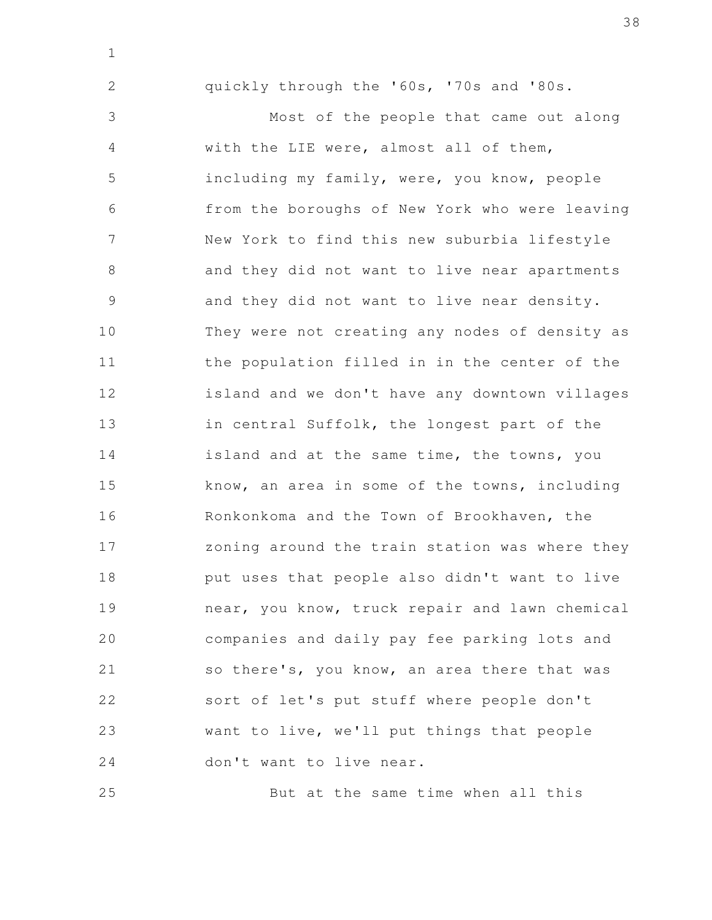quickly through the '60s, '70s and '80s.

1

2

Most of the people that came out along with the LIE were, almost all of them, including my family, were, you know, people from the boroughs of New York who were leaving New York to find this new suburbia lifestyle and they did not want to live near apartments and they did not want to live near density. They were not creating any nodes of density as the population filled in in the center of the island and we don't have any downtown villages in central Suffolk, the longest part of the island and at the same time, the towns, you know, an area in some of the towns, including Ronkonkoma and the Town of Brookhaven, the zoning around the train station was where they put uses that people also didn't want to live near, you know, truck repair and lawn chemical companies and daily pay fee parking lots and so there's, you know, an area there that was sort of let's put stuff where people don't want to live, we'll put things that people don't want to live near. 3 4 5 6 7 8 9 10 11 12 13 14 15 16 17 18 19 20 21 22 23 24

But at the same time when all this 25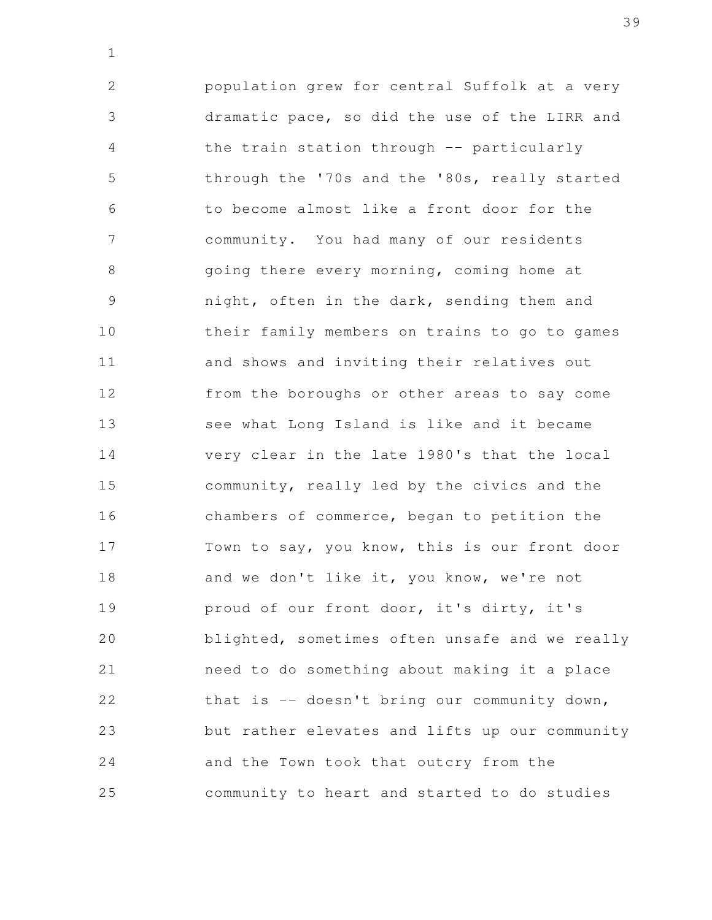population grew for central Suffolk at a very dramatic pace, so did the use of the LIRR and the train station through -- particularly through the '70s and the '80s, really started to become almost like a front door for the community. You had many of our residents going there every morning, coming home at night, often in the dark, sending them and their family members on trains to go to games and shows and inviting their relatives out from the boroughs or other areas to say come see what Long Island is like and it became very clear in the late 1980's that the local community, really led by the civics and the chambers of commerce, began to petition the Town to say, you know, this is our front door and we don't like it, you know, we're not proud of our front door, it's dirty, it's blighted, sometimes often unsafe and we really need to do something about making it a place that is -- doesn't bring our community down, but rather elevates and lifts up our community and the Town took that outcry from the community to heart and started to do studies 2 3 4 5 6 7 8 9 10 11 12 13 14 15 16 17 18 19 20 21 22 23 24 25

1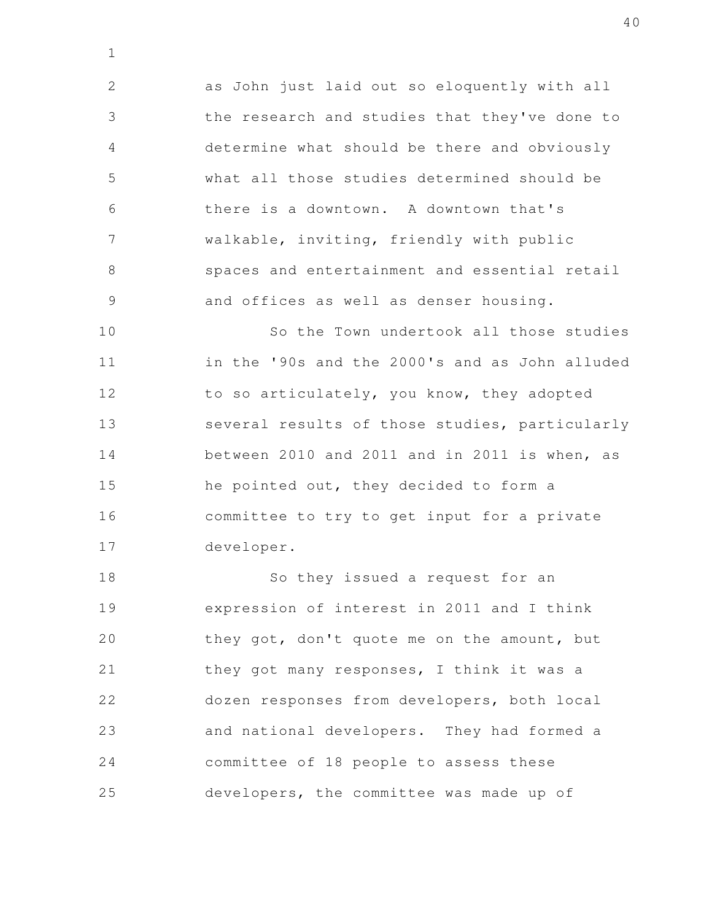as John just laid out so eloquently with all the research and studies that they've done to determine what should be there and obviously what all those studies determined should be there is a downtown. A downtown that's walkable, inviting, friendly with public spaces and entertainment and essential retail and offices as well as denser housing. 2 3 4 5 6 7 8 9

1

So the Town undertook all those studies in the '90s and the 2000's and as John alluded to so articulately, you know, they adopted several results of those studies, particularly between 2010 and 2011 and in 2011 is when, as he pointed out, they decided to form a committee to try to get input for a private developer. 10 11 12 13 14 15 16 17

So they issued a request for an expression of interest in 2011 and I think they got, don't quote me on the amount, but they got many responses, I think it was a dozen responses from developers, both local and national developers. They had formed a committee of 18 people to assess these developers, the committee was made up of 18 19 20 21 22 23 24 25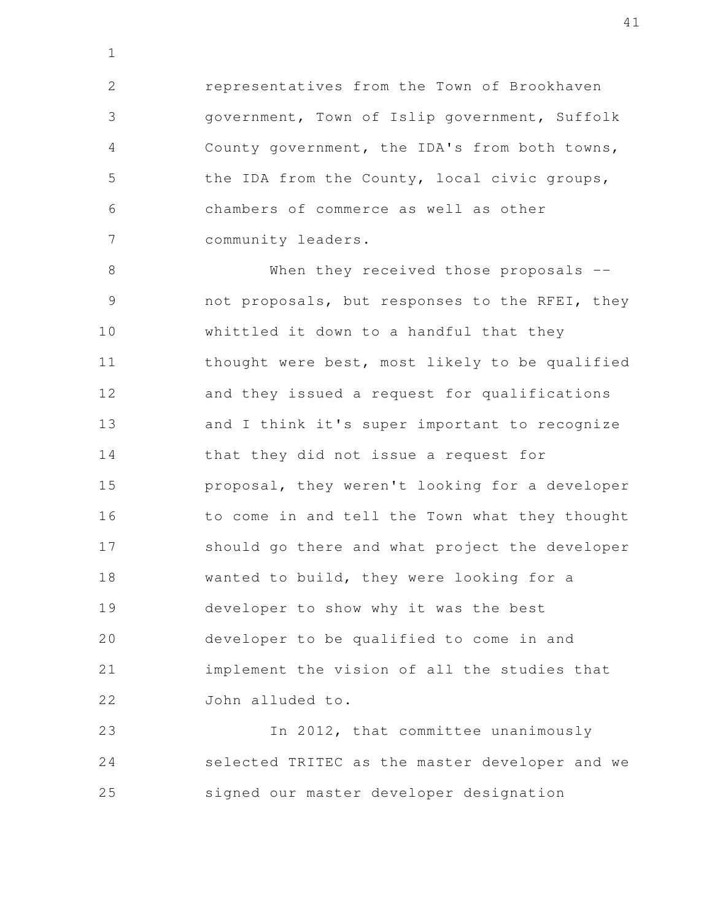representatives from the Town of Brookhaven government, Town of Islip government, Suffolk County government, the IDA's from both towns, the IDA from the County, local civic groups, chambers of commerce as well as other community leaders. 2 3 4 5 6 7

1

When they received those proposals -not proposals, but responses to the RFEI, they whittled it down to a handful that they thought were best, most likely to be qualified and they issued a request for qualifications and I think it's super important to recognize that they did not issue a request for proposal, they weren't looking for a developer to come in and tell the Town what they thought should go there and what project the developer wanted to build, they were looking for a developer to show why it was the best developer to be qualified to come in and implement the vision of all the studies that John alluded to. 8 9 10 11 12 13 14 15 16 17 18 19 20 21 22

In 2012, that committee unanimously selected TRITEC as the master developer and we signed our master developer designation 23 24 25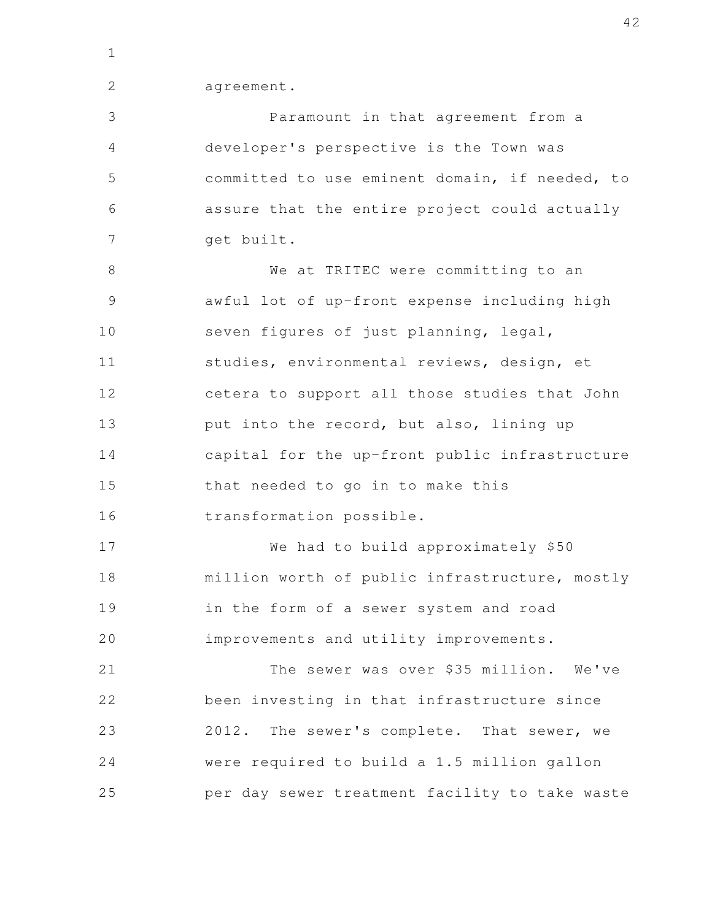1

2

agreement.

Paramount in that agreement from a developer's perspective is the Town was committed to use eminent domain, if needed, to assure that the entire project could actually get built. We at TRITEC were committing to an awful lot of up-front expense including high seven figures of just planning, legal, studies, environmental reviews, design, et cetera to support all those studies that John put into the record, but also, lining up capital for the up-front public infrastructure that needed to go in to make this transformation possible. We had to build approximately \$50 million worth of public infrastructure, mostly in the form of a sewer system and road improvements and utility improvements. The sewer was over \$35 million. We've been investing in that infrastructure since 2012. The sewer's complete. That sewer, we were required to build a 1.5 million gallon per day sewer treatment facility to take waste 3 4 5 6 7 8 9 10 11 12 13 14 15 16 17 18 19 20 21 22 23 24 25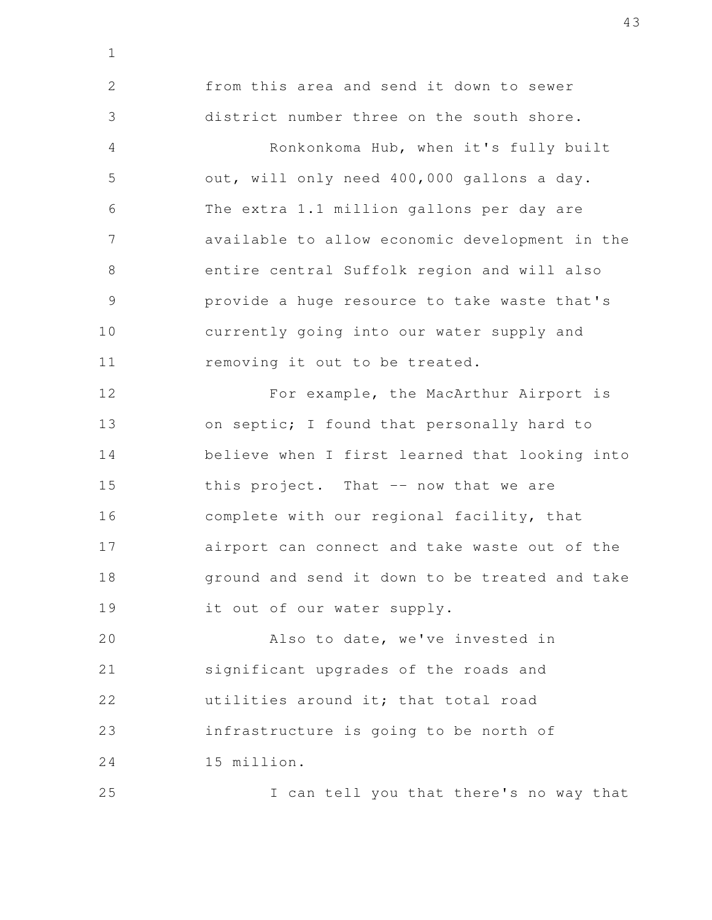from this area and send it down to sewer district number three on the south shore. Ronkonkoma Hub, when it's fully built out, will only need 400,000 gallons a day. The extra 1.1 million gallons per day are available to allow economic development in the entire central Suffolk region and will also provide a huge resource to take waste that's currently going into our water supply and removing it out to be treated. For example, the MacArthur Airport is on septic; I found that personally hard to believe when I first learned that looking into this project. That -- now that we are complete with our regional facility, that airport can connect and take waste out of the ground and send it down to be treated and take it out of our water supply. Also to date, we've invested in 2 3 4 5 6 7 8 9 10 11 12 13 14 15 16 17 18 19 20

1

significant upgrades of the roads and utilities around it; that total road infrastructure is going to be north of 15 million. 21 22 23 24

I can tell you that there's no way that 25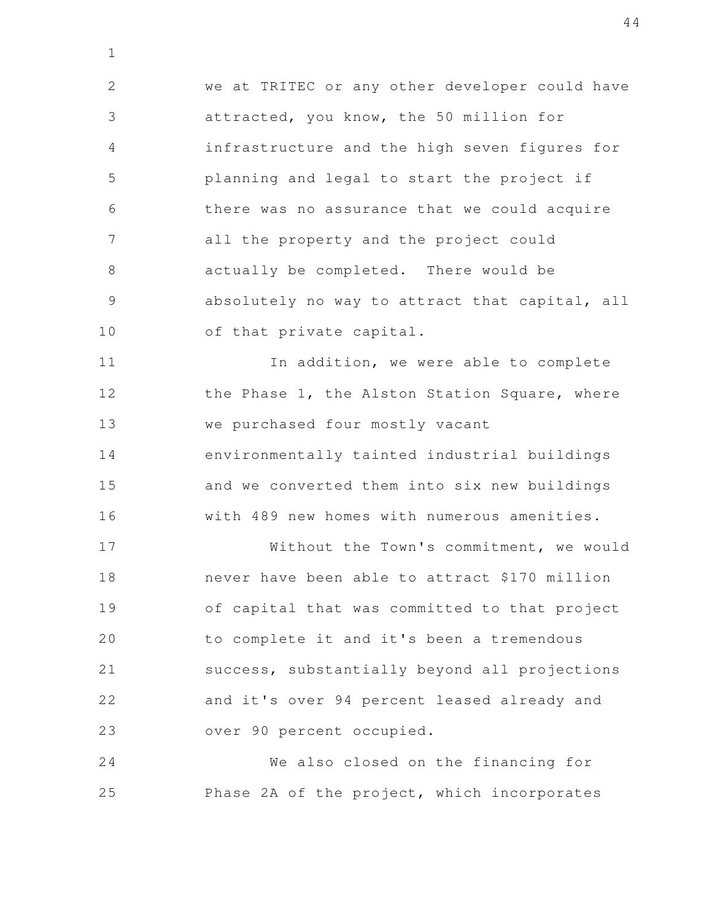we at TRITEC or any other developer could have attracted, you know, the 50 million for infrastructure and the high seven figures for planning and legal to start the project if there was no assurance that we could acquire all the property and the project could actually be completed. There would be absolutely no way to attract that capital, all of that private capital. 2 3 4 5 6 7 8 9 10

1

In addition, we were able to complete the Phase 1, the Alston Station Square, where we purchased four mostly vacant environmentally tainted industrial buildings and we converted them into six new buildings with 489 new homes with numerous amenities. 11 12 13 14 15 16

Without the Town's commitment, we would never have been able to attract \$170 million of capital that was committed to that project to complete it and it's been a tremendous success, substantially beyond all projections and it's over 94 percent leased already and over 90 percent occupied. 17 18 19 20 21 22 23

We also closed on the financing for Phase 2A of the project, which incorporates 24 25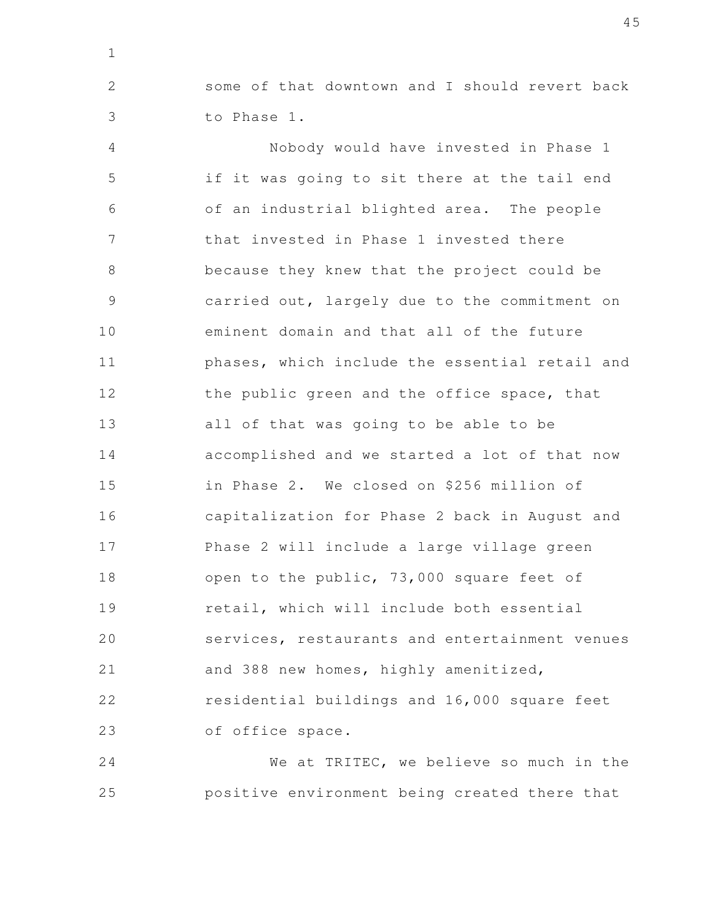some of that downtown and I should revert back to Phase 1.

1

2

3

Nobody would have invested in Phase 1 if it was going to sit there at the tail end of an industrial blighted area. The people that invested in Phase 1 invested there because they knew that the project could be carried out, largely due to the commitment on eminent domain and that all of the future phases, which include the essential retail and the public green and the office space, that all of that was going to be able to be accomplished and we started a lot of that now in Phase 2. We closed on \$256 million of capitalization for Phase 2 back in August and Phase 2 will include a large village green open to the public, 73,000 square feet of retail, which will include both essential services, restaurants and entertainment venues and 388 new homes, highly amenitized, residential buildings and 16,000 square feet of office space. 4 5 6 7 8 9 10 11 12 13 14 15 16 17 18 19 20 21 22 23

We at TRITEC, we believe so much in the positive environment being created there that 24 25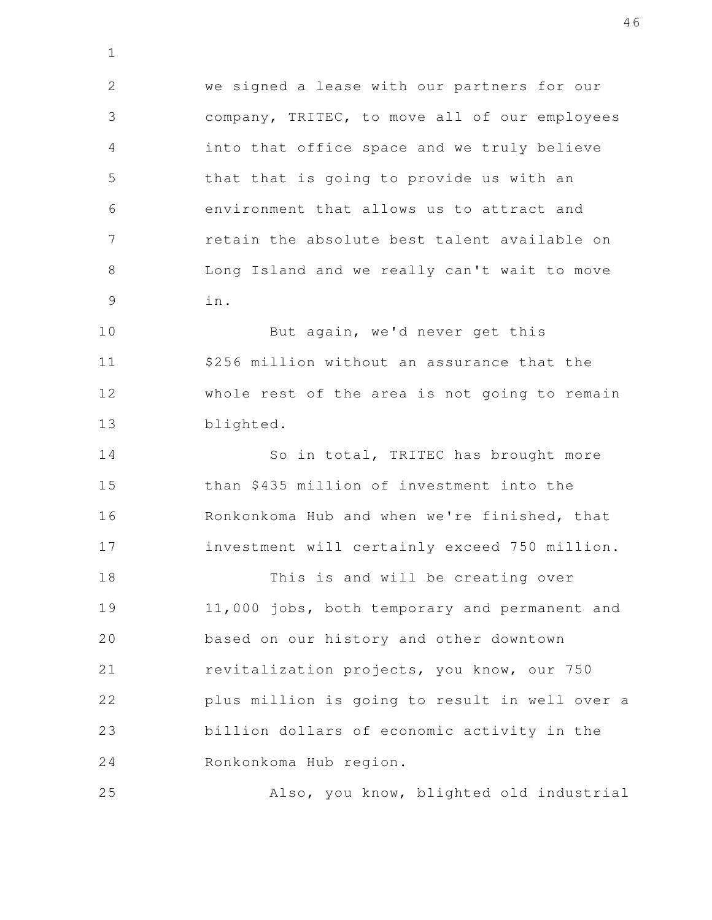we signed a lease with our partners for our company, TRITEC, to move all of our employees into that office space and we truly believe that that is going to provide us with an environment that allows us to attract and retain the absolute best talent available on Long Island and we really can't wait to move in. 2 3 4 5 6 7 8 9

1

25

But again, we'd never get this \$256 million without an assurance that the whole rest of the area is not going to remain blighted. 10 11 12 13

So in total, TRITEC has brought more than \$435 million of investment into the Ronkonkoma Hub and when we're finished, that investment will certainly exceed 750 million. 14 15 16 17

This is and will be creating over 11,000 jobs, both temporary and permanent and based on our history and other downtown revitalization projects, you know, our 750 plus million is going to result in well over a billion dollars of economic activity in the Ronkonkoma Hub region. 18 19 20 21 22 23 24

Also, you know, blighted old industrial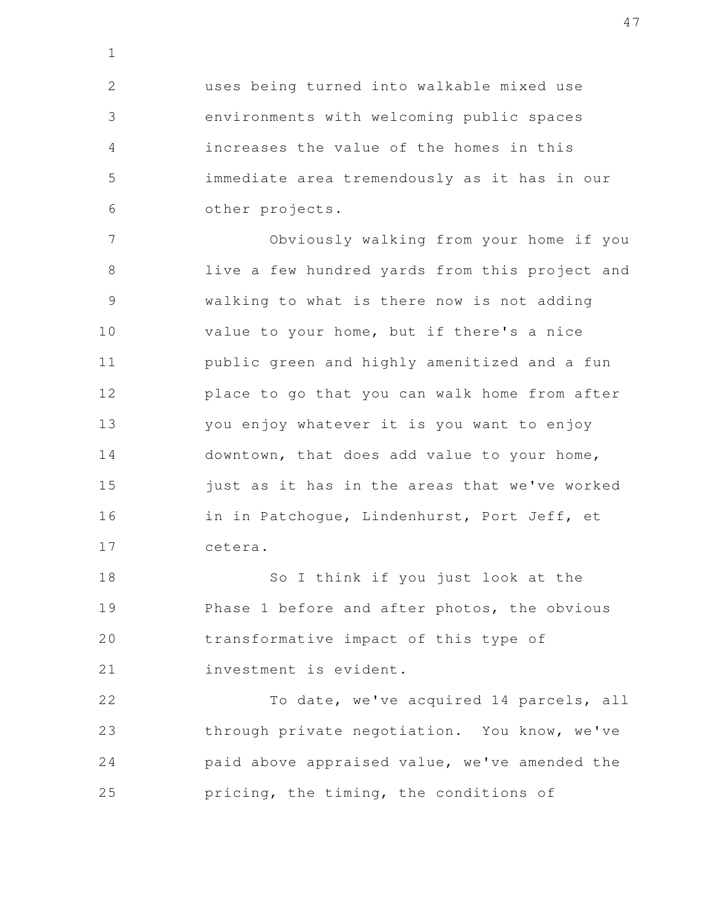uses being turned into walkable mixed use environments with welcoming public spaces increases the value of the homes in this immediate area tremendously as it has in our other projects. 2 3 4 5 6

1

Obviously walking from your home if you live a few hundred yards from this project and walking to what is there now is not adding value to your home, but if there's a nice public green and highly amenitized and a fun place to go that you can walk home from after you enjoy whatever it is you want to enjoy downtown, that does add value to your home, just as it has in the areas that we've worked in in Patchogue, Lindenhurst, Port Jeff, et cetera. 7 8 9 10 11 12 13 14 15 16 17

So I think if you just look at the Phase 1 before and after photos, the obvious transformative impact of this type of investment is evident. 18 19 20 21

To date, we've acquired 14 parcels, all through private negotiation. You know, we've paid above appraised value, we've amended the pricing, the timing, the conditions of 22 23 24 25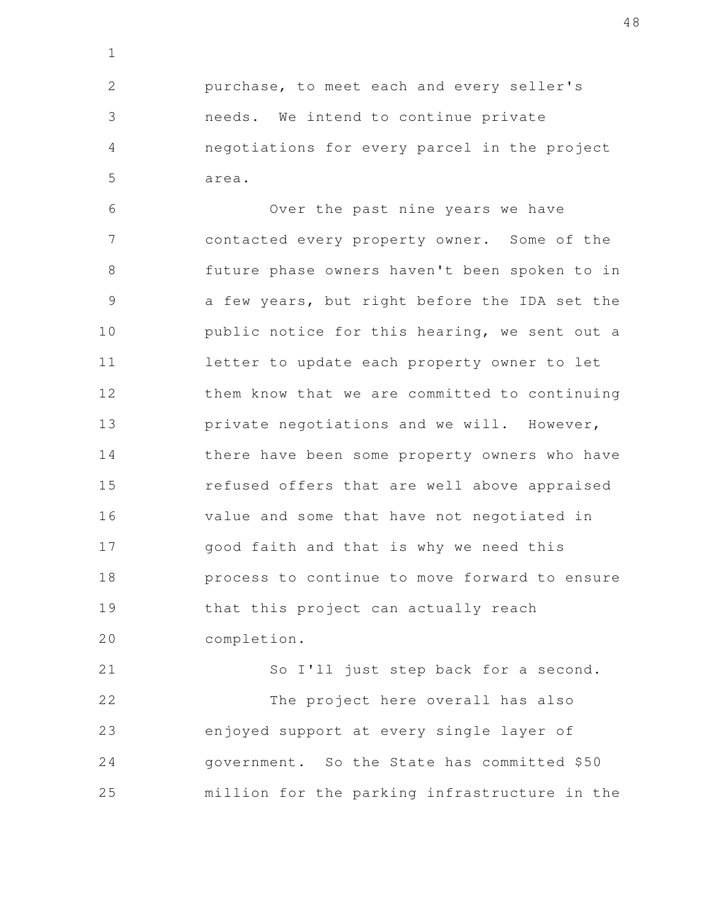purchase, to meet each and every seller's needs. We intend to continue private negotiations for every parcel in the project area. 2 3 4 5

1

Over the past nine years we have contacted every property owner. Some of the future phase owners haven't been spoken to in a few years, but right before the IDA set the public notice for this hearing, we sent out a letter to update each property owner to let them know that we are committed to continuing private negotiations and we will. However, there have been some property owners who have refused offers that are well above appraised value and some that have not negotiated in good faith and that is why we need this process to continue to move forward to ensure that this project can actually reach completion. 6 7 8 9 10 11 12 13 14 15 16 17 18 19 20

So I'll just step back for a second. The project here overall has also enjoyed support at every single layer of government. So the State has committed \$50 million for the parking infrastructure in the 21 22 23 24 25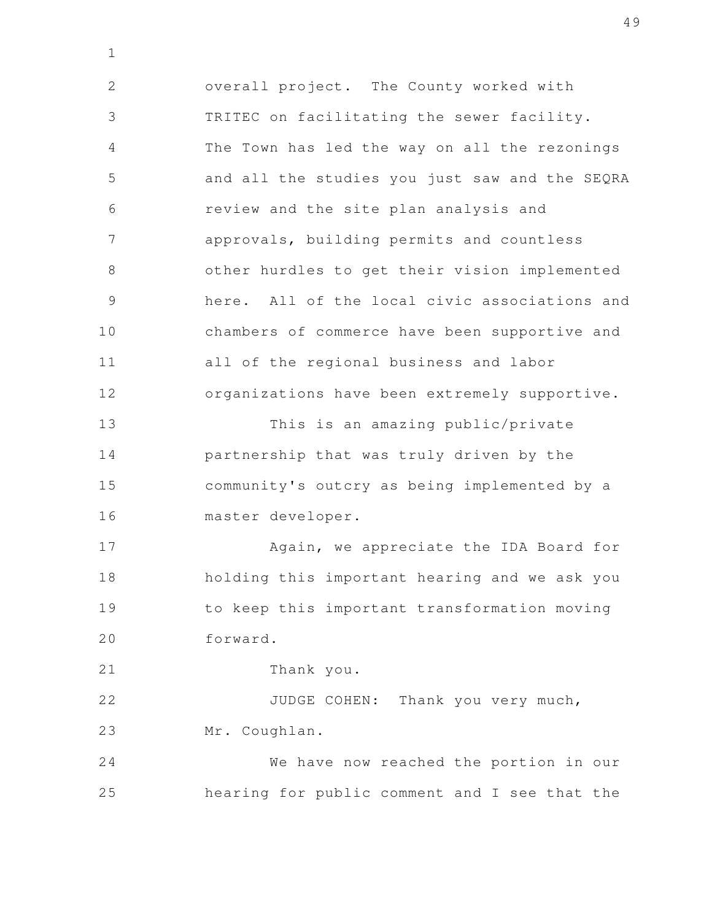overall project. The County worked with TRITEC on facilitating the sewer facility. The Town has led the way on all the rezonings and all the studies you just saw and the SEQRA review and the site plan analysis and approvals, building permits and countless other hurdles to get their vision implemented here. All of the local civic associations and chambers of commerce have been supportive and all of the regional business and labor organizations have been extremely supportive. This is an amazing public/private partnership that was truly driven by the community's outcry as being implemented by a 2 3 4 5 6 7 8 9 10 11 12 13 14 15

Again, we appreciate the IDA Board for holding this important hearing and we ask you to keep this important transformation moving forward. 17 18 19 20

Thank you. 21

1

16

master developer.

JUDGE COHEN: Thank you very much, Mr. Coughlan. 22 23

We have now reached the portion in our hearing for public comment and I see that the 24 25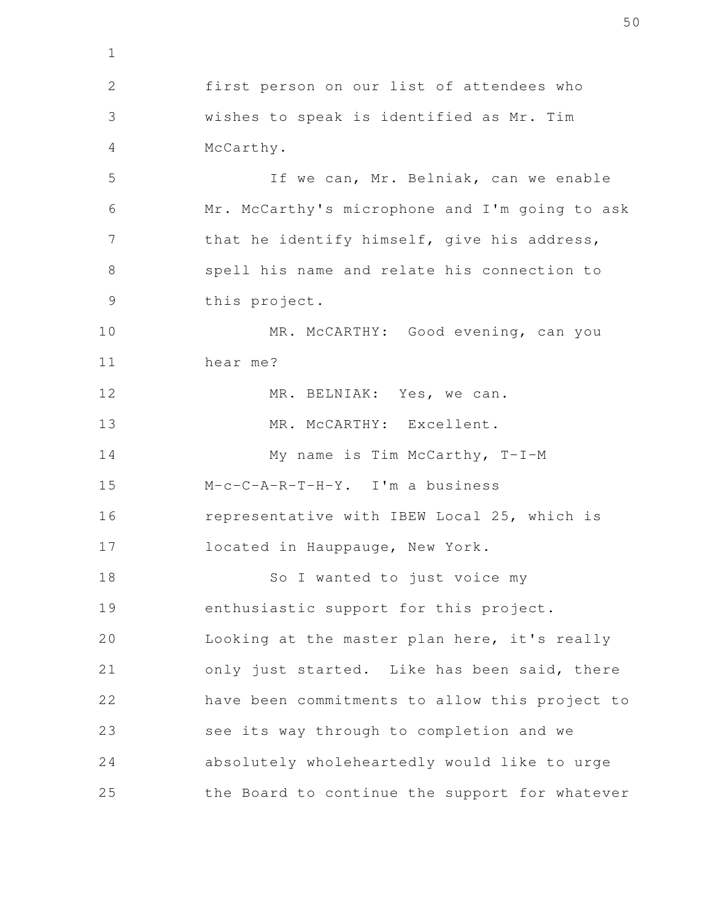first person on our list of attendees who wishes to speak is identified as Mr. Tim McCarthy. If we can, Mr. Belniak, can we enable Mr. McCarthy's microphone and I'm going to ask that he identify himself, give his address, spell his name and relate his connection to this project. MR. McCARTHY: Good evening, can you hear me? MR. BELNIAK: Yes, we can. MR. McCARTHY: Excellent. My name is Tim McCarthy, T-I-M M-c-C-A-R-T-H-Y. I'm a business representative with IBEW Local 25, which is located in Hauppauge, New York. So I wanted to just voice my enthusiastic support for this project. Looking at the master plan here, it's really only just started. Like has been said, there have been commitments to allow this project to see its way through to completion and we absolutely wholeheartedly would like to urge the Board to continue the support for whatever 1 2 3 4 5 6 7 8 9 10 11 12 13 14 15 16 17 18 19 20 21 22 23 24 25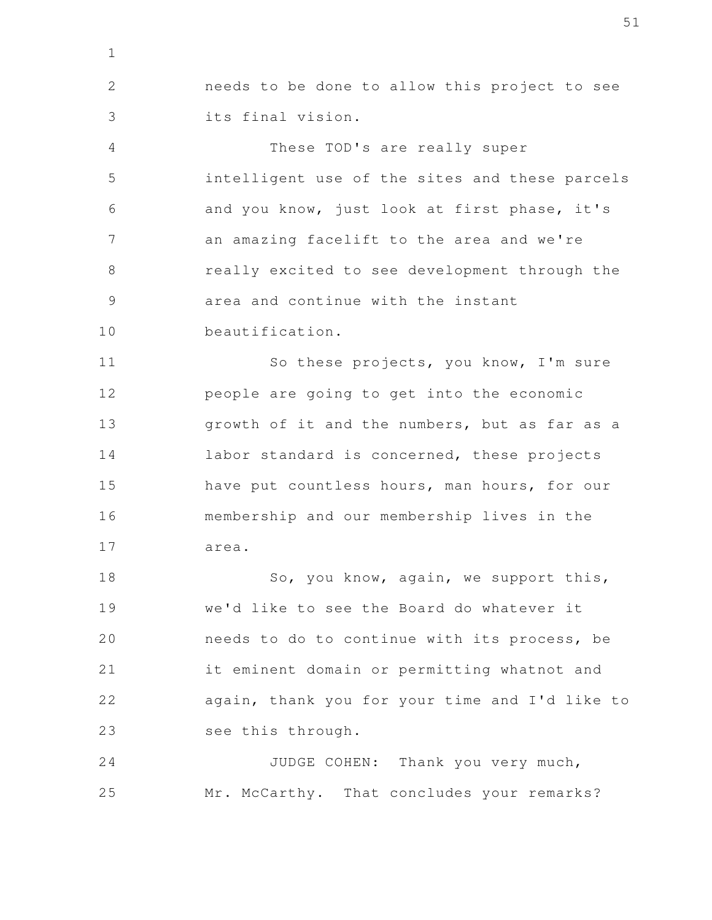needs to be done to allow this project to see its final vision. 2 3

1

These TOD's are really super intelligent use of the sites and these parcels and you know, just look at first phase, it's an amazing facelift to the area and we're really excited to see development through the area and continue with the instant beautification. 4 5 6 7 8 9 10

So these projects, you know, I'm sure people are going to get into the economic growth of it and the numbers, but as far as a labor standard is concerned, these projects have put countless hours, man hours, for our membership and our membership lives in the area. 11 12 13 14 15 16 17

So, you know, again, we support this, we'd like to see the Board do whatever it needs to do to continue with its process, be it eminent domain or permitting whatnot and again, thank you for your time and I'd like to see this through. 18 19 20 21 22 23

JUDGE COHEN: Thank you very much, Mr. McCarthy. That concludes your remarks? 24 25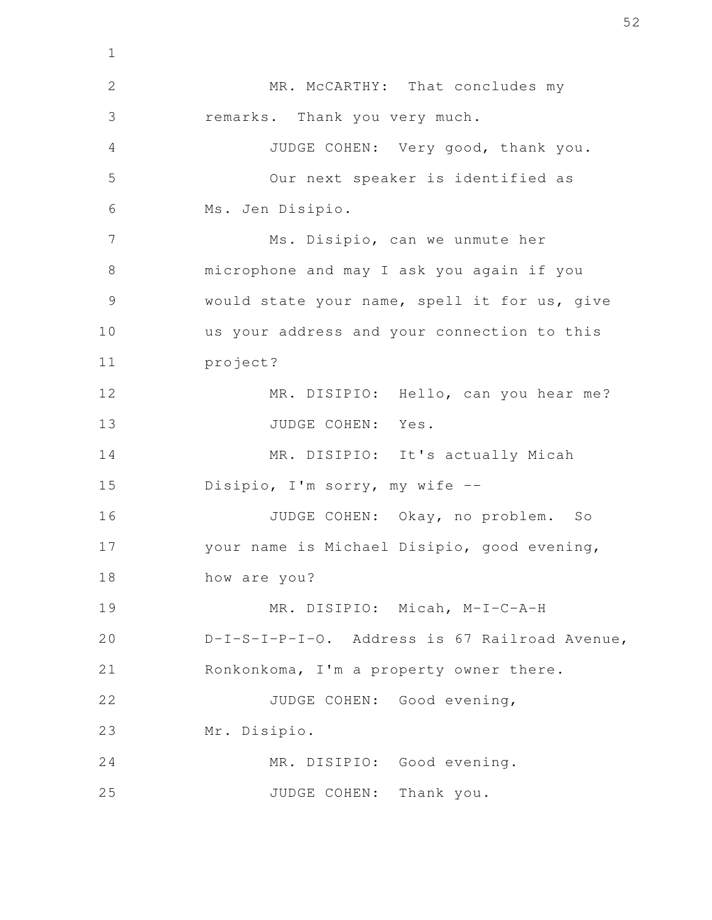MR. McCARTHY: That concludes my remarks. Thank you very much. JUDGE COHEN: Very good, thank you. Our next speaker is identified as Ms. Jen Disipio. Ms. Disipio, can we unmute her microphone and may I ask you again if you would state your name, spell it for us, give us your address and your connection to this project? MR. DISIPIO: Hello, can you hear me? JUDGE COHEN: Yes. MR. DISIPIO: It's actually Micah Disipio, I'm sorry, my wife -- JUDGE COHEN: Okay, no problem. So your name is Michael Disipio, good evening, how are you? MR. DISIPIO: Micah, M-I-C-A-H D-I-S-I-P-I-O. Address is 67 Railroad Avenue, Ronkonkoma, I'm a property owner there. JUDGE COHEN: Good evening, Mr. Disipio. MR. DISIPIO: Good evening. JUDGE COHEN: Thank you. 1 2 3 4 5 6 7 8 9 10 11 12 13 14 15 16 17 18 19 20 21 22 23 24 25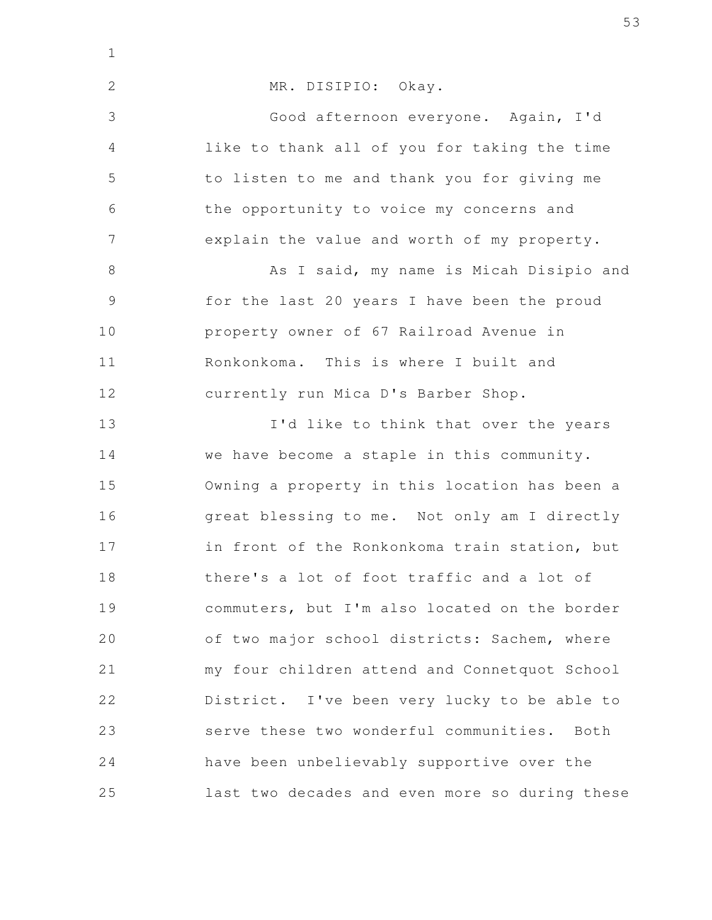| $\mathbf 1$    |                                                |
|----------------|------------------------------------------------|
| $\overline{2}$ | MR. DISIPIO: Okay.                             |
| 3              | Good afternoon everyone. Again, I'd            |
| $\overline{4}$ | like to thank all of you for taking the time   |
| 5              | to listen to me and thank you for giving me    |
| 6              | the opportunity to voice my concerns and       |
| 7              | explain the value and worth of my property.    |
| $8\,$          | As I said, my name is Micah Disipio and        |
| $\mathcal{G}$  | for the last 20 years I have been the proud    |
| 10             | property owner of 67 Railroad Avenue in        |
| 11             | Ronkonkoma. This is where I built and          |
| 12             | currently run Mica D's Barber Shop.            |
| 13             | I'd like to think that over the years          |
| 14             | we have become a staple in this community.     |
| 15             | Owning a property in this location has been a  |
| 16             | great blessing to me. Not only am I directly   |
| 17             | in front of the Ronkonkoma train station, but  |
| 18             | there's a lot of foot traffic and a lot of     |
| 19             | commuters, but I'm also located on the border  |
| 20             | of two major school districts: Sachem, where   |
| 21             | my four children attend and Connetquot School  |
| 22             | District. I've been very lucky to be able to   |
| 23             | serve these two wonderful communities. Both    |
| 24             | have been unbelievably supportive over the     |
| 25             | last two decades and even more so during these |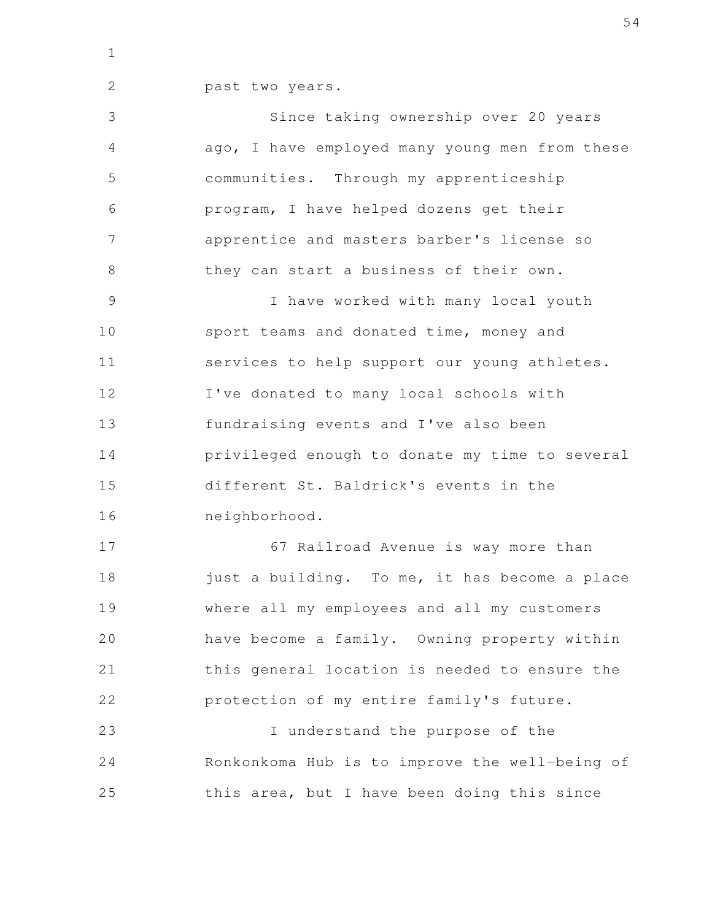1

2

past two years.

Since taking ownership over 20 years ago, I have employed many young men from these communities. Through my apprenticeship program, I have helped dozens get their apprentice and masters barber's license so they can start a business of their own. I have worked with many local youth sport teams and donated time, money and services to help support our young athletes. 3 4 5 6 7 8 9 10 11

I've donated to many local schools with fundraising events and I've also been privileged enough to donate my time to several different St. Baldrick's events in the neighborhood. 12 13 14 15 16

67 Railroad Avenue is way more than just a building. To me, it has become a place where all my employees and all my customers have become a family. Owning property within this general location is needed to ensure the protection of my entire family's future. 17 18 19 20 21 22

I understand the purpose of the Ronkonkoma Hub is to improve the well-being of this area, but I have been doing this since 23 24 25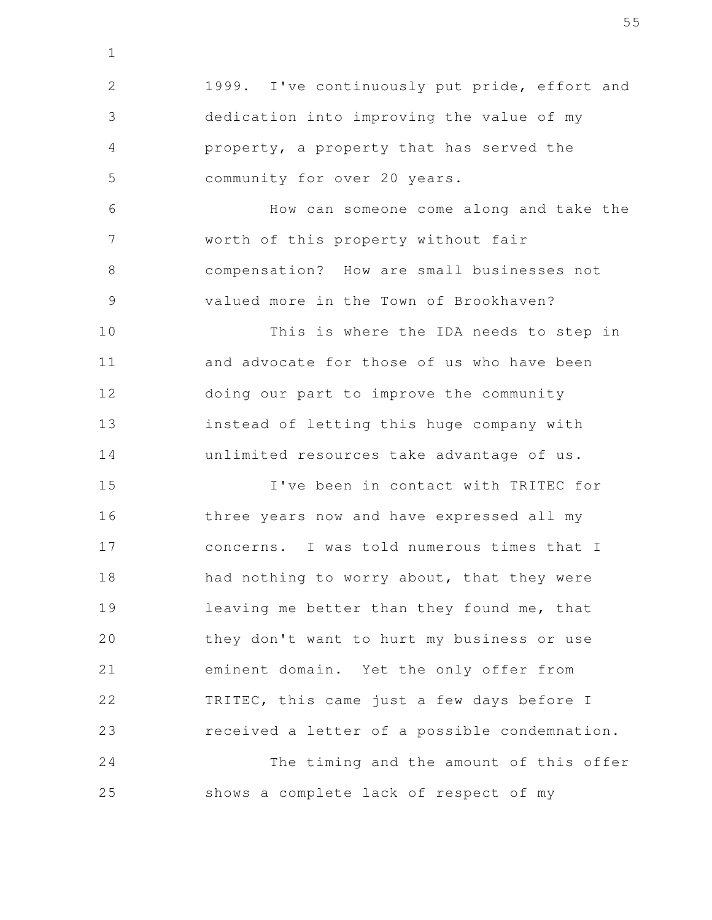1999. I've continuously put pride, effort and dedication into improving the value of my property, a property that has served the community for over 20 years. How can someone come along and take the worth of this property without fair compensation? How are small businesses not valued more in the Town of Brookhaven? This is where the IDA needs to step in and advocate for those of us who have been doing our part to improve the community instead of letting this huge company with unlimited resources take advantage of us. I've been in contact with TRITEC for three years now and have expressed all my concerns. I was told numerous times that I had nothing to worry about, that they were leaving me better than they found me, that they don't want to hurt my business or use eminent domain. Yet the only offer from TRITEC, this came just a few days before I received a letter of a possible condemnation. The timing and the amount of this offer shows a complete lack of respect of my 2 3 4 5 6 7 8 9 10 11 12 13 14 15 16 17 18 19 20 21 22 23 24 25

1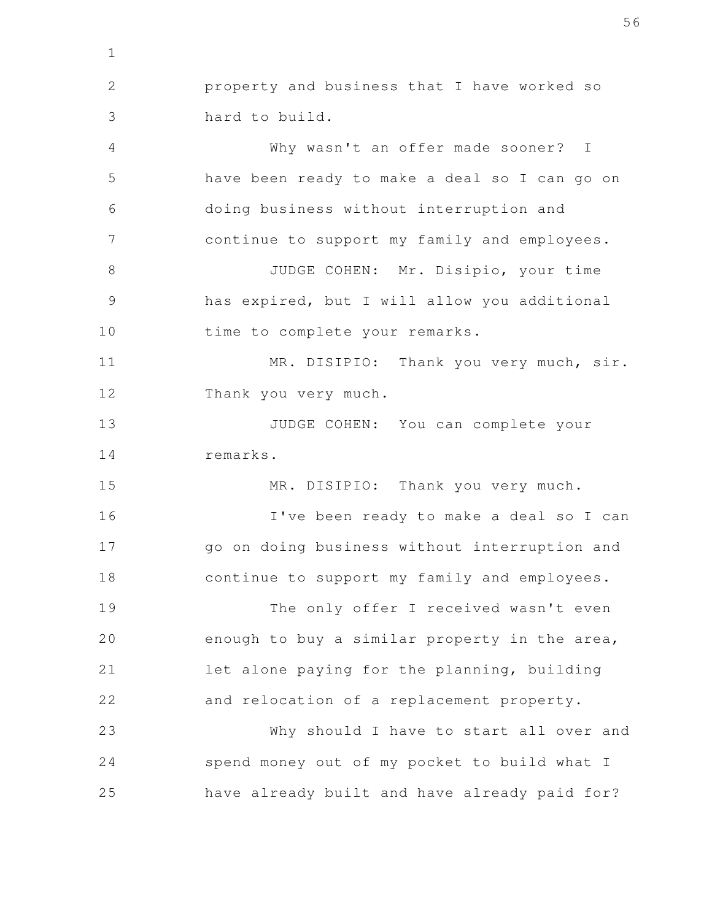property and business that I have worked so hard to build. Why wasn't an offer made sooner? I have been ready to make a deal so I can go on doing business without interruption and continue to support my family and employees. JUDGE COHEN: Mr. Disipio, your time has expired, but I will allow you additional time to complete your remarks. MR. DISIPIO: Thank you very much, sir. Thank you very much. JUDGE COHEN: You can complete your remarks. MR. DISIPIO: Thank you very much. I've been ready to make a deal so I can go on doing business without interruption and continue to support my family and employees. The only offer I received wasn't even enough to buy a similar property in the area, let alone paying for the planning, building and relocation of a replacement property. Why should I have to start all over and spend money out of my pocket to build what I have already built and have already paid for? 1 2 3 4 5 6 7 8 9 10 11 12 13 14 15 16 17 18 19 20 21 22 23 24 25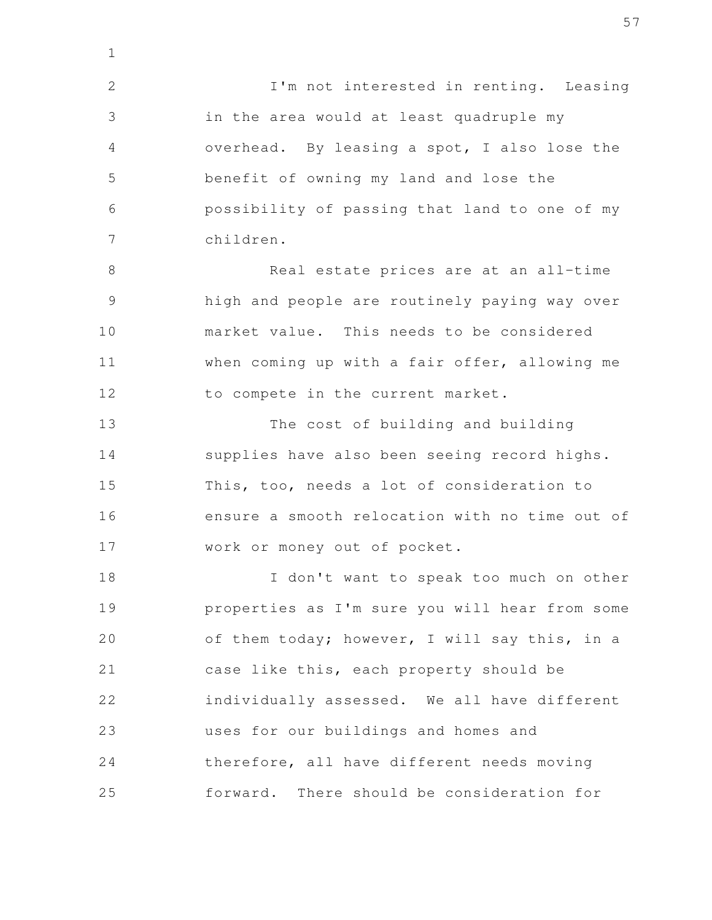I'm not interested in renting. Leasing in the area would at least quadruple my overhead. By leasing a spot, I also lose the benefit of owning my land and lose the possibility of passing that land to one of my children. 2 3 4 5 6 7

1

Real estate prices are at an all-time high and people are routinely paying way over market value. This needs to be considered when coming up with a fair offer, allowing me to compete in the current market. 8 9 10 11 12

The cost of building and building supplies have also been seeing record highs. This, too, needs a lot of consideration to ensure a smooth relocation with no time out of work or money out of pocket. 13 14 15 16 17

I don't want to speak too much on other properties as I'm sure you will hear from some of them today; however, I will say this, in a case like this, each property should be individually assessed. We all have different uses for our buildings and homes and therefore, all have different needs moving forward. There should be consideration for 18 19 20 21 22 23 24 25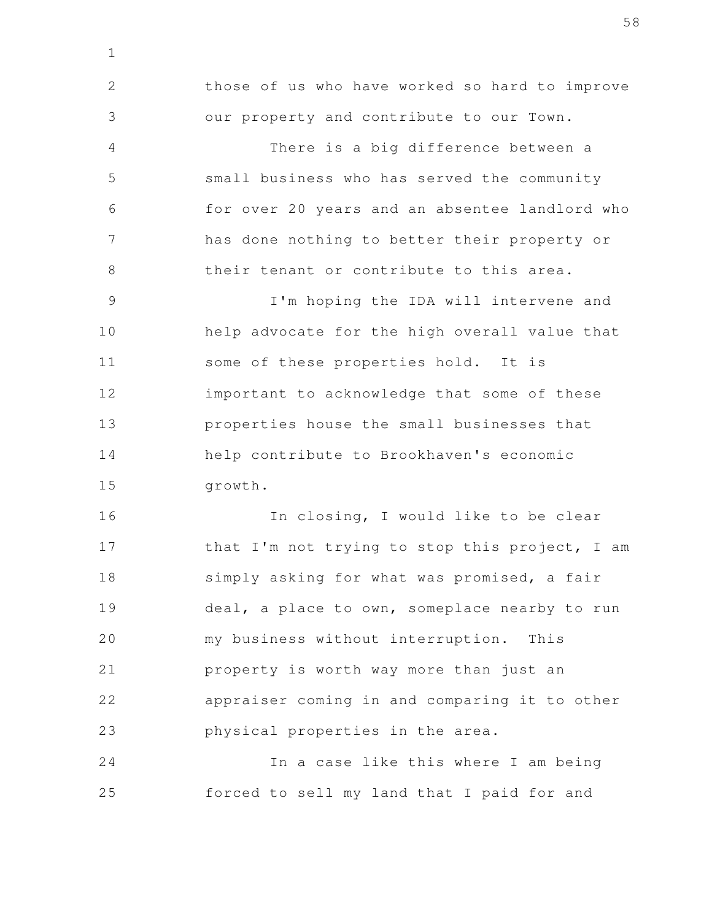those of us who have worked so hard to improve our property and contribute to our Town. There is a big difference between a small business who has served the community for over 20 years and an absentee landlord who has done nothing to better their property or their tenant or contribute to this area. I'm hoping the IDA will intervene and help advocate for the high overall value that some of these properties hold. It is important to acknowledge that some of these properties house the small businesses that help contribute to Brookhaven's economic growth. In closing, I would like to be clear that I'm not trying to stop this project, I am simply asking for what was promised, a fair deal, a place to own, someplace nearby to run my business without interruption. This 2 3 4 5 6 7 8 9 10 11 12 13 14 15 16 17 18 19 20

1

property is worth way more than just an appraiser coming in and comparing it to other physical properties in the area. 21 22 23

In a case like this where I am being forced to sell my land that I paid for and 24 25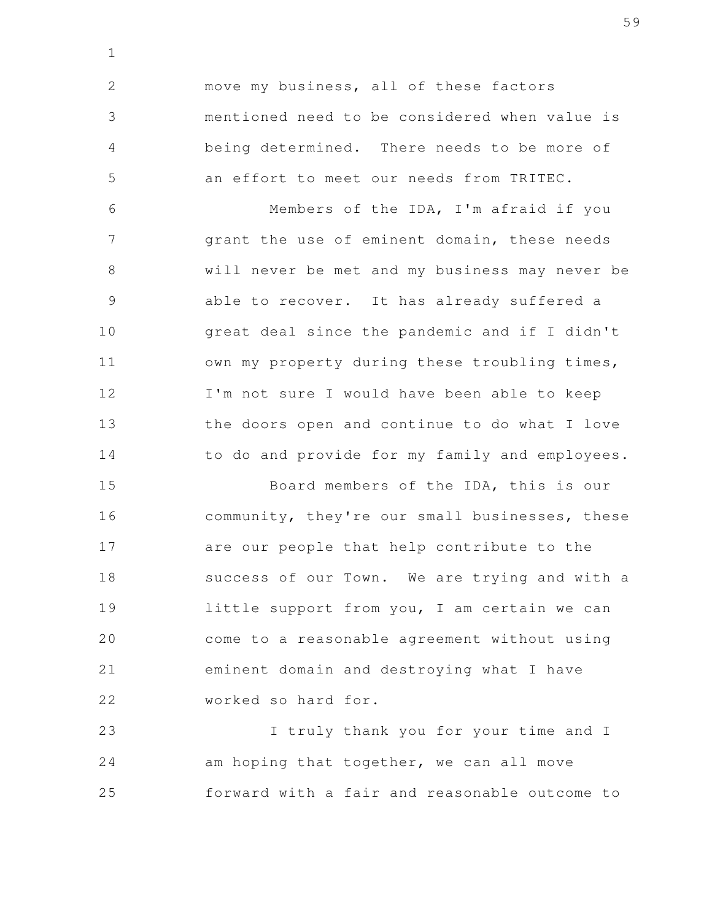move my business, all of these factors mentioned need to be considered when value is being determined. There needs to be more of an effort to meet our needs from TRITEC. 2 3 4 5

1

Members of the IDA, I'm afraid if you grant the use of eminent domain, these needs will never be met and my business may never be able to recover. It has already suffered a great deal since the pandemic and if I didn't own my property during these troubling times, I'm not sure I would have been able to keep the doors open and continue to do what I love to do and provide for my family and employees. 6 7 8 9 10 11 12 13 14

Board members of the IDA, this is our community, they're our small businesses, these are our people that help contribute to the success of our Town. We are trying and with a little support from you, I am certain we can come to a reasonable agreement without using eminent domain and destroying what I have worked so hard for. 15 16 17 18 19 20 21 22

I truly thank you for your time and I am hoping that together, we can all move forward with a fair and reasonable outcome to 23 24 25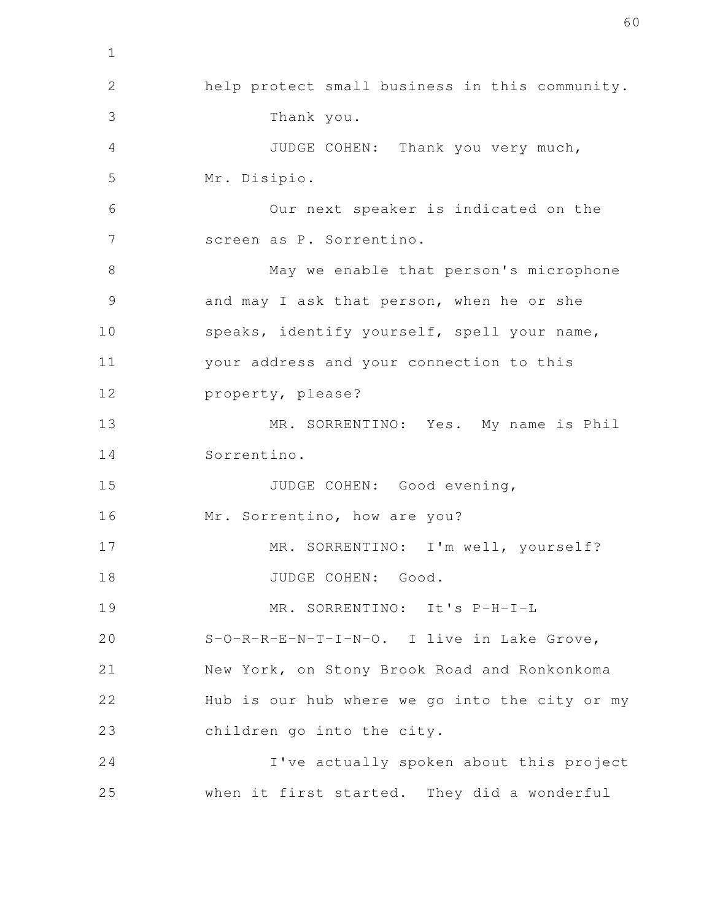help protect small business in this community. Thank you. JUDGE COHEN: Thank you very much, Mr. Disipio. Our next speaker is indicated on the screen as P. Sorrentino. May we enable that person's microphone and may I ask that person, when he or she speaks, identify yourself, spell your name, your address and your connection to this property, please? MR. SORRENTINO: Yes. My name is Phil Sorrentino. JUDGE COHEN: Good evening, Mr. Sorrentino, how are you? MR. SORRENTINO: I'm well, yourself? JUDGE COHEN: Good. MR. SORRENTINO: It's P-H-I-L S-O-R-R-E-N-T-I-N-O. I live in Lake Grove, New York, on Stony Brook Road and Ronkonkoma Hub is our hub where we go into the city or my children go into the city. I've actually spoken about this project when it first started. They did a wonderful 2 3 4 5 6 7 8 9 10 11 12 13 14 15 16 17 18 19 20 21 22 23 24 25

1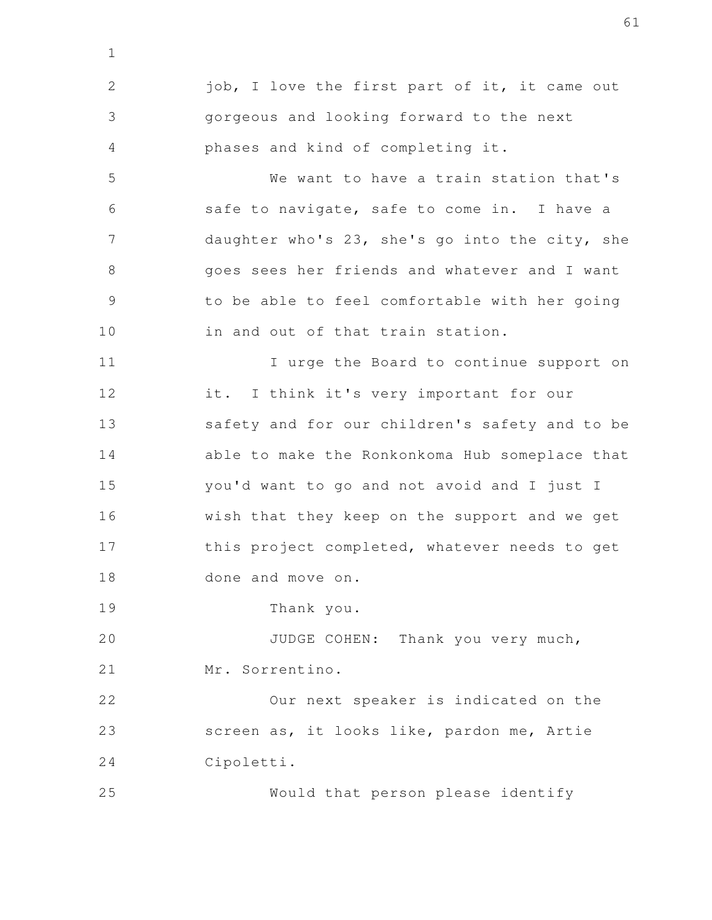job, I love the first part of it, it came out gorgeous and looking forward to the next phases and kind of completing it. We want to have a train station that's safe to navigate, safe to come in. I have a daughter who's 23, she's go into the city, she goes sees her friends and whatever and I want to be able to feel comfortable with her going in and out of that train station. I urge the Board to continue support on it. I think it's very important for our safety and for our children's safety and to be able to make the Ronkonkoma Hub someplace that you'd want to go and not avoid and I just I wish that they keep on the support and we get this project completed, whatever needs to get done and move on. Thank you. JUDGE COHEN: Thank you very much, Mr. Sorrentino. Our next speaker is indicated on the screen as, it looks like, pardon me, Artie Cipoletti. 1 2 3 4 5 6 7 8 9 10 11 12 13 14 15 16 17 18 19 20 21 22 23 24

Would that person please identify 25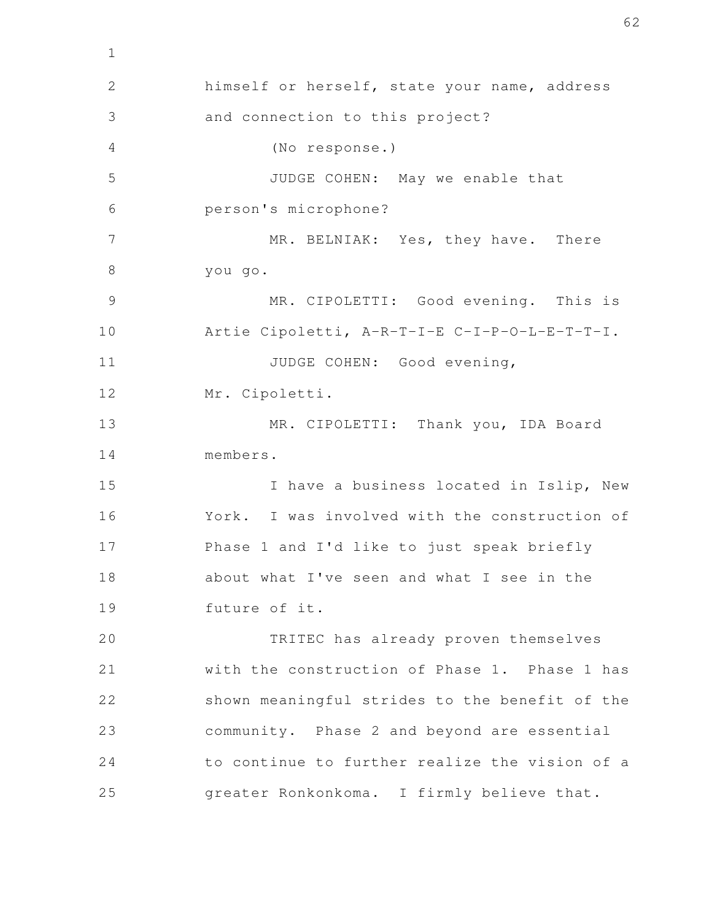himself or herself, state your name, address and connection to this project? (No response.) JUDGE COHEN: May we enable that person's microphone? MR. BELNIAK: Yes, they have. There you go. MR. CIPOLETTI: Good evening. This is Artie Cipoletti, A-R-T-I-E C-I-P-O-L-E-T-T-I. JUDGE COHEN: Good evening, Mr. Cipoletti. MR. CIPOLETTI: Thank you, IDA Board members. I have a business located in Islip, New York. I was involved with the construction of Phase 1 and I'd like to just speak briefly about what I've seen and what I see in the future of it. TRITEC has already proven themselves with the construction of Phase 1. Phase 1 has shown meaningful strides to the benefit of the community. Phase 2 and beyond are essential to continue to further realize the vision of a greater Ronkonkoma. I firmly believe that. 2 3 4 5 6 7 8 9 10 11 12 13 14 15 16 17 18 19 20 21 22 23 24 25

1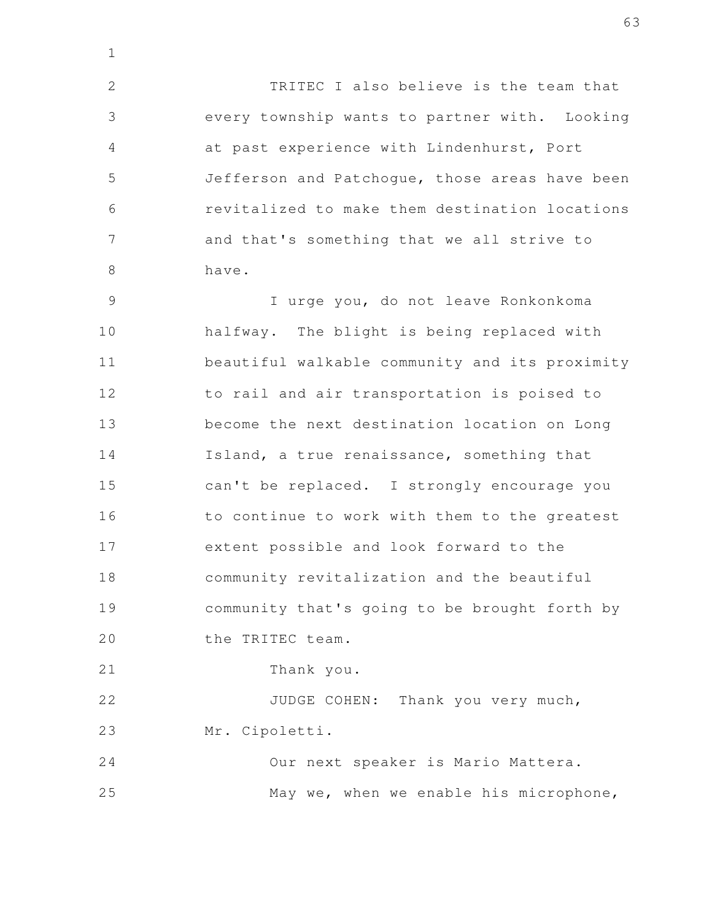TRITEC I also believe is the team that every township wants to partner with. Looking at past experience with Lindenhurst, Port Jefferson and Patchogue, those areas have been revitalized to make them destination locations and that's something that we all strive to have. 2 3 4 5 6 7 8

1

I urge you, do not leave Ronkonkoma halfway. The blight is being replaced with beautiful walkable community and its proximity to rail and air transportation is poised to become the next destination location on Long Island, a true renaissance, something that can't be replaced. I strongly encourage you to continue to work with them to the greatest extent possible and look forward to the community revitalization and the beautiful community that's going to be brought forth by the TRITEC team. Thank you. 9 10 11 12 13 14 15 16 17 18 19 20 21

JUDGE COHEN: Thank you very much, Mr. Cipoletti. 22 23

Our next speaker is Mario Mattera. May we, when we enable his microphone, 24 25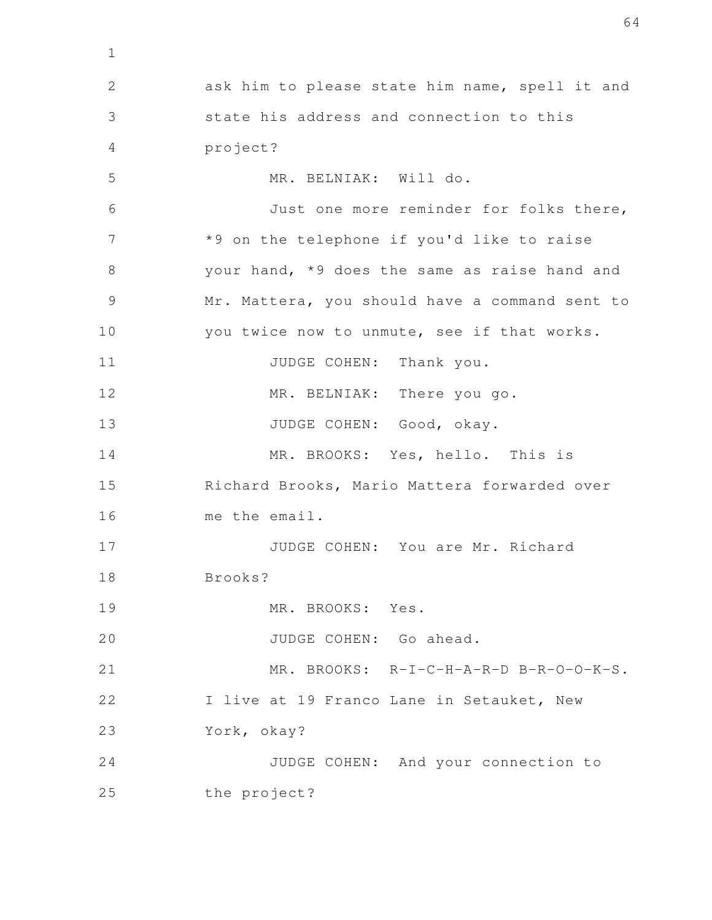ask him to please state him name, spell it and state his address and connection to this project? MR. BELNIAK: Will do. Just one more reminder for folks there, \*9 on the telephone if you'd like to raise your hand, \*9 does the same as raise hand and Mr. Mattera, you should have a command sent to you twice now to unmute, see if that works. JUDGE COHEN: Thank you. MR. BELNIAK: There you go. JUDGE COHEN: Good, okay. MR. BROOKS: Yes, hello. This is Richard Brooks, Mario Mattera forwarded over me the email. JUDGE COHEN: You are Mr. Richard Brooks? MR. BROOKS: Yes. JUDGE COHEN: Go ahead. MR. BROOKS: R-I-C-H-A-R-D B-R-O-O-K-S. I live at 19 Franco Lane in Setauket, New York, okay? JUDGE COHEN: And your connection to the project? 2 3 4 5 6 7 8 9 10 11 12 13 14 15 16 17 18 19 20 21 22 23 24 25

1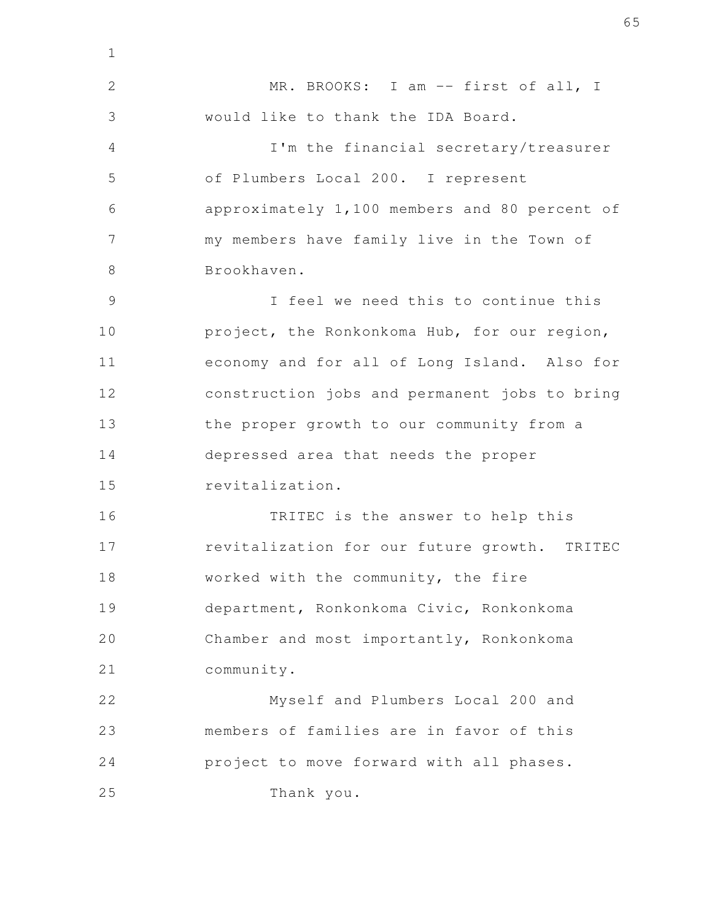MR. BROOKS: I am -- first of all, I would like to thank the IDA Board. I'm the financial secretary/treasurer of Plumbers Local 200. I represent approximately 1,100 members and 80 percent of my members have family live in the Town of Brookhaven. I feel we need this to continue this project, the Ronkonkoma Hub, for our region, economy and for all of Long Island. Also for construction jobs and permanent jobs to bring the proper growth to our community from a depressed area that needs the proper revitalization. TRITEC is the answer to help this revitalization for our future growth. TRITEC worked with the community, the fire department, Ronkonkoma Civic, Ronkonkoma Chamber and most importantly, Ronkonkoma community. Myself and Plumbers Local 200 and members of families are in favor of this project to move forward with all phases. Thank you. 2 3 4 5 6 7 8 9 10 11 12 13 14 15 16 17 18 19 20 21 22 23 24 25

1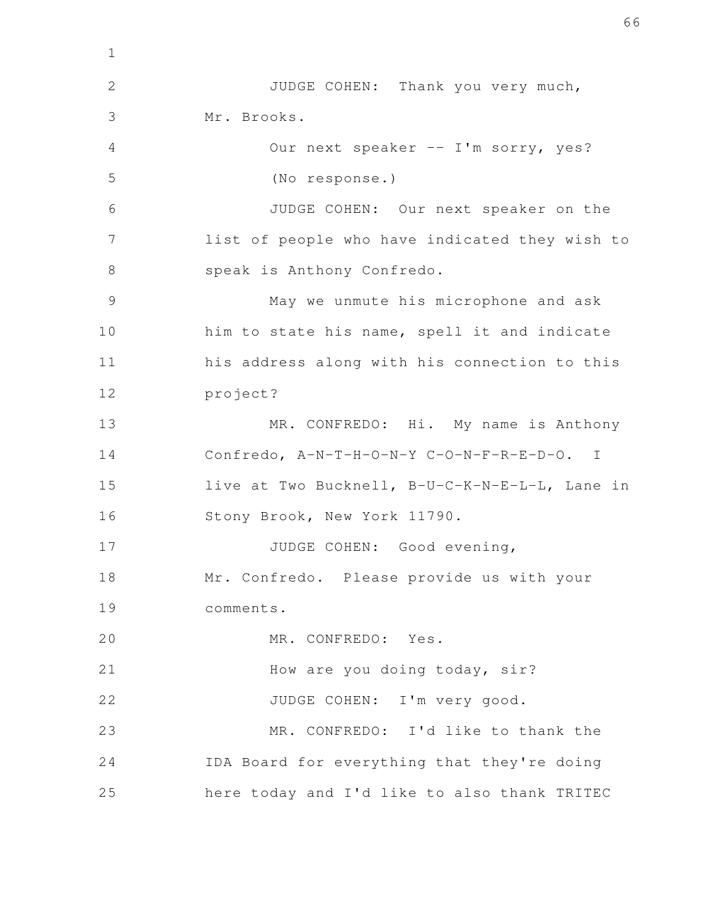JUDGE COHEN: Thank you very much, Mr. Brooks. Our next speaker -- I'm sorry, yes? (No response.) JUDGE COHEN: Our next speaker on the list of people who have indicated they wish to speak is Anthony Confredo. May we unmute his microphone and ask him to state his name, spell it and indicate his address along with his connection to this project? MR. CONFREDO: Hi. My name is Anthony Confredo, A-N-T-H-O-N-Y C-O-N-F-R-E-D-O. I live at Two Bucknell, B-U-C-K-N-E-L-L, Lane in Stony Brook, New York 11790. JUDGE COHEN: Good evening, Mr. Confredo. Please provide us with your comments. MR. CONFREDO: Yes. How are you doing today, sir? JUDGE COHEN: I'm very good. MR. CONFREDO: I'd like to thank the IDA Board for everything that they're doing here today and I'd like to also thank TRITEC 1 2 3 4 5 6 7 8 9 10 11 12 13 14 15 16 17 18 19 20 21 22 23 24 25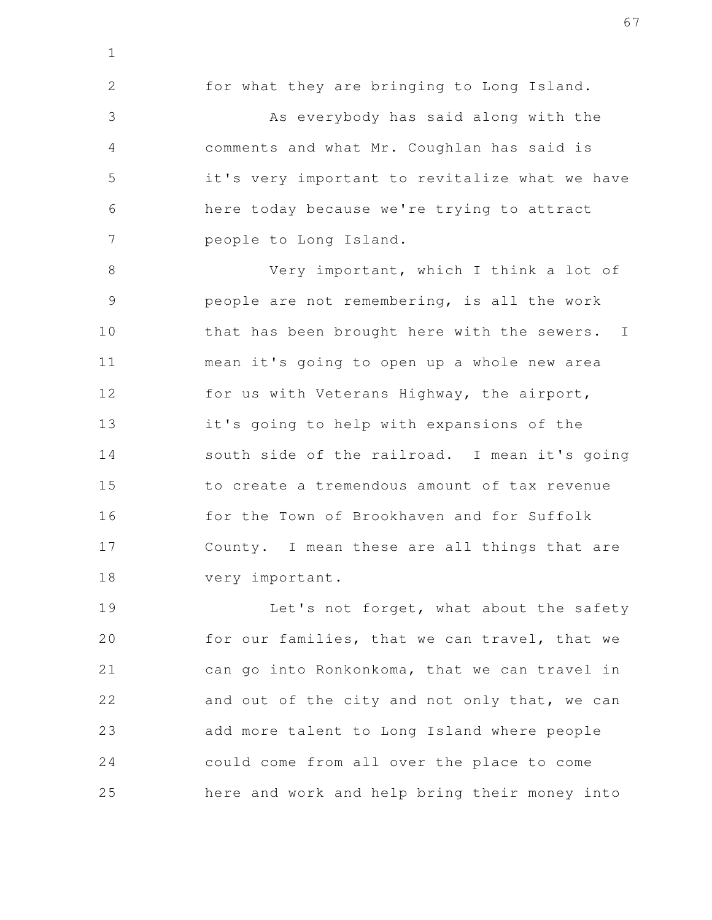for what they are bringing to Long Island. As everybody has said along with the comments and what Mr. Coughlan has said is it's very important to revitalize what we have here today because we're trying to attract people to Long Island. 2 3 4 5 6 7

1

Very important, which I think a lot of people are not remembering, is all the work that has been brought here with the sewers. I mean it's going to open up a whole new area for us with Veterans Highway, the airport, it's going to help with expansions of the south side of the railroad. I mean it's going to create a tremendous amount of tax revenue for the Town of Brookhaven and for Suffolk County. I mean these are all things that are very important. 8 9 10 11 12 13 14 15 16 17 18

Let's not forget, what about the safety for our families, that we can travel, that we can go into Ronkonkoma, that we can travel in and out of the city and not only that, we can add more talent to Long Island where people could come from all over the place to come here and work and help bring their money into 19 20 21 22 23 24 25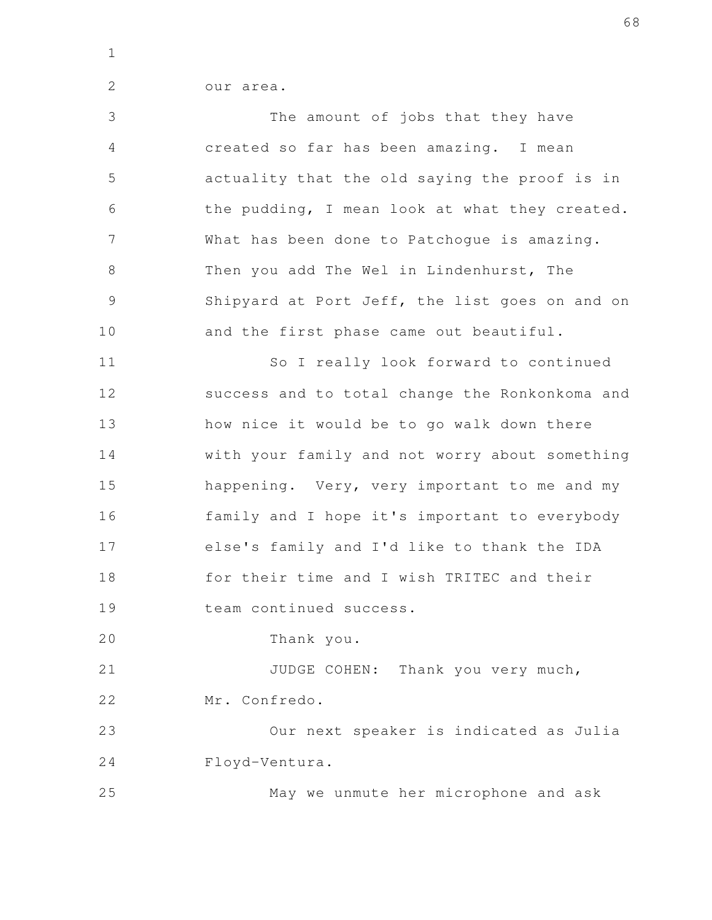1

2

|  | our area. |
|--|-----------|
|  |           |

The amount of jobs that they have created so far has been amazing. I mean actuality that the old saying the proof is in the pudding, I mean look at what they created. What has been done to Patchogue is amazing. Then you add The Wel in Lindenhurst, The Shipyard at Port Jeff, the list goes on and on and the first phase came out beautiful. 3 4 5 6 7 8 9 10

So I really look forward to continued success and to total change the Ronkonkoma and how nice it would be to go walk down there with your family and not worry about something happening. Very, very important to me and my family and I hope it's important to everybody else's family and I'd like to thank the IDA for their time and I wish TRITEC and their team continued success. 11 12 13 14 15 16 17 18 19

Thank you. 20

JUDGE COHEN: Thank you very much, Mr. Confredo. 21 22

Our next speaker is indicated as Julia Floyd-Ventura. 23 24

May we unmute her microphone and ask 25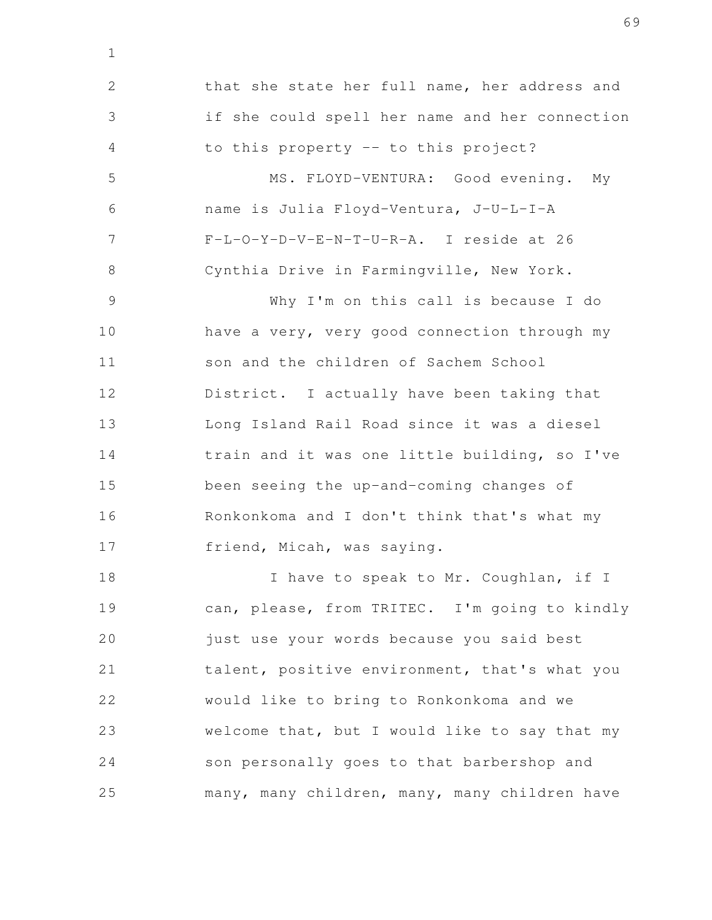that she state her full name, her address and if she could spell her name and her connection to this property -- to this project? MS. FLOYD-VENTURA: Good evening. My name is Julia Floyd-Ventura, J-U-L-I-A F-L-O-Y-D-V-E-N-T-U-R-A. I reside at 26 Cynthia Drive in Farmingville, New York. Why I'm on this call is because I do have a very, very good connection through my son and the children of Sachem School District. I actually have been taking that Long Island Rail Road since it was a diesel train and it was one little building, so I've been seeing the up-and-coming changes of Ronkonkoma and I don't think that's what my friend, Micah, was saying. I have to speak to Mr. Coughlan, if I can, please, from TRITEC. I'm going to kindly just use your words because you said best talent, positive environment, that's what you would like to bring to Ronkonkoma and we welcome that, but I would like to say that my son personally goes to that barbershop and 2 3 4 5 6 7 8 9 10 11 12 13 14 15 16 17 18 19 20 21 22 23 24

1

many, many children, many, many children have 25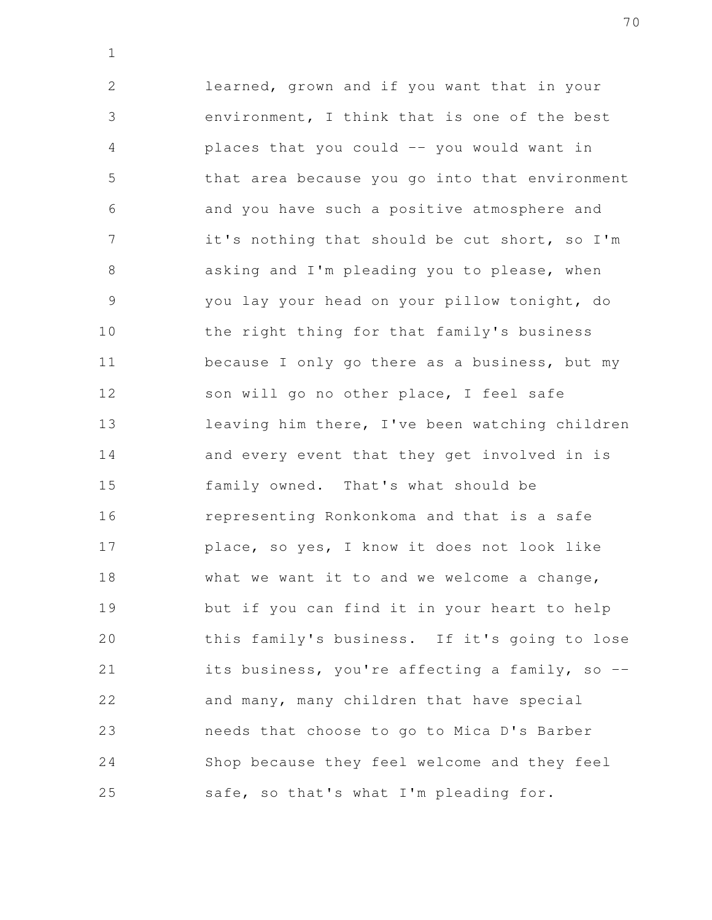learned, grown and if you want that in your environment, I think that is one of the best places that you could -- you would want in that area because you go into that environment and you have such a positive atmosphere and it's nothing that should be cut short, so I'm asking and I'm pleading you to please, when you lay your head on your pillow tonight, do the right thing for that family's business because I only go there as a business, but my son will go no other place, I feel safe leaving him there, I've been watching children and every event that they get involved in is family owned. That's what should be representing Ronkonkoma and that is a safe place, so yes, I know it does not look like what we want it to and we welcome a change, but if you can find it in your heart to help this family's business. If it's going to lose its business, you're affecting a family, so - and many, many children that have special needs that choose to go to Mica D's Barber Shop because they feel welcome and they feel safe, so that's what I'm pleading for. 2 3 4 5 6 7 8 9 10 11 12 13 14 15 16 17 18 19 20 21 22 23 24 25

1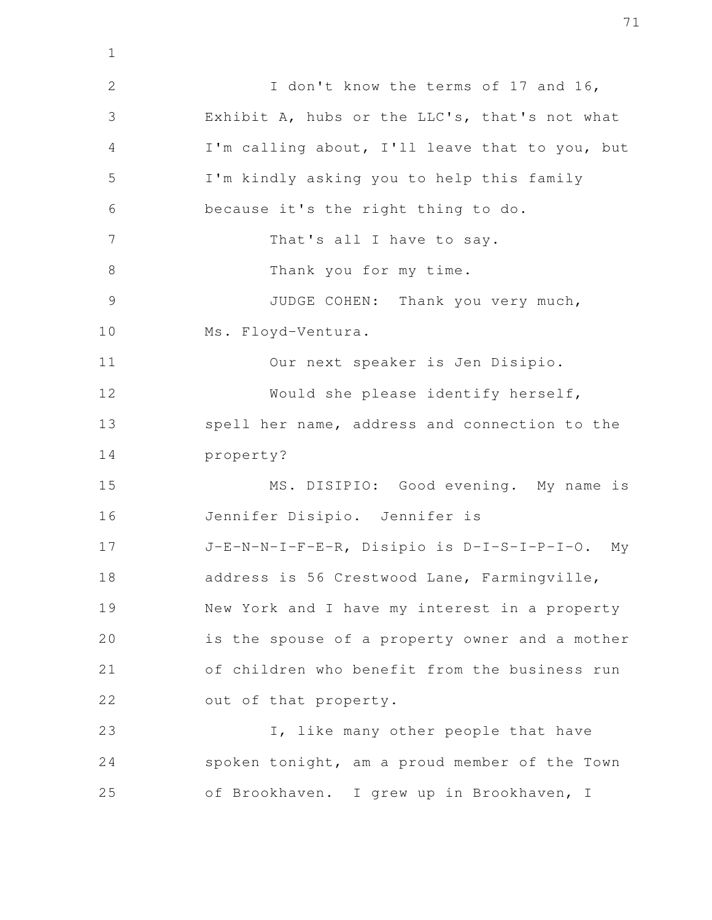I don't know the terms of 17 and 16, Exhibit A, hubs or the LLC's, that's not what I'm calling about, I'll leave that to you, but I'm kindly asking you to help this family because it's the right thing to do. That's all I have to say. Thank you for my time. JUDGE COHEN: Thank you very much, Ms. Floyd-Ventura. Our next speaker is Jen Disipio. Would she please identify herself, spell her name, address and connection to the property? MS. DISIPIO: Good evening. My name is Jennifer Disipio. Jennifer is J-E-N-N-I-F-E-R, Disipio is D-I-S-I-P-I-O. My address is 56 Crestwood Lane, Farmingville, New York and I have my interest in a property is the spouse of a property owner and a mother of children who benefit from the business run out of that property. I, like many other people that have spoken tonight, am a proud member of the Town of Brookhaven. I grew up in Brookhaven, I 1 2 3 4 5 6 7 8 9 10 11 12 13 14 15 16 17 18 19 20 21 22 23 24 25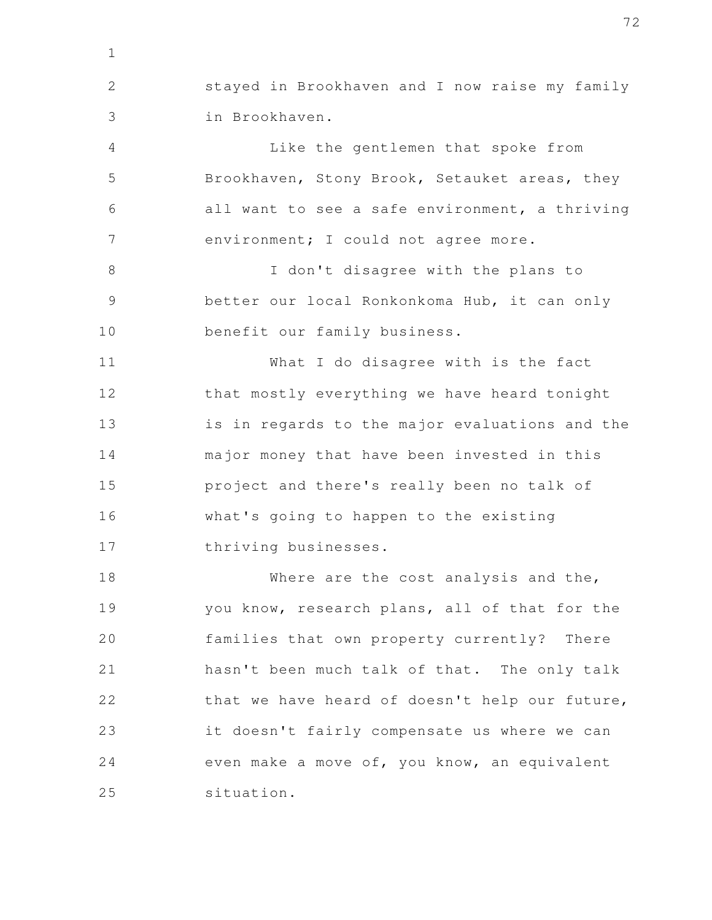stayed in Brookhaven and I now raise my family in Brookhaven. 2 3

1

Like the gentlemen that spoke from Brookhaven, Stony Brook, Setauket areas, they all want to see a safe environment, a thriving environment; I could not agree more. 4 5 6 7

I don't disagree with the plans to better our local Ronkonkoma Hub, it can only benefit our family business. 8 9 10

What I do disagree with is the fact that mostly everything we have heard tonight is in regards to the major evaluations and the major money that have been invested in this project and there's really been no talk of what's going to happen to the existing thriving businesses. 11 12 13 14 15 16 17

Where are the cost analysis and the, you know, research plans, all of that for the families that own property currently? There hasn't been much talk of that. The only talk that we have heard of doesn't help our future, it doesn't fairly compensate us where we can even make a move of, you know, an equivalent situation. 18 19 20 21 22 23 24 25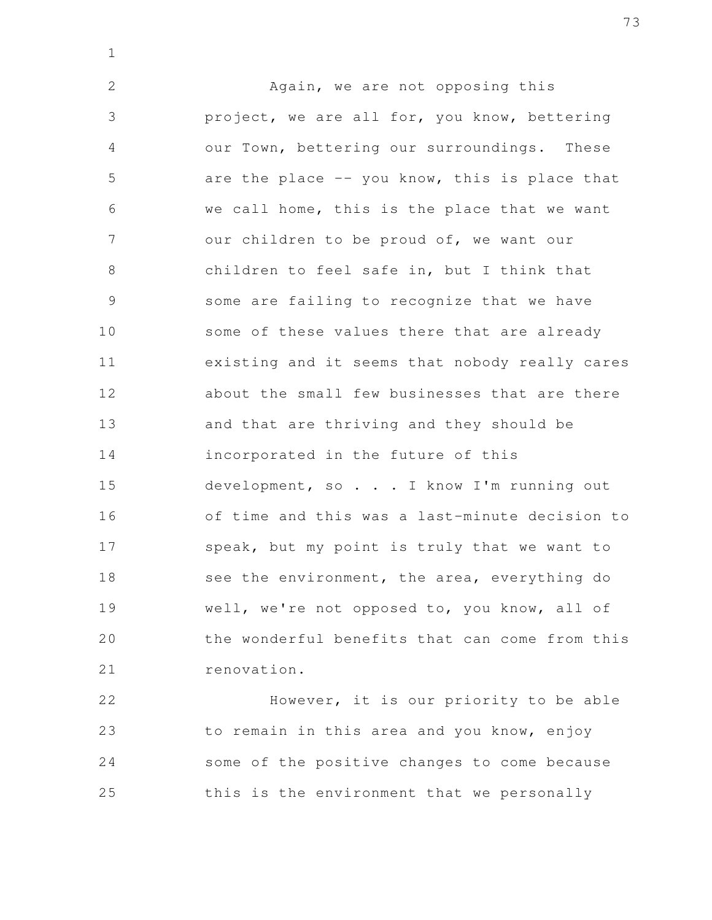Again, we are not opposing this project, we are all for, you know, bettering our Town, bettering our surroundings. These are the place  $-$ - you know, this is place that we call home, this is the place that we want our children to be proud of, we want our children to feel safe in, but I think that some are failing to recognize that we have some of these values there that are already existing and it seems that nobody really cares about the small few businesses that are there and that are thriving and they should be incorporated in the future of this development, so . . . I know I'm running out of time and this was a last-minute decision to speak, but my point is truly that we want to see the environment, the area, everything do well, we're not opposed to, you know, all of the wonderful benefits that can come from this renovation. 2 3 4 5 6 7 8 9 10 11 12 13 14 15 16 17 18 19 20 21

1

However, it is our priority to be able to remain in this area and you know, enjoy some of the positive changes to come because this is the environment that we personally 22 23 24 25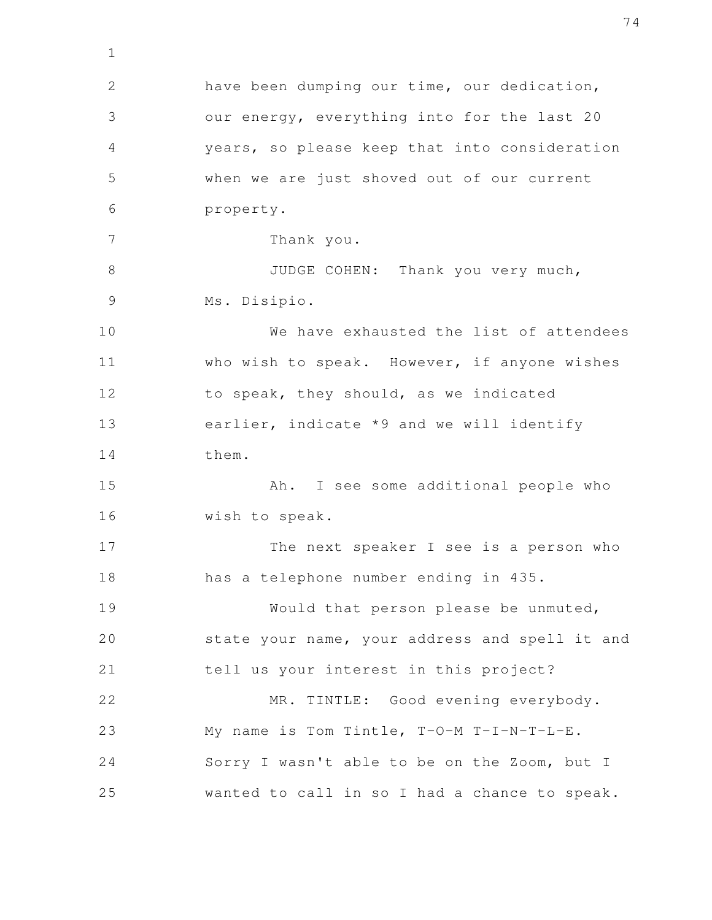have been dumping our time, our dedication, our energy, everything into for the last 20 years, so please keep that into consideration when we are just shoved out of our current property. Thank you. JUDGE COHEN: Thank you very much, Ms. Disipio. We have exhausted the list of attendees who wish to speak. However, if anyone wishes to speak, they should, as we indicated earlier, indicate \*9 and we will identify them. Ah. I see some additional people who wish to speak. The next speaker I see is a person who has a telephone number ending in 435. Would that person please be unmuted, state your name, your address and spell it and tell us your interest in this project? MR. TINTLE: Good evening everybody. My name is Tom Tintle, T-O-M T-I-N-T-L-E. Sorry I wasn't able to be on the Zoom, but I wanted to call in so I had a chance to speak. 2 3 4 5 6 7 8 9 10 11 12 13 14 15 16 17 18 19 20 21 22 23 24 25

1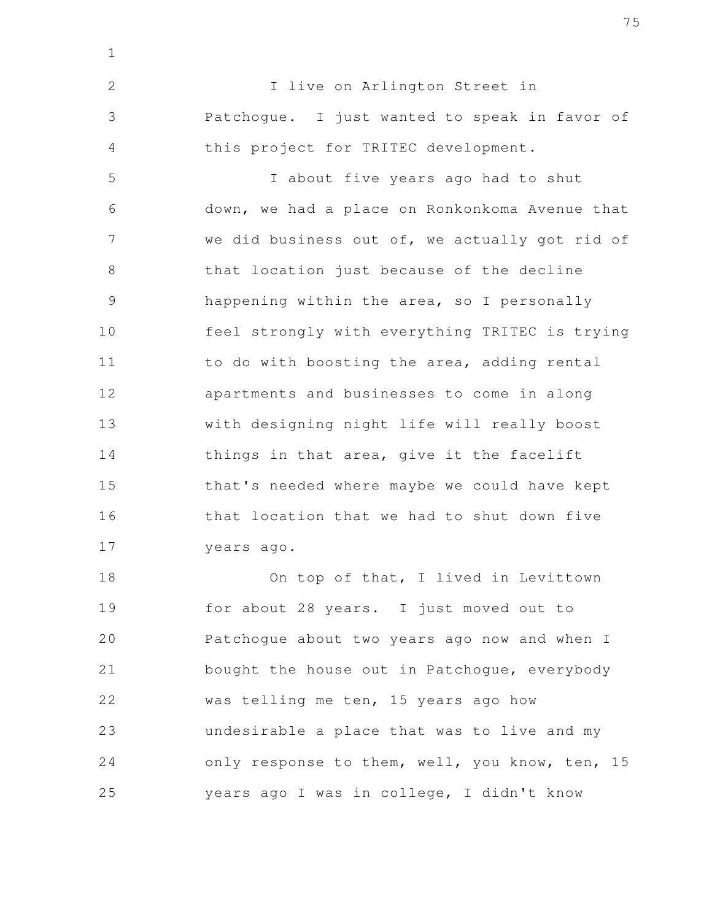I live on Arlington Street in Patchogue. I just wanted to speak in favor of this project for TRITEC development. I about five years ago had to shut 2 3 4 5

1

down, we had a place on Ronkonkoma Avenue that we did business out of, we actually got rid of that location just because of the decline happening within the area, so I personally feel strongly with everything TRITEC is trying to do with boosting the area, adding rental apartments and businesses to come in along with designing night life will really boost things in that area, give it the facelift that's needed where maybe we could have kept that location that we had to shut down five years ago. 6 7 8 9 10 11 12 13 14 15 16 17

On top of that, I lived in Levittown for about 28 years. I just moved out to Patchogue about two years ago now and when I bought the house out in Patchogue, everybody was telling me ten, 15 years ago how undesirable a place that was to live and my only response to them, well, you know, ten, 15 years ago I was in college, I didn't know 18 19 20 21 22 23 24 25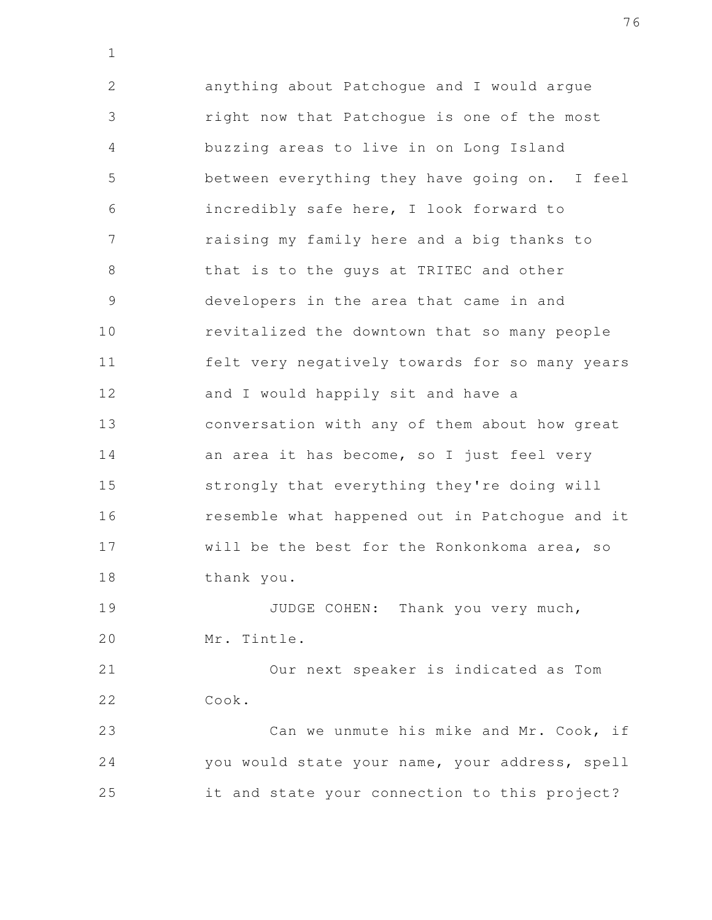anything about Patchogue and I would argue right now that Patchogue is one of the most buzzing areas to live in on Long Island between everything they have going on. I feel incredibly safe here, I look forward to raising my family here and a big thanks to that is to the guys at TRITEC and other developers in the area that came in and revitalized the downtown that so many people felt very negatively towards for so many years and I would happily sit and have a conversation with any of them about how great an area it has become, so I just feel very strongly that everything they're doing will resemble what happened out in Patchogue and it will be the best for the Ronkonkoma area, so thank you. 2 3 4 5 6 7 8 9 10 11 12 13 14 15 16 17 18

1

JUDGE COHEN: Thank you very much, Mr. Tintle. 19 20

Our next speaker is indicated as Tom Cook. 21 22

Can we unmute his mike and Mr. Cook, if you would state your name, your address, spell it and state your connection to this project? 23 24 25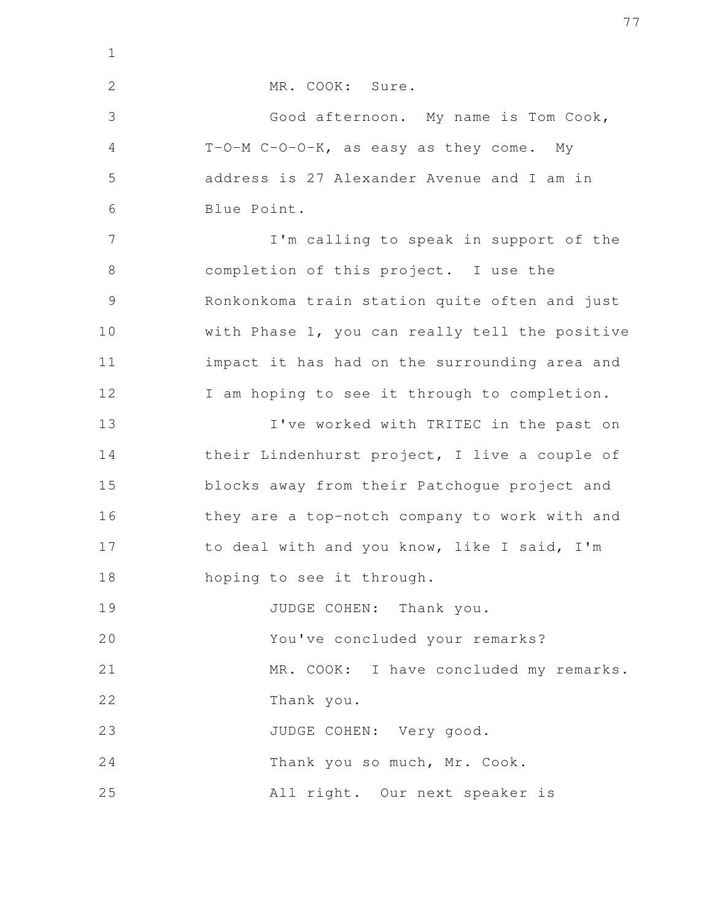| $\mathbf{1}$   |                                                |
|----------------|------------------------------------------------|
| $\mathbf{2}$   | MR. COOK: Sure.                                |
| 3              | Good afternoon. My name is Tom Cook,           |
| 4              | T-O-M C-O-O-K, as easy as they come. My        |
| 5              | address is 27 Alexander Avenue and I am in     |
| 6              | Blue Point.                                    |
| 7              | I'm calling to speak in support of the         |
| 8              | completion of this project. I use the          |
| $\overline{9}$ | Ronkonkoma train station quite often and just  |
| 10             | with Phase 1, you can really tell the positive |
| 11             | impact it has had on the surrounding area and  |
| 12             | I am hoping to see it through to completion.   |
| 13             | I've worked with TRITEC in the past on         |
| 14             | their Lindenhurst project, I live a couple of  |
| 15             | blocks away from their Patchogue project and   |
| 16             | they are a top-notch company to work with and  |
| 17             | to deal with and you know, like I said, I'm    |
| 18             | hoping to see it through.                      |
| 19             | JUDGE COHEN: Thank you.                        |
| 20             | You've concluded your remarks?                 |
| 21             | MR. COOK: I have concluded my remarks.         |
| 22             | Thank you.                                     |
| 23             | JUDGE COHEN: Very good.                        |
| 24             | Thank you so much, Mr. Cook.                   |
| 25             | All right. Our next speaker is                 |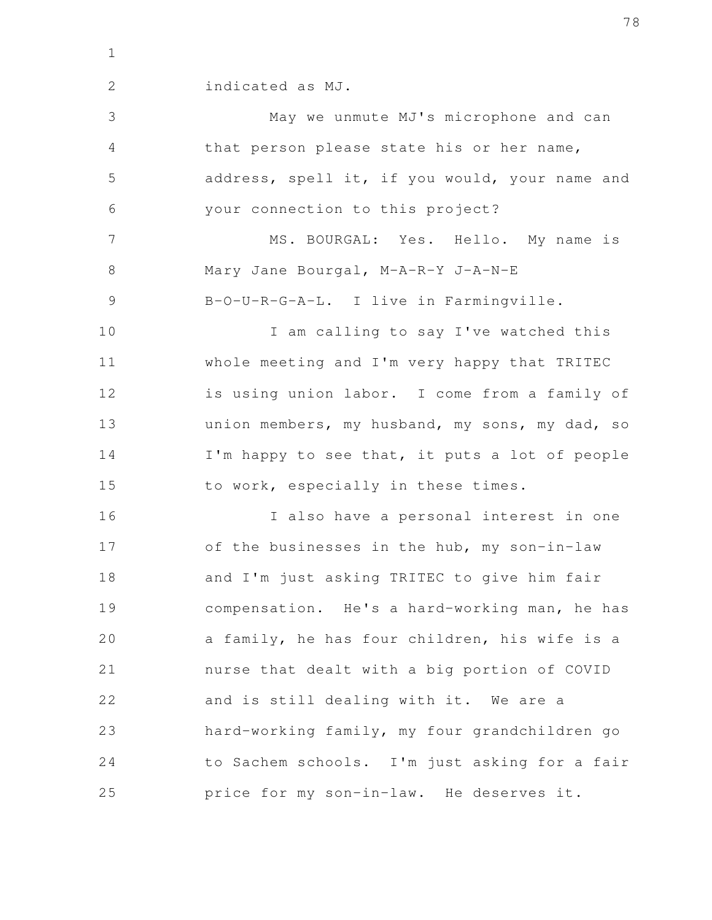2

indicated as MJ.

May we unmute MJ's microphone and can that person please state his or her name, address, spell it, if you would, your name and your connection to this project? MS. BOURGAL: Yes. Hello. My name is Mary Jane Bourgal, M-A-R-Y J-A-N-E B-O-U-R-G-A-L. I live in Farmingville. I am calling to say I've watched this whole meeting and I'm very happy that TRITEC is using union labor. I come from a family of union members, my husband, my sons, my dad, so I'm happy to see that, it puts a lot of people to work, especially in these times. I also have a personal interest in one of the businesses in the hub, my son-in-law and I'm just asking TRITEC to give him fair compensation. He's a hard-working man, he has a family, he has four children, his wife is a nurse that dealt with a big portion of COVID and is still dealing with it. We are a hard-working family, my four grandchildren go to Sachem schools. I'm just asking for a fair price for my son-in-law. He deserves it. 3 4 5 6 7 8 9 10 11 12 13 14 15 16 17 18 19 20 21 22 23 24 25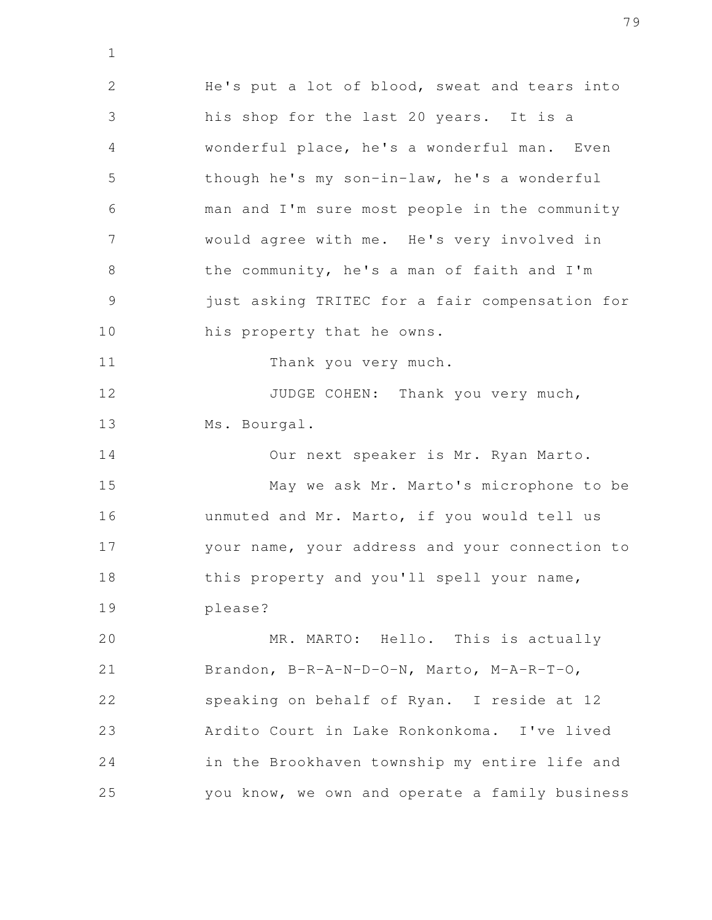He's put a lot of blood, sweat and tears into his shop for the last 20 years. It is a wonderful place, he's a wonderful man. Even though he's my son-in-law, he's a wonderful man and I'm sure most people in the community would agree with me. He's very involved in the community, he's a man of faith and I'm just asking TRITEC for a fair compensation for his property that he owns. Thank you very much. JUDGE COHEN: Thank you very much, Ms. Bourgal. Our next speaker is Mr. Ryan Marto. May we ask Mr. Marto's microphone to be unmuted and Mr. Marto, if you would tell us your name, your address and your connection to this property and you'll spell your name, please? MR. MARTO: Hello. This is actually Brandon, B-R-A-N-D-O-N, Marto, M-A-R-T-O, speaking on behalf of Ryan. I reside at 12 Ardito Court in Lake Ronkonkoma. I've lived in the Brookhaven township my entire life and you know, we own and operate a family business 2 3 4 5 6 7 8 9 10 11 12 13 14 15 16 17 18 19 20 21 22 23 24 25

1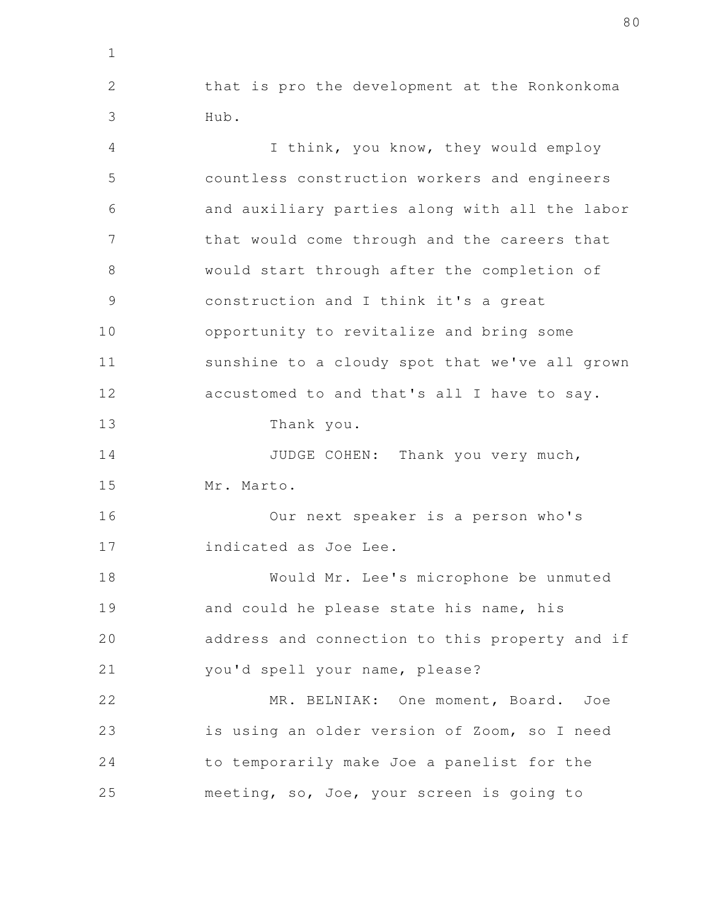that is pro the development at the Ronkonkoma Hub. 2 3

1

I think, you know, they would employ countless construction workers and engineers and auxiliary parties along with all the labor that would come through and the careers that would start through after the completion of construction and I think it's a great opportunity to revitalize and bring some sunshine to a cloudy spot that we've all grown accustomed to and that's all I have to say. Thank you. JUDGE COHEN: Thank you very much, Mr. Marto. Our next speaker is a person who's indicated as Joe Lee. Would Mr. Lee's microphone be unmuted and could he please state his name, his address and connection to this property and if you'd spell your name, please? MR. BELNIAK: One moment, Board. Joe is using an older version of Zoom, so I need to temporarily make Joe a panelist for the meeting, so, Joe, your screen is going to 4 5 6 7 8 9 10 11 12 13 14 15 16 17 18 19 20 21 22 23 24 25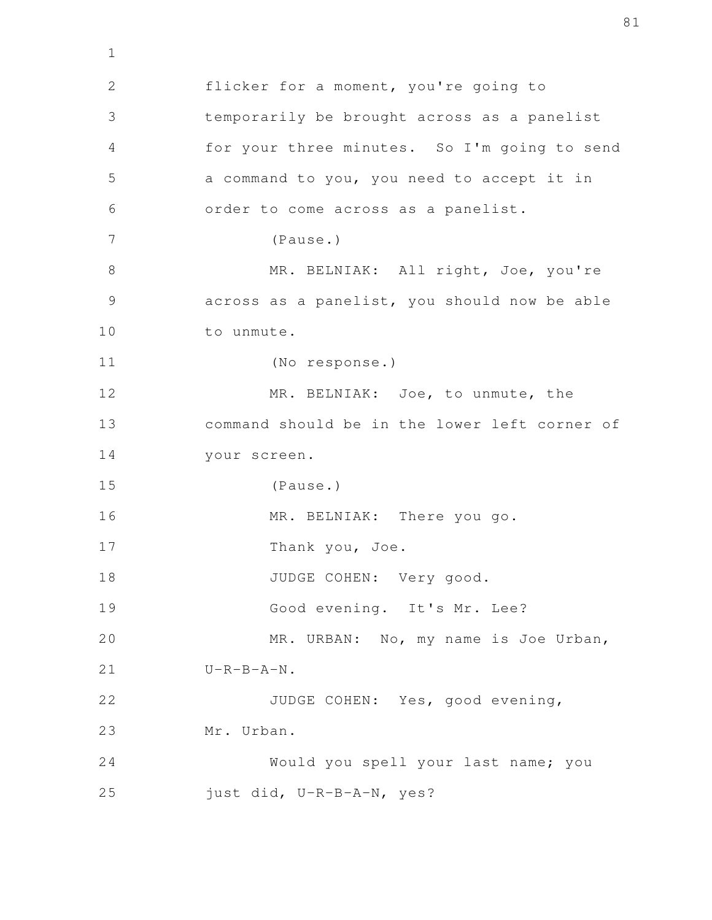flicker for a moment, you're going to temporarily be brought across as a panelist for your three minutes. So I'm going to send a command to you, you need to accept it in order to come across as a panelist. (Pause.) MR. BELNIAK: All right, Joe, you're across as a panelist, you should now be able to unmute. (No response.) MR. BELNIAK: Joe, to unmute, the command should be in the lower left corner of your screen. (Pause.) MR. BELNIAK: There you go. Thank you, Joe. JUDGE COHEN: Very good. Good evening. It's Mr. Lee? MR. URBAN: No, my name is Joe Urban,  $U-R-B-A-N$ . JUDGE COHEN: Yes, good evening, Mr. Urban. Would you spell your last name; you just did, U-R-B-A-N, yes? 2 3 4 5 6 7 8 9 10 11 12 13 14 15 16 17 18 19 20 21 22 23 24 25

1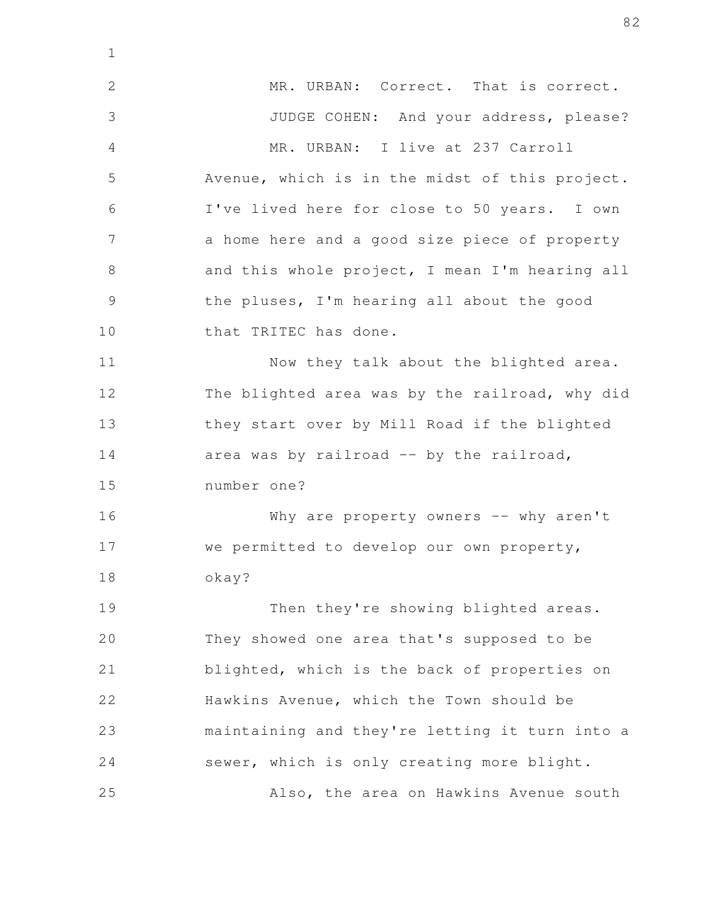MR. URBAN: Correct. That is correct. JUDGE COHEN: And your address, please? MR. URBAN: I live at 237 Carroll Avenue, which is in the midst of this project. I've lived here for close to 50 years. I own a home here and a good size piece of property and this whole project, I mean I'm hearing all the pluses, I'm hearing all about the good that TRITEC has done. Now they talk about the blighted area. The blighted area was by the railroad, why did they start over by Mill Road if the blighted area was by railroad -- by the railroad, number one? Why are property owners -- why aren't we permitted to develop our own property, okay? Then they're showing blighted areas. They showed one area that's supposed to be blighted, which is the back of properties on Hawkins Avenue, which the Town should be maintaining and they're letting it turn into a sewer, which is only creating more blight. Also, the area on Hawkins Avenue south 2 3 4 5 6 7 8 9 10 11 12 13 14 15 16 17 18 19 20 21 22 23 24 25

1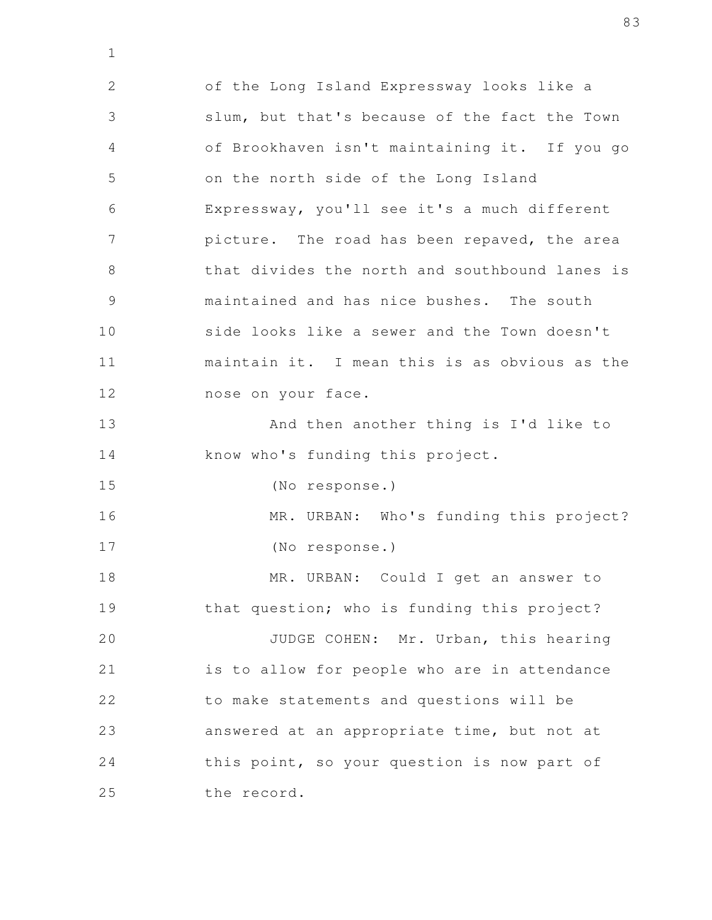of the Long Island Expressway looks like a slum, but that's because of the fact the Town of Brookhaven isn't maintaining it. If you go on the north side of the Long Island Expressway, you'll see it's a much different picture. The road has been repaved, the area that divides the north and southbound lanes is maintained and has nice bushes. The south side looks like a sewer and the Town doesn't maintain it. I mean this is as obvious as the nose on your face. And then another thing is I'd like to know who's funding this project. (No response.) MR. URBAN: Who's funding this project? (No response.) MR. URBAN: Could I get an answer to that question; who is funding this project? JUDGE COHEN: Mr. Urban, this hearing is to allow for people who are in attendance to make statements and questions will be answered at an appropriate time, but not at this point, so your question is now part of the record. 2 3 4 5 6 7 8 9 10 11 12 13 14 15 16 17 18 19 20 21 22 23 24 25

1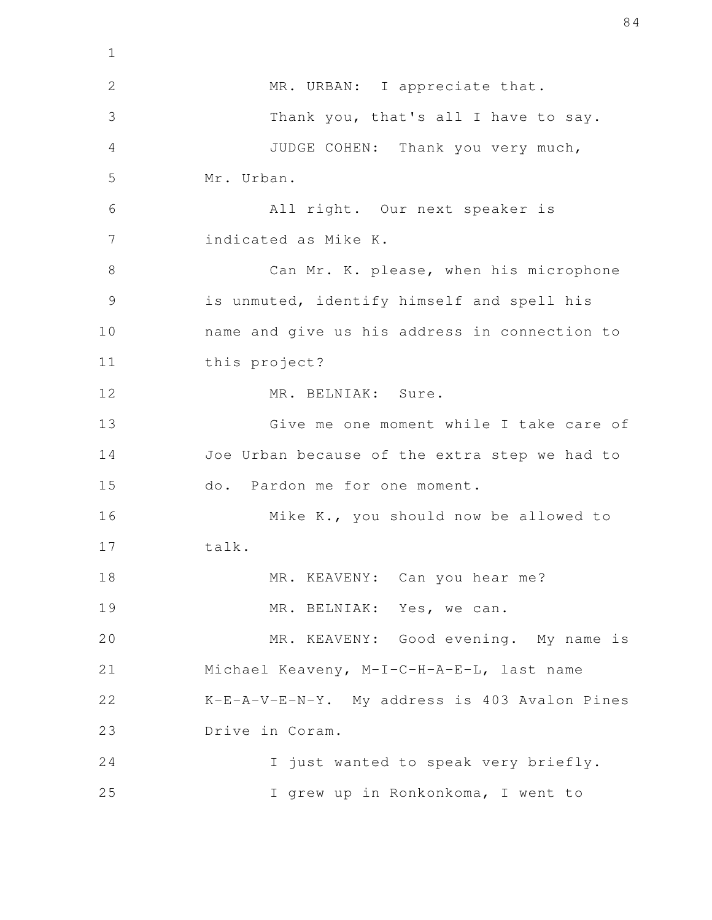| $\mathbf 1$   |                                               |
|---------------|-----------------------------------------------|
| $\mathbf{2}$  | MR. URBAN: I appreciate that.                 |
| 3             | Thank you, that's all I have to say.          |
| 4             | JUDGE COHEN: Thank you very much,             |
| 5             | Mr. Urban.                                    |
| 6             | All right. Our next speaker is                |
| 7             | indicated as Mike K.                          |
| 8             | Can Mr. K. please, when his microphone        |
| $\mathcal{G}$ | is unmuted, identify himself and spell his    |
| 10            | name and give us his address in connection to |
| 11            | this project?                                 |
| 12            | MR. BELNIAK: Sure.                            |
| 13            | Give me one moment while I take care of       |
| 14            | Joe Urban because of the extra step we had to |
| 15            | do. Pardon me for one moment.                 |
| 16            | Mike K., you should now be allowed to         |
| 17            | talk.                                         |
| 18            | MR. KEAVENY: Can you hear me?                 |
| 19            | MR. BELNIAK: Yes, we can.                     |
| 20            | MR. KEAVENY: Good evening. My name is         |
| 21            | Michael Keaveny, M-I-C-H-A-E-L, last name     |
| 22            | K-E-A-V-E-N-Y. My address is 403 Avalon Pines |
| 23            | Drive in Coram.                               |
| 24            | I just wanted to speak very briefly.          |
| 25            | I grew up in Ronkonkoma, I went to            |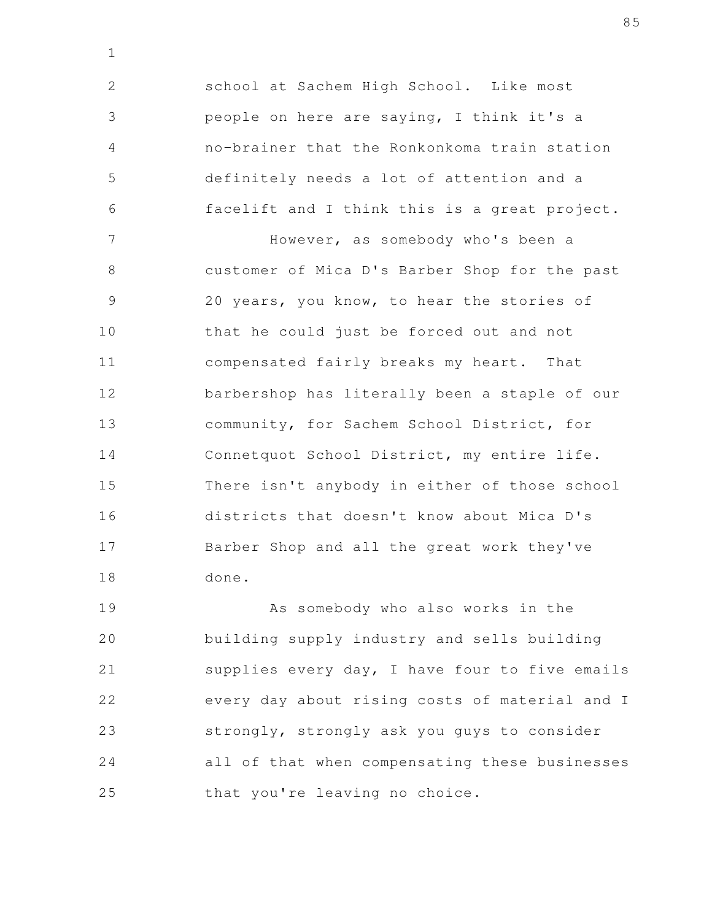school at Sachem High School. Like most people on here are saying, I think it's a no-brainer that the Ronkonkoma train station definitely needs a lot of attention and a facelift and I think this is a great project. 2 3 4 5 6

1

However, as somebody who's been a customer of Mica D's Barber Shop for the past 20 years, you know, to hear the stories of that he could just be forced out and not compensated fairly breaks my heart. That barbershop has literally been a staple of our community, for Sachem School District, for Connetquot School District, my entire life. There isn't anybody in either of those school districts that doesn't know about Mica D's Barber Shop and all the great work they've done. 7 8 9 10 11 12 13 14 15 16 17 18

As somebody who also works in the building supply industry and sells building supplies every day, I have four to five emails every day about rising costs of material and I strongly, strongly ask you guys to consider all of that when compensating these businesses that you're leaving no choice. 19 20 21 22 23 24 25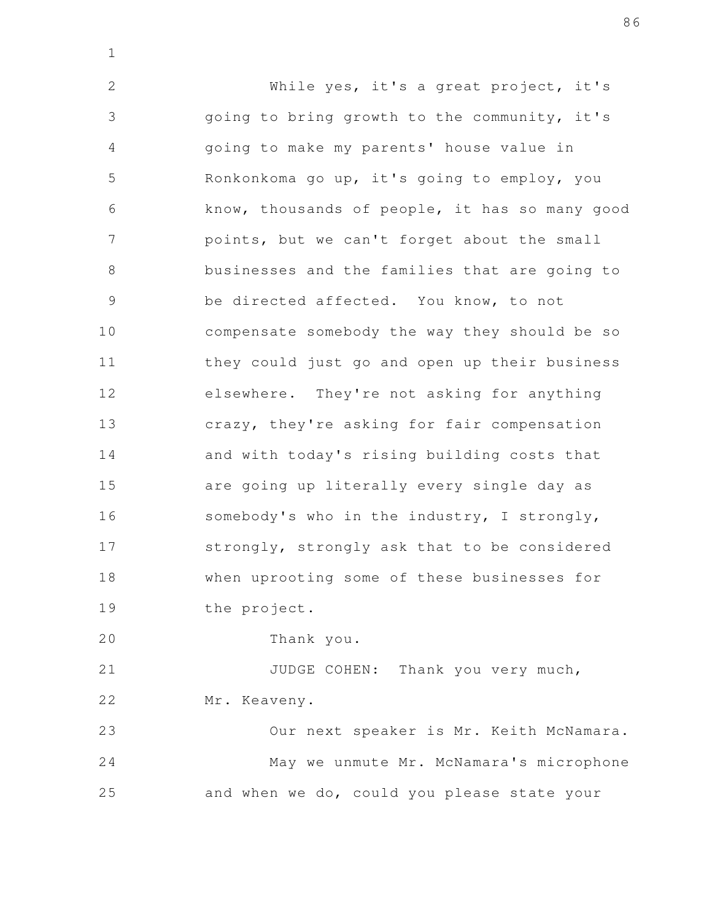While yes, it's a great project, it's going to bring growth to the community, it's going to make my parents' house value in Ronkonkoma go up, it's going to employ, you know, thousands of people, it has so many good points, but we can't forget about the small businesses and the families that are going to be directed affected. You know, to not compensate somebody the way they should be so they could just go and open up their business elsewhere. They're not asking for anything crazy, they're asking for fair compensation and with today's rising building costs that are going up literally every single day as somebody's who in the industry, I strongly, strongly, strongly ask that to be considered when uprooting some of these businesses for the project. 2 3 4 5 6 7 8 9 10 11 12 13 14 15 16 17 18 19

Thank you. 20

1

JUDGE COHEN: Thank you very much, Mr. Keaveny. 21 22

Our next speaker is Mr. Keith McNamara. May we unmute Mr. McNamara's microphone and when we do, could you please state your 23 24 25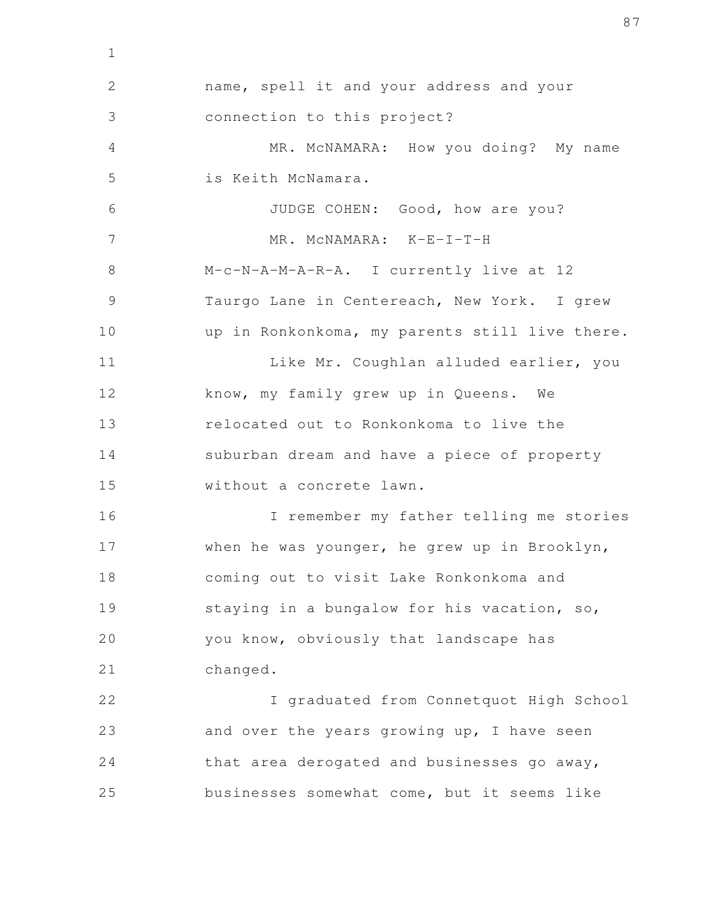name, spell it and your address and your connection to this project? MR. McNAMARA: How you doing? My name is Keith McNamara. JUDGE COHEN: Good, how are you? MR. McNAMARA: K-E-I-T-H M-c-N-A-M-A-R-A. I currently live at 12 Taurgo Lane in Centereach, New York. I grew up in Ronkonkoma, my parents still live there. Like Mr. Coughlan alluded earlier, you know, my family grew up in Queens. We relocated out to Ronkonkoma to live the suburban dream and have a piece of property without a concrete lawn. I remember my father telling me stories when he was younger, he grew up in Brooklyn, coming out to visit Lake Ronkonkoma and staying in a bungalow for his vacation, so, you know, obviously that landscape has changed. I graduated from Connetquot High School and over the years growing up, I have seen that area derogated and businesses go away, businesses somewhat come, but it seems like 2 3 4 5 6 7 8 9 10 11 12 13 14 15 16 17 18 19 20 21 22 23 24 25

1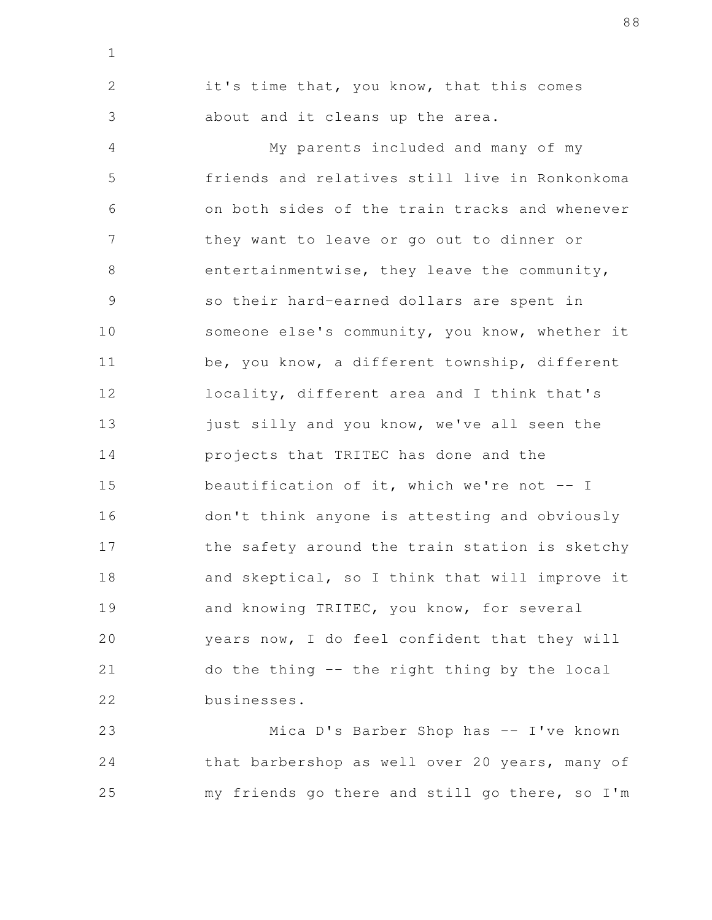it's time that, you know, that this comes about and it cleans up the area. My parents included and many of my friends and relatives still live in Ronkonkoma on both sides of the train tracks and whenever they want to leave or go out to dinner or entertainmentwise, they leave the community, so their hard-earned dollars are spent in someone else's community, you know, whether it be, you know, a different township, different locality, different area and I think that's just silly and you know, we've all seen the projects that TRITEC has done and the beautification of it, which we're not  $--$  I don't think anyone is attesting and obviously the safety around the train station is sketchy and skeptical, so I think that will improve it and knowing TRITEC, you know, for several years now, I do feel confident that they will do the thing -- the right thing by the local businesses. 2 3 4 5 6 7 8 9 10 11 12 13 14 15 16 17 18 19 20 21 22

1

Mica D's Barber Shop has -- I've known that barbershop as well over 20 years, many of my friends go there and still go there, so I'm 23 24 25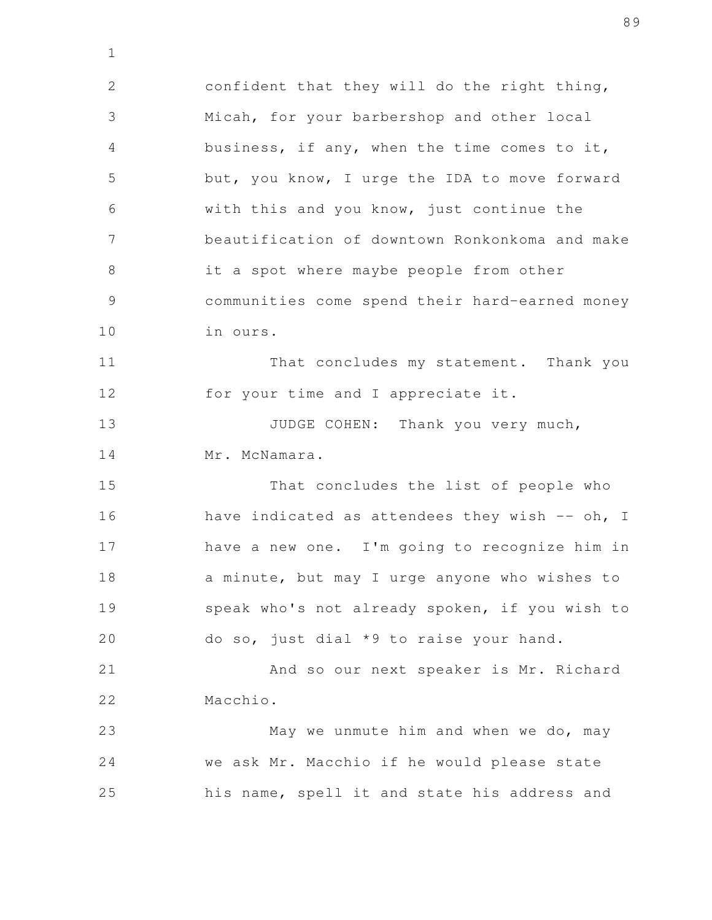confident that they will do the right thing, Micah, for your barbershop and other local business, if any, when the time comes to it, but, you know, I urge the IDA to move forward with this and you know, just continue the beautification of downtown Ronkonkoma and make it a spot where maybe people from other communities come spend their hard-earned money in ours. 2 3 4 5 6 7 8 9 10

1

That concludes my statement. Thank you for your time and I appreciate it. 11 12

JUDGE COHEN: Thank you very much, Mr. McNamara. 13 14

That concludes the list of people who have indicated as attendees they wish  $-$  oh, I have a new one. I'm going to recognize him in a minute, but may I urge anyone who wishes to speak who's not already spoken, if you wish to do so, just dial \*9 to raise your hand. 15 16 17 18 19 20

And so our next speaker is Mr. Richard Macchio. 21 22

May we unmute him and when we do, may we ask Mr. Macchio if he would please state his name, spell it and state his address and 23 24 25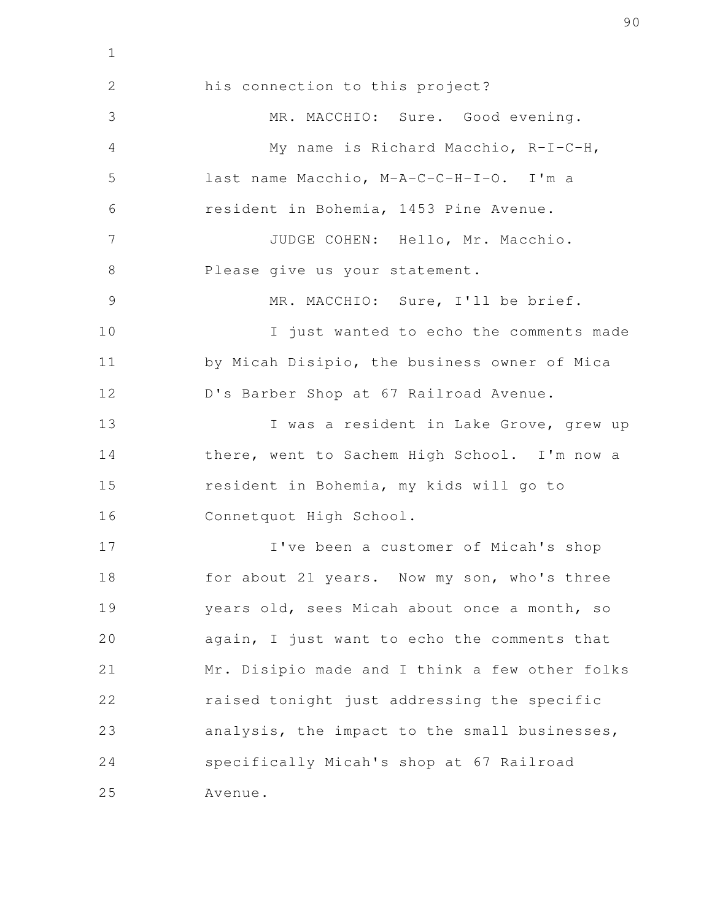his connection to this project? MR. MACCHIO: Sure. Good evening. My name is Richard Macchio, R-I-C-H, last name Macchio, M-A-C-C-H-I-O. I'm a resident in Bohemia, 1453 Pine Avenue. JUDGE COHEN: Hello, Mr. Macchio. Please give us your statement. MR. MACCHIO: Sure, I'll be brief. I just wanted to echo the comments made by Micah Disipio, the business owner of Mica D's Barber Shop at 67 Railroad Avenue. I was a resident in Lake Grove, grew up there, went to Sachem High School. I'm now a resident in Bohemia, my kids will go to Connetquot High School. I've been a customer of Micah's shop for about 21 years. Now my son, who's three years old, sees Micah about once a month, so again, I just want to echo the comments that Mr. Disipio made and I think a few other folks raised tonight just addressing the specific analysis, the impact to the small businesses, specifically Micah's shop at 67 Railroad Avenue. 2 3 4 5 6 7 8 9 10 11 12 13 14 15 16 17 18 19 20 21 22 23 24 25

1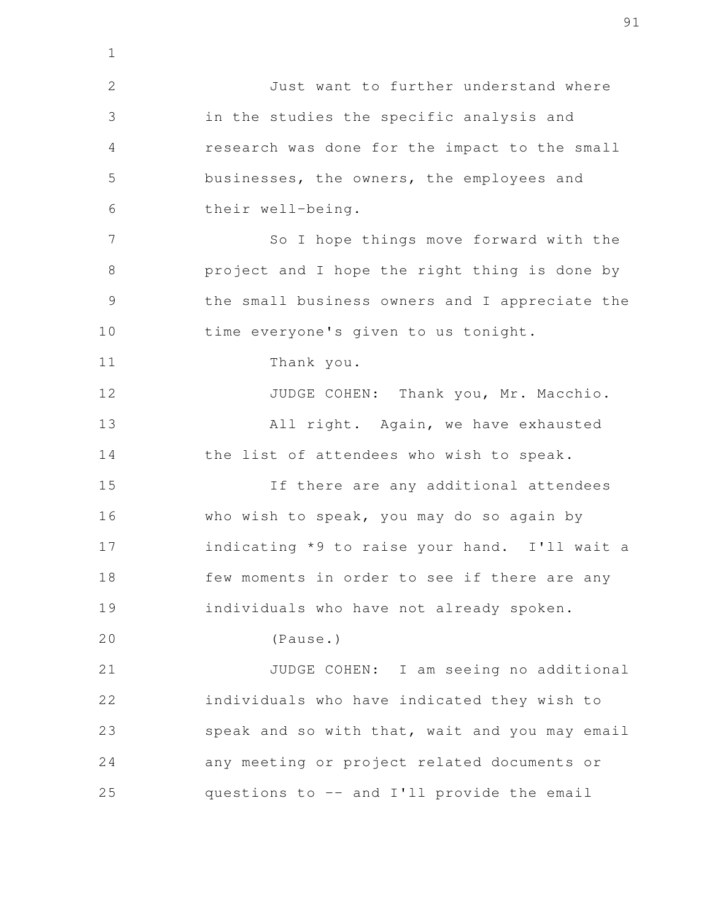Just want to further understand where in the studies the specific analysis and research was done for the impact to the small businesses, the owners, the employees and their well-being. So I hope things move forward with the project and I hope the right thing is done by the small business owners and I appreciate the time everyone's given to us tonight. Thank you. JUDGE COHEN: Thank you, Mr. Macchio. All right. Again, we have exhausted the list of attendees who wish to speak. If there are any additional attendees who wish to speak, you may do so again by indicating \*9 to raise your hand. I'll wait a few moments in order to see if there are any individuals who have not already spoken. (Pause.) JUDGE COHEN: I am seeing no additional individuals who have indicated they wish to speak and so with that, wait and you may email any meeting or project related documents or questions to -- and I'll provide the email 2 3 4 5 6 7 8 9 10 11 12 13 14 15 16 17 18 19 20 21 22 23 24 25

1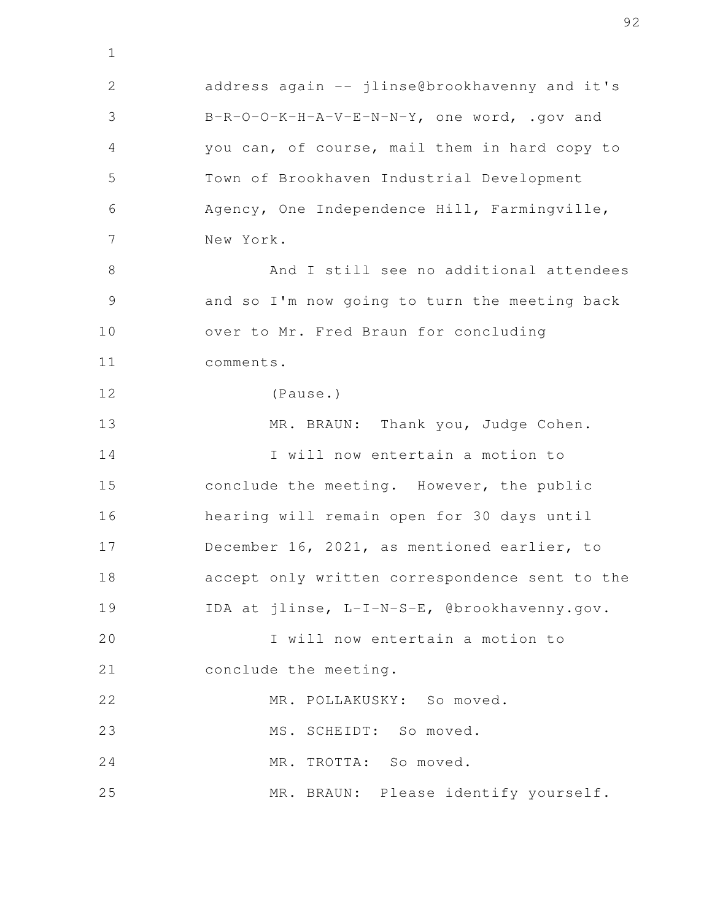address again -- jlinse@brookhavenny and it's B-R-O-O-K-H-A-V-E-N-N-Y, one word, .gov and you can, of course, mail them in hard copy to Town of Brookhaven Industrial Development Agency, One Independence Hill, Farmingville, New York. And I still see no additional attendees and so I'm now going to turn the meeting back over to Mr. Fred Braun for concluding comments. (Pause.) MR. BRAUN: Thank you, Judge Cohen. I will now entertain a motion to conclude the meeting. However, the public hearing will remain open for 30 days until December 16, 2021, as mentioned earlier, to accept only written correspondence sent to the IDA at jlinse, L-I-N-S-E, @brookhavenny.gov. I will now entertain a motion to conclude the meeting. MR. POLLAKUSKY: So moved. MS. SCHEIDT: So moved. MR. TROTTA: So moved. MR. BRAUN: Please identify yourself. 2 3 4 5 6 7 8 9 10 11 12 13 14 15 16 17 18 19 20 21 22 23 24 25

1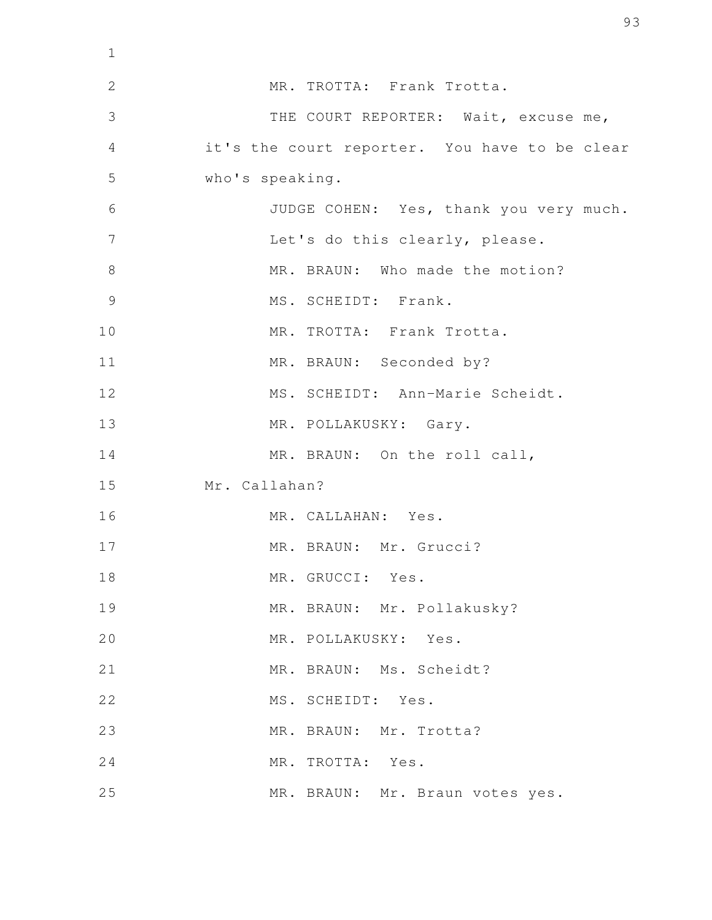| $\mathbf 1$    |                                               |
|----------------|-----------------------------------------------|
| $\overline{2}$ | MR. TROTTA: Frank Trotta.                     |
| 3              | THE COURT REPORTER: Wait, excuse me,          |
| $\overline{4}$ | it's the court reporter. You have to be clear |
| 5              | who's speaking.                               |
| 6              | JUDGE COHEN: Yes, thank you very much.        |
| $\overline{7}$ | Let's do this clearly, please.                |
| 8              | MR. BRAUN: Who made the motion?               |
| 9              | MS. SCHEIDT: Frank.                           |
| 10             | MR. TROTTA: Frank Trotta.                     |
| 11             | MR. BRAUN: Seconded by?                       |
| 12             | MS. SCHEIDT: Ann-Marie Scheidt.               |
| 13             | MR. POLLAKUSKY: Gary.                         |
| 14             | MR. BRAUN: On the roll call,                  |
| 15             | Mr. Callahan?                                 |
| 16             | MR. CALLAHAN: Yes.                            |
| 17             | MR. BRAUN: Mr. Grucci?                        |
| 18             | MR. GRUCCI: Yes.                              |
| 19             | MR. BRAUN: Mr. Pollakusky?                    |
| 20             | MR. POLLAKUSKY: Yes.                          |
| 21             | MR. BRAUN: Ms. Scheidt?                       |
| 22             | MS. SCHEIDT: Yes.                             |
| 23             | MR. BRAUN: Mr. Trotta?                        |
| 24             | MR. TROTTA: Yes.                              |
| 25             | MR. BRAUN: Mr. Braun votes yes.               |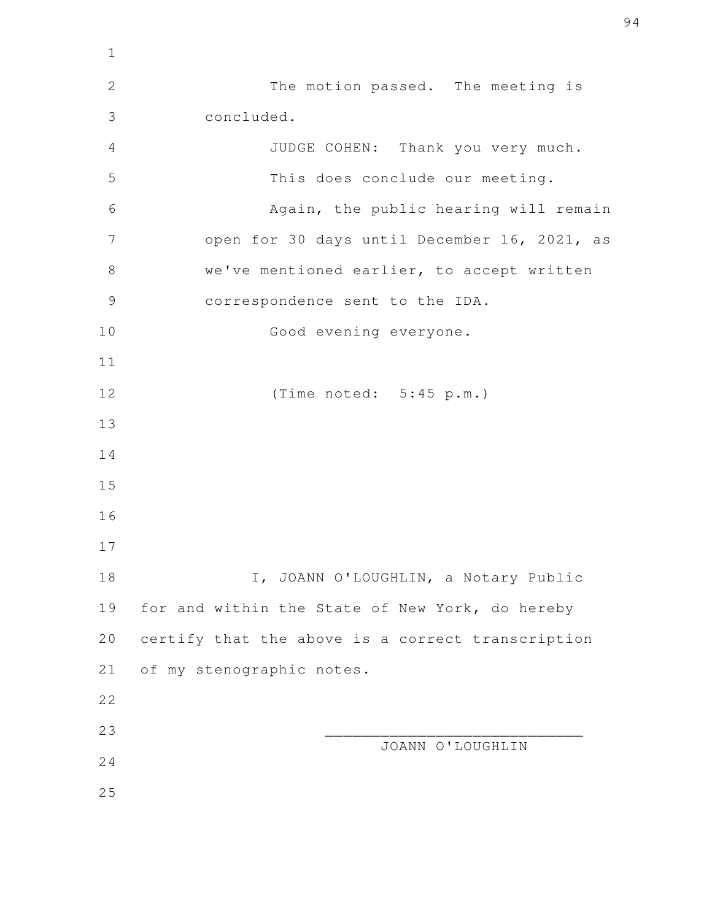| $\mathbf 1$    |                                                   |
|----------------|---------------------------------------------------|
| $\overline{2}$ | The motion passed. The meeting is                 |
| 3              | concluded.                                        |
| 4              | JUDGE COHEN: Thank you very much.                 |
| 5              | This does conclude our meeting.                   |
| 6              | Again, the public hearing will remain             |
| 7              | open for 30 days until December 16, 2021, as      |
| 8              | we've mentioned earlier, to accept written        |
| 9              | correspondence sent to the IDA.                   |
| 10             | Good evening everyone.                            |
| 11             |                                                   |
| 12             | (Time noted: 5:45 p.m.)                           |
| 13             |                                                   |
| 14             |                                                   |
| 15             |                                                   |
| 16             |                                                   |
| 17             |                                                   |
| 18             | I, JOANN O'LOUGHLIN, a Notary Public              |
| 19             | for and within the State of New York, do hereby   |
| 20             | certify that the above is a correct transcription |
| 21             | of my stenographic notes.                         |
| 22             |                                                   |
| 23             | JOANN O'LOUGHLIN                                  |
| 24             |                                                   |
| 25             |                                                   |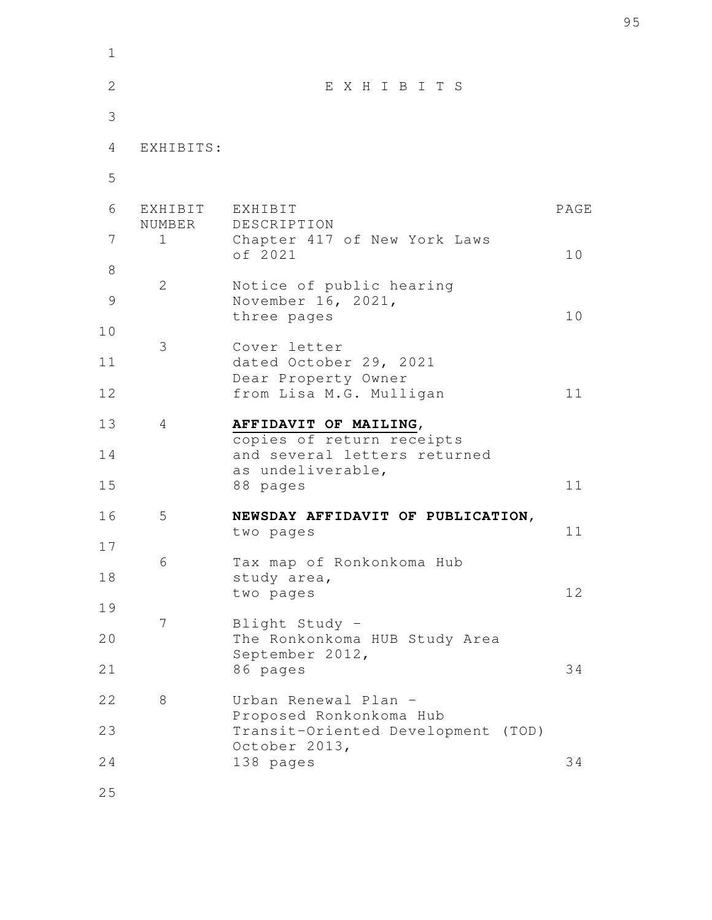| $\mathbf 1$  |                       |                                                               |      |
|--------------|-----------------------|---------------------------------------------------------------|------|
| $\mathbf{2}$ |                       | EXHIBITS                                                      |      |
| 3            |                       |                                                               |      |
| 4            | EXHIBITS:             |                                                               |      |
| 5            |                       |                                                               |      |
| 6            | EXHIBIT               | EXHIBIT                                                       | PAGE |
| 7            | NUMBER<br>$\mathbf 1$ | DESCRIPTION<br>Chapter 417 of New York Laws<br>of 2021        | 10   |
| 8            |                       |                                                               |      |
| 9            | 2                     | Notice of public hearing<br>November 16, 2021,                |      |
| 10           |                       | three pages                                                   | 10   |
| 11           | 3                     | Cover letter<br>dated October 29, 2021                        |      |
| 12           |                       | Dear Property Owner<br>from Lisa M.G. Mulligan                | 11   |
| 13           | 4                     | AFFIDAVIT OF MAILING,                                         |      |
| 14           |                       | copies of return receipts<br>and several letters returned     |      |
| 15           |                       | as undeliverable,<br>88 pages                                 | 11   |
| 16           | 5                     | NEWSDAY AFFIDAVIT OF PUBLICATION,<br>two pages                | 11   |
| 17           |                       |                                                               |      |
| 18           | 6                     | Tax map of Ronkonkoma Hub<br>study area,                      | 12   |
| 19           | 7                     | two pages                                                     |      |
| 20           |                       | Blight Study -<br>The Ronkonkoma HUB Study Area               |      |
| 21           |                       | September 2012,<br>86 pages                                   | 34   |
| 22           | 8                     | Urban Renewal Plan -                                          |      |
| 23           |                       | Proposed Ronkonkoma Hub<br>Transit-Oriented Development (TOD) |      |
| 24           |                       | October 2013,<br>138 pages                                    | 34   |
|              |                       |                                                               |      |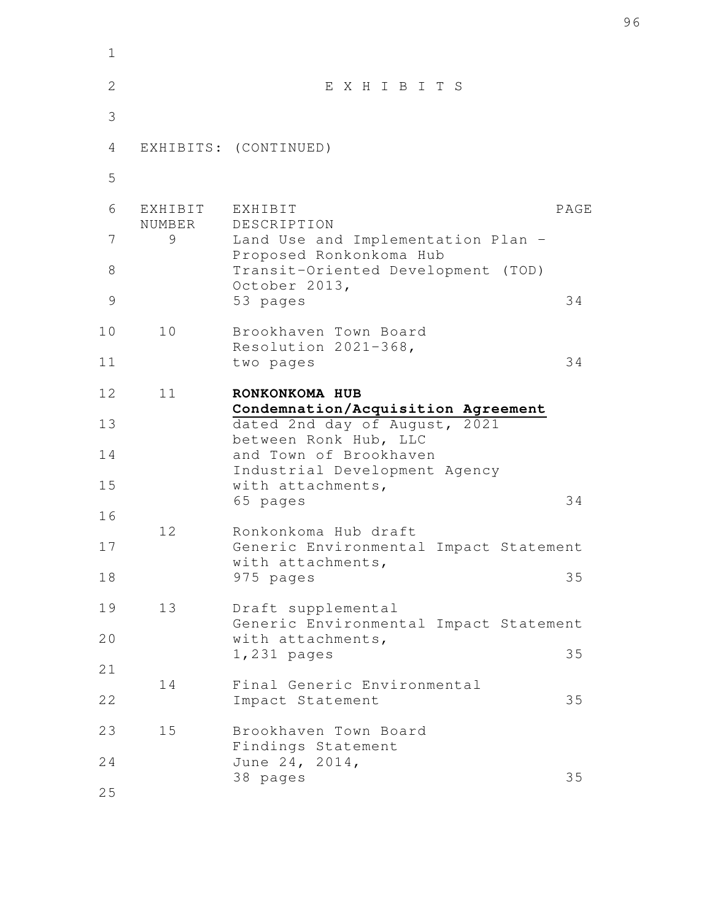| 1  |                   |                                                               |      |
|----|-------------------|---------------------------------------------------------------|------|
| 2  |                   | EXHIBITS                                                      |      |
| 3  |                   |                                                               |      |
| 4  |                   | EXHIBITS: (CONTINUED)                                         |      |
| 5  |                   |                                                               |      |
| 6  | EXHIBIT<br>NUMBER | EXHIBIT<br>DESCRIPTION                                        | PAGE |
| 7  | 9                 | Land Use and Implementation Plan -<br>Proposed Ronkonkoma Hub |      |
| 8  |                   | Transit-Oriented Development (TOD)<br>October 2013,           |      |
| 9  |                   | 53 pages                                                      | 34   |
| 10 | 10                | Brookhaven Town Board<br>Resolution 2021-368,                 |      |
| 11 |                   | two pages                                                     | 34   |
| 12 | 11                | RONKONKOMA HUB<br>Condemnation/Acquisition Agreement          |      |
| 13 |                   | dated 2nd day of August, 2021<br>between Ronk Hub, LLC        |      |
| 14 |                   | and Town of Brookhaven<br>Industrial Development Agency       |      |
| 15 |                   | with attachments,<br>65 pages                                 | 34   |
| 16 | 12                | Ronkonkoma Hub draft                                          |      |
| 17 |                   | Generic Environmental Impact Statement<br>with attachments,   |      |
| 18 |                   | 975 pages                                                     | 35   |
| 19 | 13                | Draft supplemental<br>Generic Environmental Impact Statement  |      |
| 20 |                   | with attachments,<br>1,231 pages                              | 35   |
| 21 | 14                | Final Generic Environmental                                   |      |
| 22 |                   | Impact Statement                                              | 35   |
| 23 | 15                | Brookhaven Town Board<br>Findings Statement                   |      |
| 24 |                   | June 24, 2014,<br>38 pages                                    | 35   |
| 25 |                   |                                                               |      |